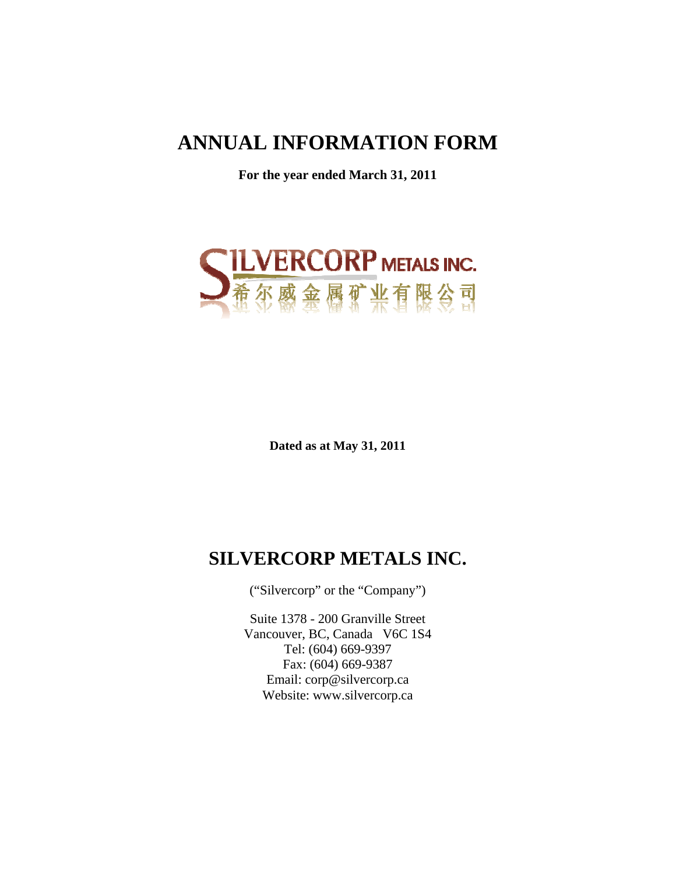# **ANNUAL INFORMATION FORM**

**For the year ended March 31, 2011** 



**Dated as at May 31, 2011** 

# **SILVERCORP METALS INC.**

("Silvercorp" or the "Company")

Suite 1378 - 200 Granville Street Vancouver, BC, Canada V6C 1S4 Tel: (604) 669-9397 Fax: (604) 669-9387 Email: corp@silvercorp.ca Website: www.silvercorp.ca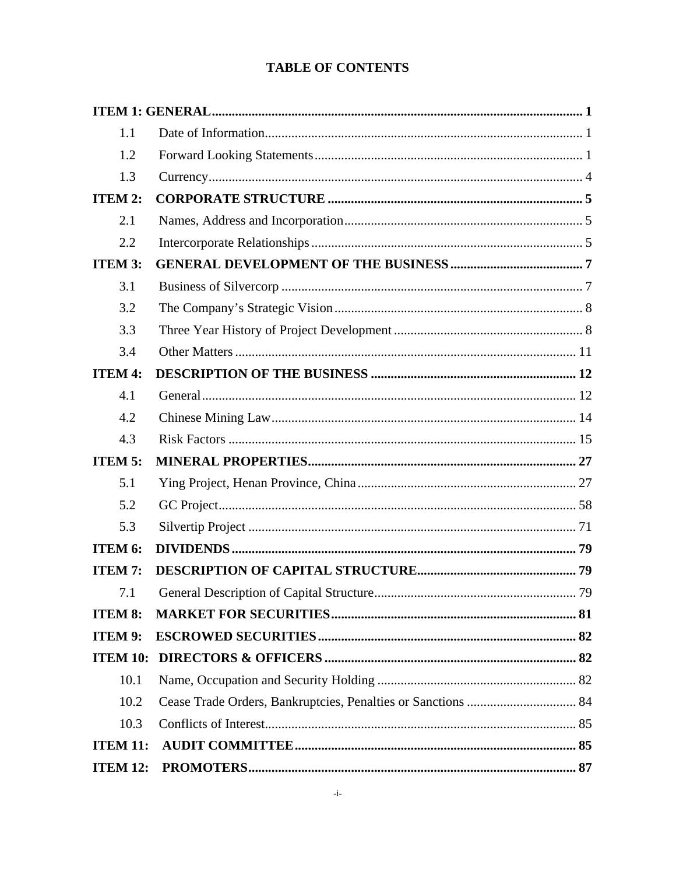# **TABLE OF CONTENTS**

| 1.1             |  |
|-----------------|--|
| 1.2             |  |
| 1.3             |  |
| ITEM 2:         |  |
| 2.1             |  |
| 2.2             |  |
| <b>ITEM 3:</b>  |  |
| 3.1             |  |
| 3.2             |  |
| 3.3             |  |
| 3.4             |  |
| <b>ITEM 4:</b>  |  |
| 4.1             |  |
| 4.2             |  |
| 4.3             |  |
| <b>ITEM 5:</b>  |  |
| 5.1             |  |
| 5.2             |  |
| 5.3             |  |
| ITEM 6:         |  |
| <b>ITEM 7:</b>  |  |
| 7.1             |  |
| <b>ITEM 8:</b>  |  |
| ITEM 9:         |  |
| <b>ITEM 10:</b> |  |
| 10.1            |  |
| 10.2            |  |
| 10.3            |  |
| <b>ITEM 11:</b> |  |
| <b>ITEM 12:</b> |  |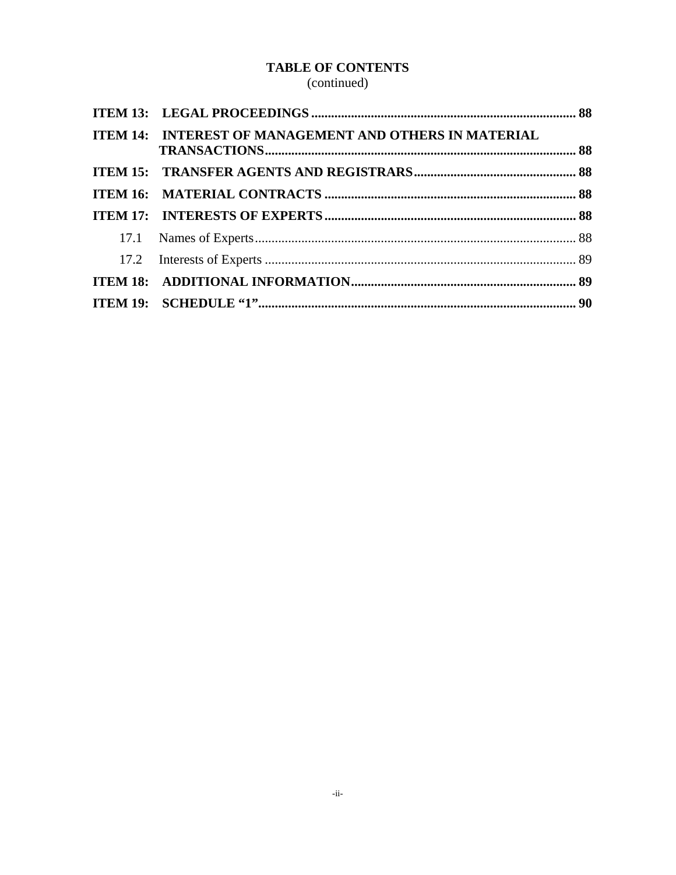# **TABLE OF CONTENTS**

(continued)

| ITEM 14: INTEREST OF MANAGEMENT AND OTHERS IN MATERIAL |  |
|--------------------------------------------------------|--|
|                                                        |  |
|                                                        |  |
|                                                        |  |
|                                                        |  |
|                                                        |  |
|                                                        |  |
|                                                        |  |
|                                                        |  |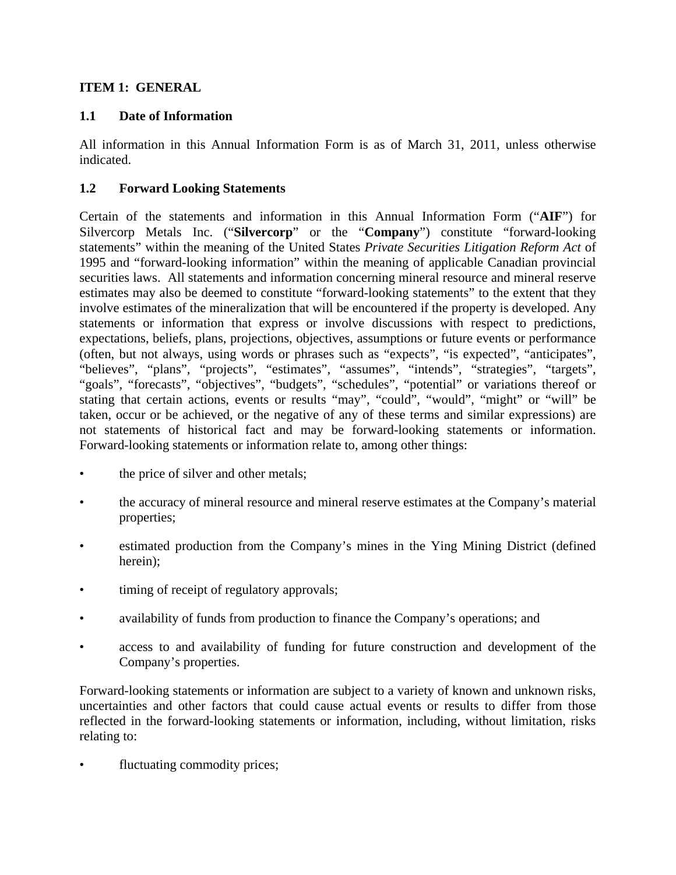## **ITEM 1: GENERAL**

## **1.1 Date of Information**

All information in this Annual Information Form is as of March 31, 2011, unless otherwise indicated.

## **1.2 Forward Looking Statements**

Certain of the statements and information in this Annual Information Form ("**AIF**") for Silvercorp Metals Inc. ("**Silvercorp**" or the "**Company**") constitute "forward-looking statements" within the meaning of the United States *Private Securities Litigation Reform Act* of 1995 and "forward-looking information" within the meaning of applicable Canadian provincial securities laws. All statements and information concerning mineral resource and mineral reserve estimates may also be deemed to constitute "forward-looking statements" to the extent that they involve estimates of the mineralization that will be encountered if the property is developed. Any statements or information that express or involve discussions with respect to predictions, expectations, beliefs, plans, projections, objectives, assumptions or future events or performance (often, but not always, using words or phrases such as "expects", "is expected", "anticipates", "believes", "plans", "projects", "estimates", "assumes", "intends", "strategies", "targets", "goals", "forecasts", "objectives", "budgets", "schedules", "potential" or variations thereof or stating that certain actions, events or results "may", "could", "would", "might" or "will" be taken, occur or be achieved, or the negative of any of these terms and similar expressions) are not statements of historical fact and may be forward-looking statements or information. Forward-looking statements or information relate to, among other things:

- the price of silver and other metals;
- the accuracy of mineral resource and mineral reserve estimates at the Company's material properties;
- estimated production from the Company's mines in the Ying Mining District (defined herein);
- timing of receipt of regulatory approvals;
- availability of funds from production to finance the Company's operations; and
- access to and availability of funding for future construction and development of the Company's properties.

Forward-looking statements or information are subject to a variety of known and unknown risks, uncertainties and other factors that could cause actual events or results to differ from those reflected in the forward-looking statements or information, including, without limitation, risks relating to:

fluctuating commodity prices;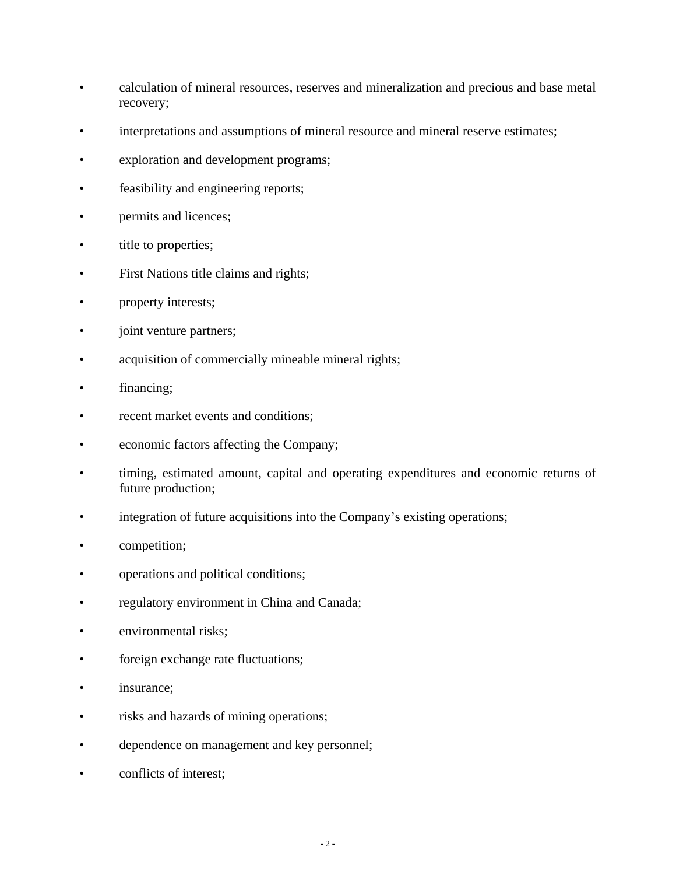- calculation of mineral resources, reserves and mineralization and precious and base metal recovery;
- interpretations and assumptions of mineral resource and mineral reserve estimates;
- exploration and development programs;
- feasibility and engineering reports;
- permits and licences;
- title to properties;
- First Nations title claims and rights;
- property interests;
- joint venture partners;
- acquisition of commercially mineable mineral rights;
- financing;
- recent market events and conditions;
- economic factors affecting the Company;
- timing, estimated amount, capital and operating expenditures and economic returns of future production;
- integration of future acquisitions into the Company's existing operations;
- competition;
- operations and political conditions;
- regulatory environment in China and Canada;
- environmental risks;
- foreign exchange rate fluctuations;
- insurance;
- risks and hazards of mining operations;
- dependence on management and key personnel;
- conflicts of interest;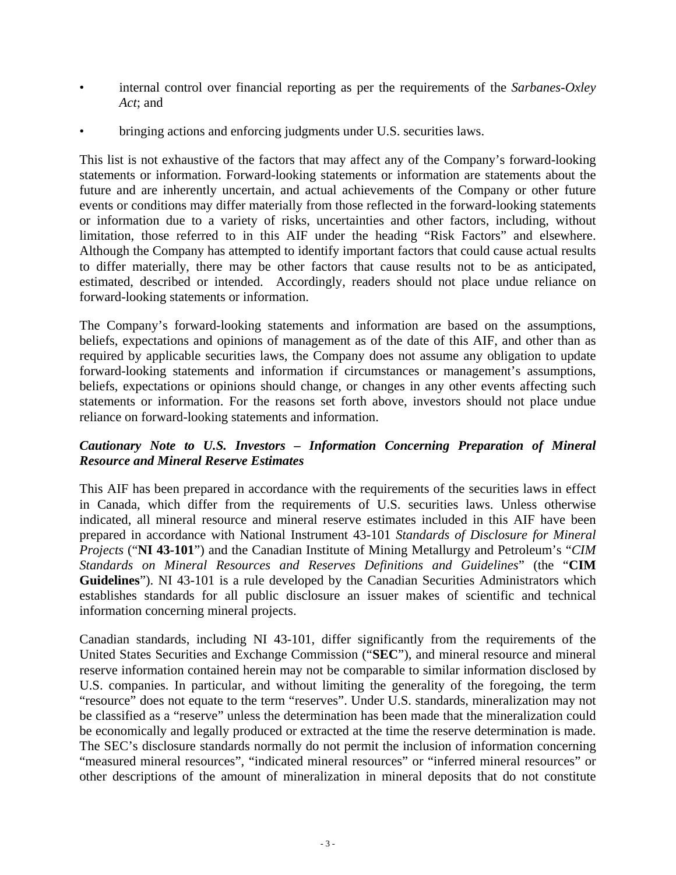- internal control over financial reporting as per the requirements of the *Sarbanes-Oxley Act*; and
- bringing actions and enforcing judgments under U.S. securities laws.

This list is not exhaustive of the factors that may affect any of the Company's forward-looking statements or information. Forward-looking statements or information are statements about the future and are inherently uncertain, and actual achievements of the Company or other future events or conditions may differ materially from those reflected in the forward-looking statements or information due to a variety of risks, uncertainties and other factors, including, without limitation, those referred to in this AIF under the heading "Risk Factors" and elsewhere. Although the Company has attempted to identify important factors that could cause actual results to differ materially, there may be other factors that cause results not to be as anticipated, estimated, described or intended. Accordingly, readers should not place undue reliance on forward-looking statements or information.

The Company's forward-looking statements and information are based on the assumptions, beliefs, expectations and opinions of management as of the date of this AIF, and other than as required by applicable securities laws, the Company does not assume any obligation to update forward-looking statements and information if circumstances or management's assumptions, beliefs, expectations or opinions should change, or changes in any other events affecting such statements or information. For the reasons set forth above, investors should not place undue reliance on forward-looking statements and information.

#### *Cautionary Note to U.S. Investors – Information Concerning Preparation of Mineral Resource and Mineral Reserve Estimates*

This AIF has been prepared in accordance with the requirements of the securities laws in effect in Canada, which differ from the requirements of U.S. securities laws. Unless otherwise indicated, all mineral resource and mineral reserve estimates included in this AIF have been prepared in accordance with National Instrument 43-101 *Standards of Disclosure for Mineral Projects* ("**NI 43-101**") and the Canadian Institute of Mining Metallurgy and Petroleum's "*CIM Standards on Mineral Resources and Reserves Definitions and Guidelines*" (the "**CIM Guidelines**"). NI 43-101 is a rule developed by the Canadian Securities Administrators which establishes standards for all public disclosure an issuer makes of scientific and technical information concerning mineral projects.

Canadian standards, including NI 43-101, differ significantly from the requirements of the United States Securities and Exchange Commission ("**SEC**"), and mineral resource and mineral reserve information contained herein may not be comparable to similar information disclosed by U.S. companies. In particular, and without limiting the generality of the foregoing, the term "resource" does not equate to the term "reserves". Under U.S. standards, mineralization may not be classified as a "reserve" unless the determination has been made that the mineralization could be economically and legally produced or extracted at the time the reserve determination is made. The SEC's disclosure standards normally do not permit the inclusion of information concerning "measured mineral resources", "indicated mineral resources" or "inferred mineral resources" or other descriptions of the amount of mineralization in mineral deposits that do not constitute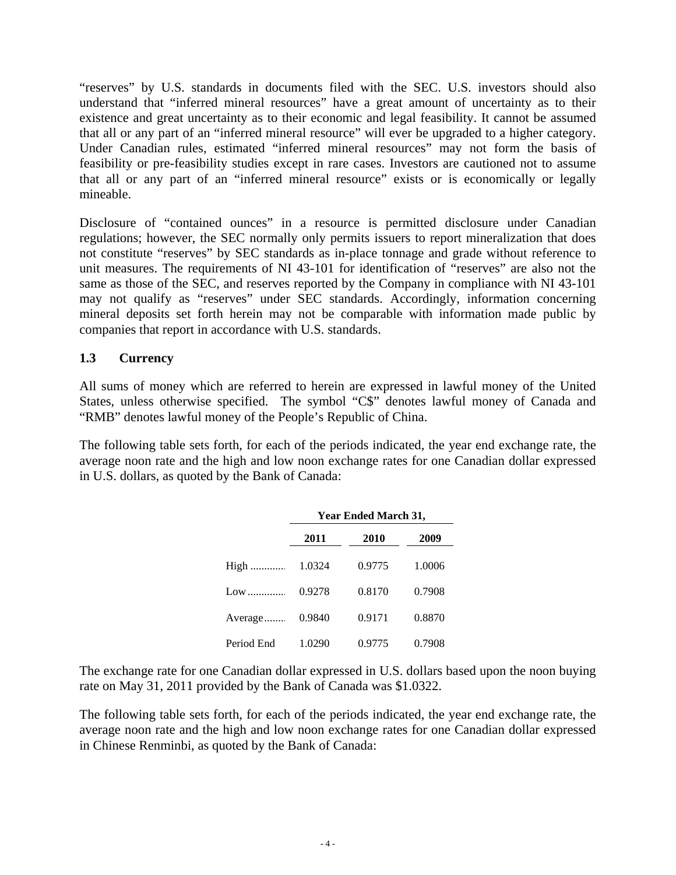"reserves" by U.S. standards in documents filed with the SEC. U.S. investors should also understand that "inferred mineral resources" have a great amount of uncertainty as to their existence and great uncertainty as to their economic and legal feasibility. It cannot be assumed that all or any part of an "inferred mineral resource" will ever be upgraded to a higher category. Under Canadian rules, estimated "inferred mineral resources" may not form the basis of feasibility or pre-feasibility studies except in rare cases. Investors are cautioned not to assume that all or any part of an "inferred mineral resource" exists or is economically or legally mineable.

Disclosure of "contained ounces" in a resource is permitted disclosure under Canadian regulations; however, the SEC normally only permits issuers to report mineralization that does not constitute "reserves" by SEC standards as in-place tonnage and grade without reference to unit measures. The requirements of NI 43-101 for identification of "reserves" are also not the same as those of the SEC, and reserves reported by the Company in compliance with NI 43-101 may not qualify as "reserves" under SEC standards. Accordingly, information concerning mineral deposits set forth herein may not be comparable with information made public by companies that report in accordance with U.S. standards.

## **1.3 Currency**

All sums of money which are referred to herein are expressed in lawful money of the United States, unless otherwise specified. The symbol "C\$" denotes lawful money of Canada and "RMB" denotes lawful money of the People's Republic of China.

The following table sets forth, for each of the periods indicated, the year end exchange rate, the average noon rate and the high and low noon exchange rates for one Canadian dollar expressed in U.S. dollars, as quoted by the Bank of Canada:

|            |        | Year Ended March 31, |        |
|------------|--------|----------------------|--------|
|            | 2011   | 2010                 | 2009   |
| High       | 1.0324 | 0.9775               | 1.0006 |
| Low        | 0.9278 | 0.8170               | 0.7908 |
| Average    | 0.9840 | 0.9171               | 0.8870 |
| Period End | 1.0290 | 0.9775               | 0.7908 |

The exchange rate for one Canadian dollar expressed in U.S. dollars based upon the noon buying rate on May 31, 2011 provided by the Bank of Canada was \$1.0322.

The following table sets forth, for each of the periods indicated, the year end exchange rate, the average noon rate and the high and low noon exchange rates for one Canadian dollar expressed in Chinese Renminbi, as quoted by the Bank of Canada: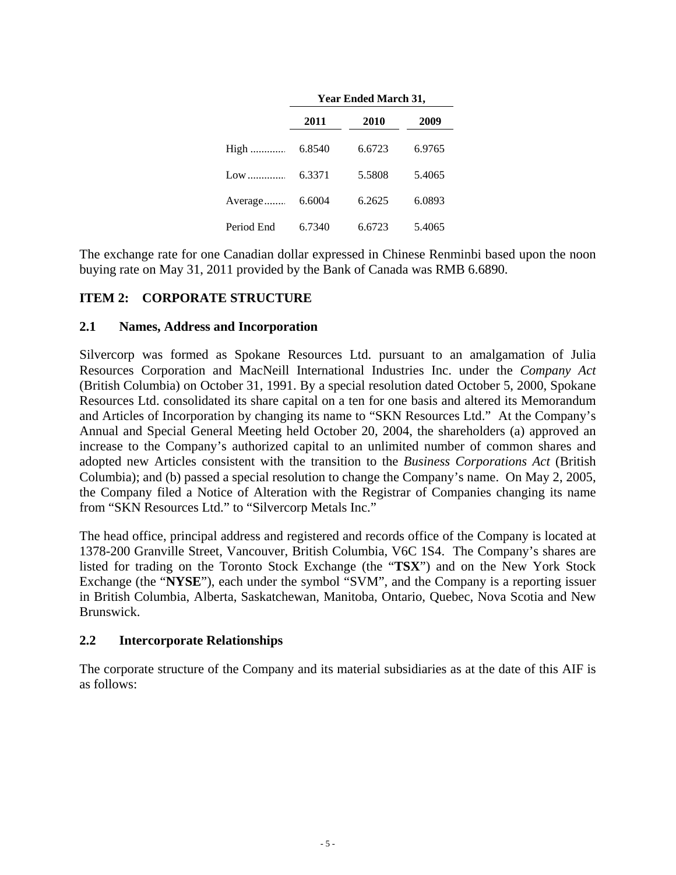|            |        | Year Ended March 31, |        |
|------------|--------|----------------------|--------|
|            | 2011   | 2010                 | 2009   |
| High       | 6.8540 | 6.6723               | 6.9765 |
| Low        | 6.3371 | 5.5808               | 5.4065 |
| Average    | 6.6004 | 6.2625               | 6.0893 |
| Period End | 6.7340 | 6.6723               | 5.4065 |

The exchange rate for one Canadian dollar expressed in Chinese Renminbi based upon the noon buying rate on May 31, 2011 provided by the Bank of Canada was RMB 6.6890.

## **ITEM 2: CORPORATE STRUCTURE**

#### **2.1 Names, Address and Incorporation**

Silvercorp was formed as Spokane Resources Ltd. pursuant to an amalgamation of Julia Resources Corporation and MacNeill International Industries Inc. under the *Company Act*  (British Columbia) on October 31, 1991. By a special resolution dated October 5, 2000, Spokane Resources Ltd. consolidated its share capital on a ten for one basis and altered its Memorandum and Articles of Incorporation by changing its name to "SKN Resources Ltd." At the Company's Annual and Special General Meeting held October 20, 2004, the shareholders (a) approved an increase to the Company's authorized capital to an unlimited number of common shares and adopted new Articles consistent with the transition to the *Business Corporations Act* (British Columbia); and (b) passed a special resolution to change the Company's name. On May 2, 2005, the Company filed a Notice of Alteration with the Registrar of Companies changing its name from "SKN Resources Ltd." to "Silvercorp Metals Inc."

The head office, principal address and registered and records office of the Company is located at 1378-200 Granville Street, Vancouver, British Columbia, V6C 1S4. The Company's shares are listed for trading on the Toronto Stock Exchange (the "**TSX**") and on the New York Stock Exchange (the "**NYSE**"), each under the symbol "SVM", and the Company is a reporting issuer in British Columbia, Alberta, Saskatchewan, Manitoba, Ontario, Quebec, Nova Scotia and New Brunswick.

#### **2.2 Intercorporate Relationships**

The corporate structure of the Company and its material subsidiaries as at the date of this AIF is as follows: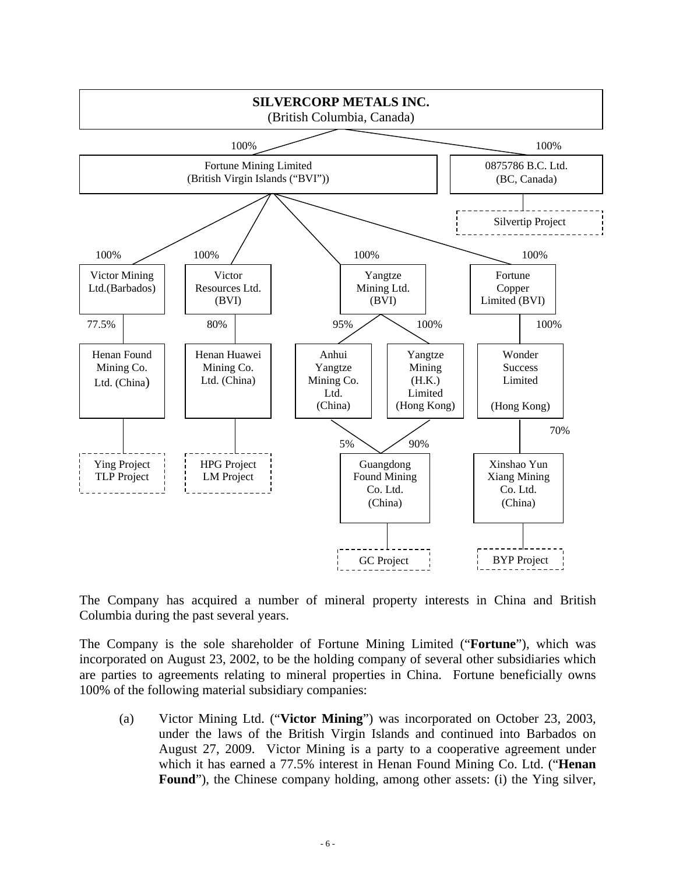

The Company has acquired a number of mineral property interests in China and British Columbia during the past several years.

The Company is the sole shareholder of Fortune Mining Limited ("**Fortune**"), which was incorporated on August 23, 2002, to be the holding company of several other subsidiaries which are parties to agreements relating to mineral properties in China. Fortune beneficially owns 100% of the following material subsidiary companies:

(a) Victor Mining Ltd. ("**Victor Mining**") was incorporated on October 23, 2003, under the laws of the British Virgin Islands and continued into Barbados on August 27, 2009. Victor Mining is a party to a cooperative agreement under which it has earned a 77.5% interest in Henan Found Mining Co. Ltd. ("**Henan**  Found"), the Chinese company holding, among other assets: (i) the Ying silver,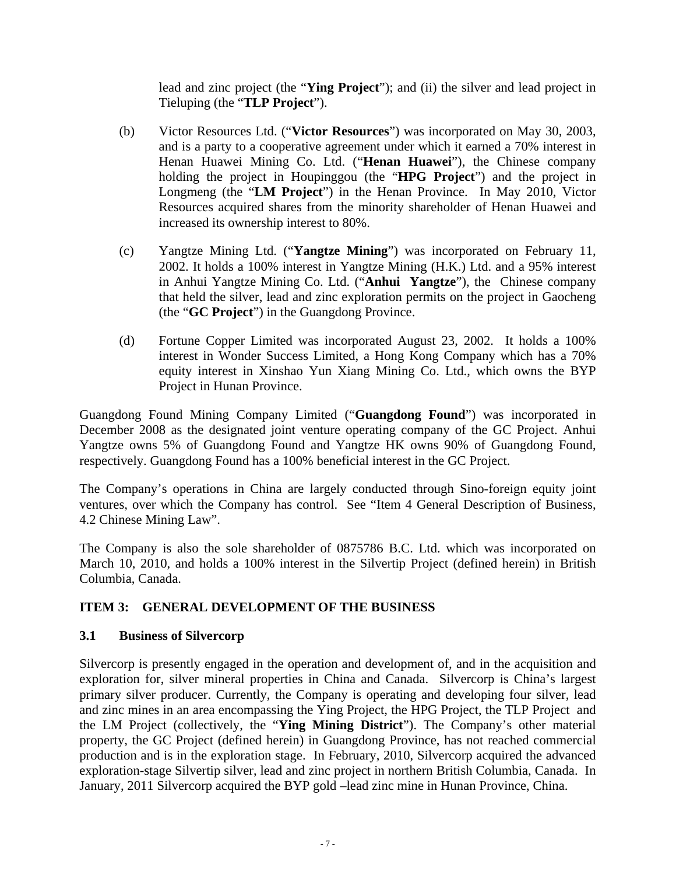lead and zinc project (the "**Ying Project**"); and (ii) the silver and lead project in Tieluping (the "**TLP Project**").

- (b) Victor Resources Ltd. ("**Victor Resources**") was incorporated on May 30, 2003, and is a party to a cooperative agreement under which it earned a 70% interest in Henan Huawei Mining Co. Ltd. ("**Henan Huawei**"), the Chinese company holding the project in Houpinggou (the "**HPG Project**") and the project in Longmeng (the "**LM Project**") in the Henan Province. In May 2010, Victor Resources acquired shares from the minority shareholder of Henan Huawei and increased its ownership interest to 80%.
- (c) Yangtze Mining Ltd. ("**Yangtze Mining**") was incorporated on February 11, 2002. It holds a 100% interest in Yangtze Mining (H.K.) Ltd. and a 95% interest in Anhui Yangtze Mining Co. Ltd. ("**Anhui Yangtze**"), the Chinese company that held the silver, lead and zinc exploration permits on the project in Gaocheng (the "**GC Project**") in the Guangdong Province.
- (d) Fortune Copper Limited was incorporated August 23, 2002. It holds a 100% interest in Wonder Success Limited, a Hong Kong Company which has a 70% equity interest in Xinshao Yun Xiang Mining Co. Ltd., which owns the BYP Project in Hunan Province.

Guangdong Found Mining Company Limited ("**Guangdong Found**") was incorporated in December 2008 as the designated joint venture operating company of the GC Project. Anhui Yangtze owns 5% of Guangdong Found and Yangtze HK owns 90% of Guangdong Found, respectively. Guangdong Found has a 100% beneficial interest in the GC Project.

The Company's operations in China are largely conducted through Sino-foreign equity joint ventures, over which the Company has control. See "Item 4 General Description of Business, 4.2 Chinese Mining Law".

The Company is also the sole shareholder of 0875786 B.C. Ltd. which was incorporated on March 10, 2010, and holds a 100% interest in the Silvertip Project (defined herein) in British Columbia, Canada.

## **ITEM 3: GENERAL DEVELOPMENT OF THE BUSINESS**

#### **3.1 Business of Silvercorp**

Silvercorp is presently engaged in the operation and development of, and in the acquisition and exploration for, silver mineral properties in China and Canada. Silvercorp is China's largest primary silver producer. Currently, the Company is operating and developing four silver, lead and zinc mines in an area encompassing the Ying Project, the HPG Project, the TLP Project and the LM Project (collectively, the "**Ying Mining District**"). The Company's other material property, the GC Project (defined herein) in Guangdong Province, has not reached commercial production and is in the exploration stage. In February, 2010, Silvercorp acquired the advanced exploration-stage Silvertip silver, lead and zinc project in northern British Columbia, Canada. In January, 2011 Silvercorp acquired the BYP gold –lead zinc mine in Hunan Province, China.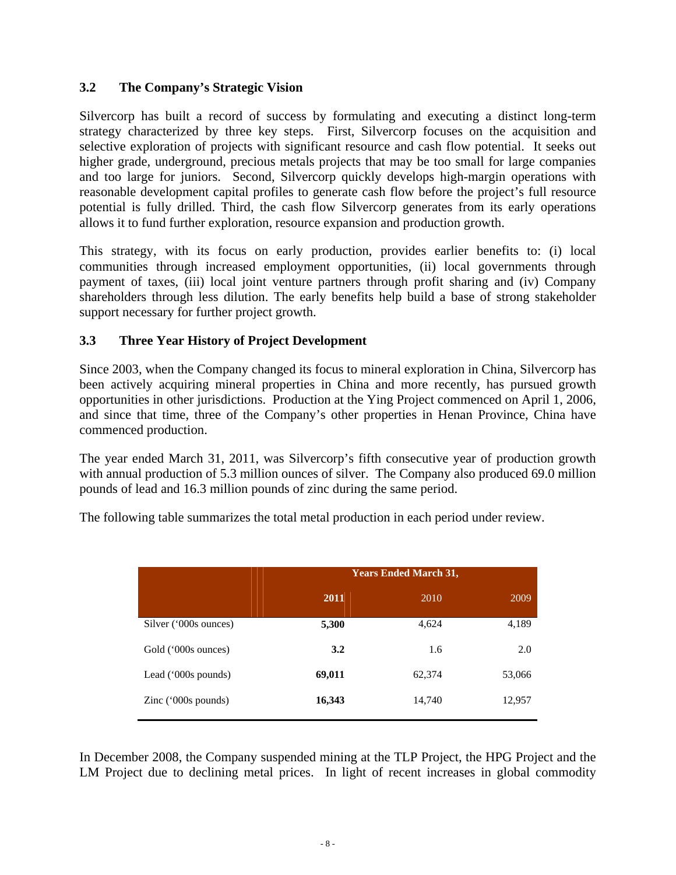## **3.2 The Company's Strategic Vision**

Silvercorp has built a record of success by formulating and executing a distinct long-term strategy characterized by three key steps. First, Silvercorp focuses on the acquisition and selective exploration of projects with significant resource and cash flow potential. It seeks out higher grade, underground, precious metals projects that may be too small for large companies and too large for juniors. Second, Silvercorp quickly develops high-margin operations with reasonable development capital profiles to generate cash flow before the project's full resource potential is fully drilled. Third, the cash flow Silvercorp generates from its early operations allows it to fund further exploration, resource expansion and production growth.

This strategy, with its focus on early production, provides earlier benefits to: (i) local communities through increased employment opportunities, (ii) local governments through payment of taxes, (iii) local joint venture partners through profit sharing and (iv) Company shareholders through less dilution. The early benefits help build a base of strong stakeholder support necessary for further project growth.

#### **3.3 Three Year History of Project Development**

Since 2003, when the Company changed its focus to mineral exploration in China, Silvercorp has been actively acquiring mineral properties in China and more recently, has pursued growth opportunities in other jurisdictions. Production at the Ying Project commenced on April 1, 2006, and since that time, three of the Company's other properties in Henan Province, China have commenced production.

The year ended March 31, 2011, was Silvercorp's fifth consecutive year of production growth with annual production of 5.3 million ounces of silver. The Company also produced 69.0 million pounds of lead and 16.3 million pounds of zinc during the same period.

The following table summarizes the total metal production in each period under review.

|                       | <b>Years Ended March 31,</b> |        |        |
|-----------------------|------------------------------|--------|--------|
|                       | 2011                         | 2010   | 2009   |
| Silver ('000s ounces) | 5,300                        | 4,624  | 4,189  |
| Gold ('000s ounces)   | 3.2                          | 1.6    | 2.0    |
| Lead ('000s pounds)   | 69,011                       | 62,374 | 53,066 |
| Zinc $(000s$ pounds)  | 16,343                       | 14,740 | 12,957 |

In December 2008, the Company suspended mining at the TLP Project, the HPG Project and the LM Project due to declining metal prices. In light of recent increases in global commodity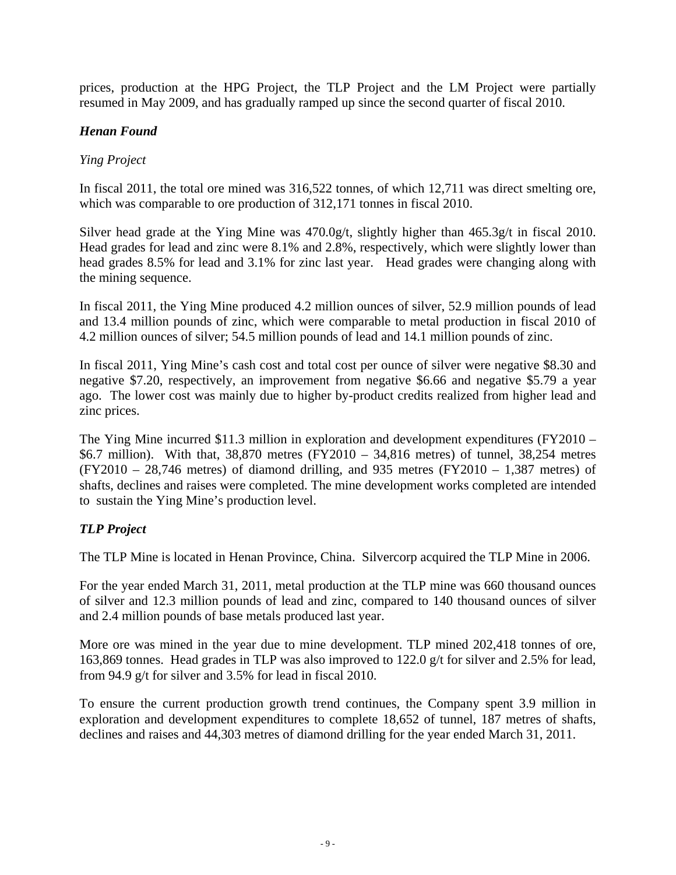prices, production at the HPG Project, the TLP Project and the LM Project were partially resumed in May 2009, and has gradually ramped up since the second quarter of fiscal 2010.

#### *Henan Found*

#### *Ying Project*

In fiscal 2011, the total ore mined was 316,522 tonnes, of which 12,711 was direct smelting ore, which was comparable to ore production of 312,171 tonnes in fiscal 2010.

Silver head grade at the Ying Mine was 470.0g/t, slightly higher than 465.3g/t in fiscal 2010. Head grades for lead and zinc were 8.1% and 2.8%, respectively, which were slightly lower than head grades 8.5% for lead and 3.1% for zinc last year. Head grades were changing along with the mining sequence.

In fiscal 2011, the Ying Mine produced 4.2 million ounces of silver, 52.9 million pounds of lead and 13.4 million pounds of zinc, which were comparable to metal production in fiscal 2010 of 4.2 million ounces of silver; 54.5 million pounds of lead and 14.1 million pounds of zinc.

In fiscal 2011, Ying Mine's cash cost and total cost per ounce of silver were negative \$8.30 and negative \$7.20, respectively, an improvement from negative \$6.66 and negative \$5.79 a year ago. The lower cost was mainly due to higher by-product credits realized from higher lead and zinc prices.

The Ying Mine incurred \$11.3 million in exploration and development expenditures (FY2010 – \$6.7 million). With that, 38,870 metres (FY2010 – 34,816 metres) of tunnel, 38,254 metres  $(FY2010 - 28,746$  metres) of diamond drilling, and 935 metres  $(FY2010 - 1,387$  metres) of shafts, declines and raises were completed. The mine development works completed are intended to sustain the Ying Mine's production level.

## *TLP Project*

The TLP Mine is located in Henan Province, China. Silvercorp acquired the TLP Mine in 2006.

For the year ended March 31, 2011, metal production at the TLP mine was 660 thousand ounces of silver and 12.3 million pounds of lead and zinc, compared to 140 thousand ounces of silver and 2.4 million pounds of base metals produced last year.

More ore was mined in the year due to mine development. TLP mined 202,418 tonnes of ore, 163,869 tonnes. Head grades in TLP was also improved to 122.0 g/t for silver and 2.5% for lead, from 94.9 g/t for silver and 3.5% for lead in fiscal 2010.

To ensure the current production growth trend continues, the Company spent 3.9 million in exploration and development expenditures to complete 18,652 of tunnel, 187 metres of shafts, declines and raises and 44,303 metres of diamond drilling for the year ended March 31, 2011.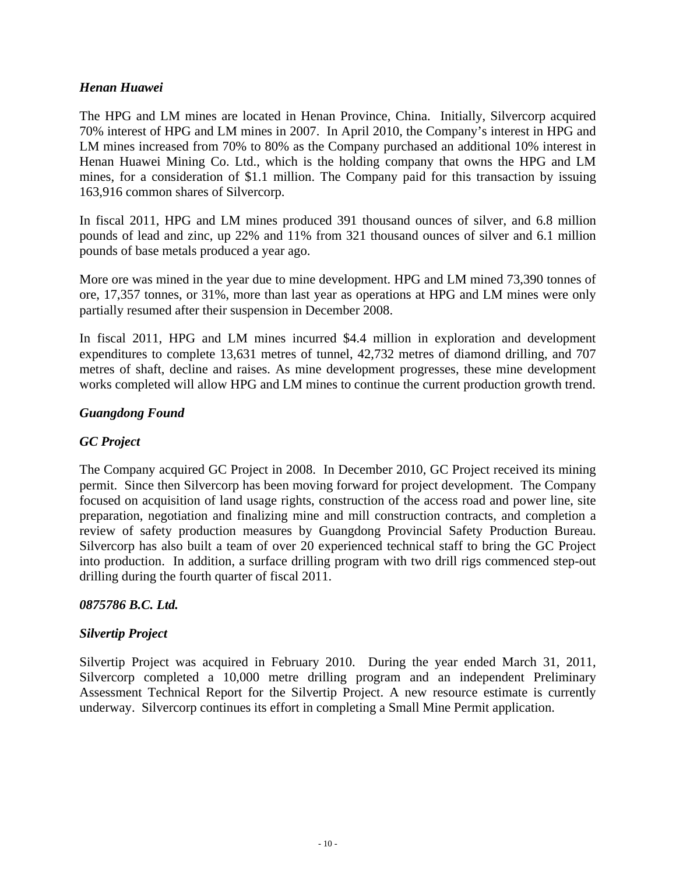#### *Henan Huawei*

The HPG and LM mines are located in Henan Province, China. Initially, Silvercorp acquired 70% interest of HPG and LM mines in 2007. In April 2010, the Company's interest in HPG and LM mines increased from 70% to 80% as the Company purchased an additional 10% interest in Henan Huawei Mining Co. Ltd., which is the holding company that owns the HPG and LM mines, for a consideration of \$1.1 million. The Company paid for this transaction by issuing 163,916 common shares of Silvercorp.

In fiscal 2011, HPG and LM mines produced 391 thousand ounces of silver, and 6.8 million pounds of lead and zinc, up 22% and 11% from 321 thousand ounces of silver and 6.1 million pounds of base metals produced a year ago.

More ore was mined in the year due to mine development. HPG and LM mined 73,390 tonnes of ore, 17,357 tonnes, or 31%, more than last year as operations at HPG and LM mines were only partially resumed after their suspension in December 2008.

In fiscal 2011, HPG and LM mines incurred \$4.4 million in exploration and development expenditures to complete 13,631 metres of tunnel, 42,732 metres of diamond drilling, and 707 metres of shaft, decline and raises. As mine development progresses, these mine development works completed will allow HPG and LM mines to continue the current production growth trend.

#### *Guangdong Found*

## *GC Project*

The Company acquired GC Project in 2008. In December 2010, GC Project received its mining permit. Since then Silvercorp has been moving forward for project development. The Company focused on acquisition of land usage rights, construction of the access road and power line, site preparation, negotiation and finalizing mine and mill construction contracts, and completion a review of safety production measures by Guangdong Provincial Safety Production Bureau. Silvercorp has also built a team of over 20 experienced technical staff to bring the GC Project into production. In addition, a surface drilling program with two drill rigs commenced step-out drilling during the fourth quarter of fiscal 2011.

#### *0875786 B.C. Ltd.*

#### *Silvertip Project*

Silvertip Project was acquired in February 2010. During the year ended March 31, 2011, Silvercorp completed a 10,000 metre drilling program and an independent Preliminary Assessment Technical Report for the Silvertip Project. A new resource estimate is currently underway. Silvercorp continues its effort in completing a Small Mine Permit application.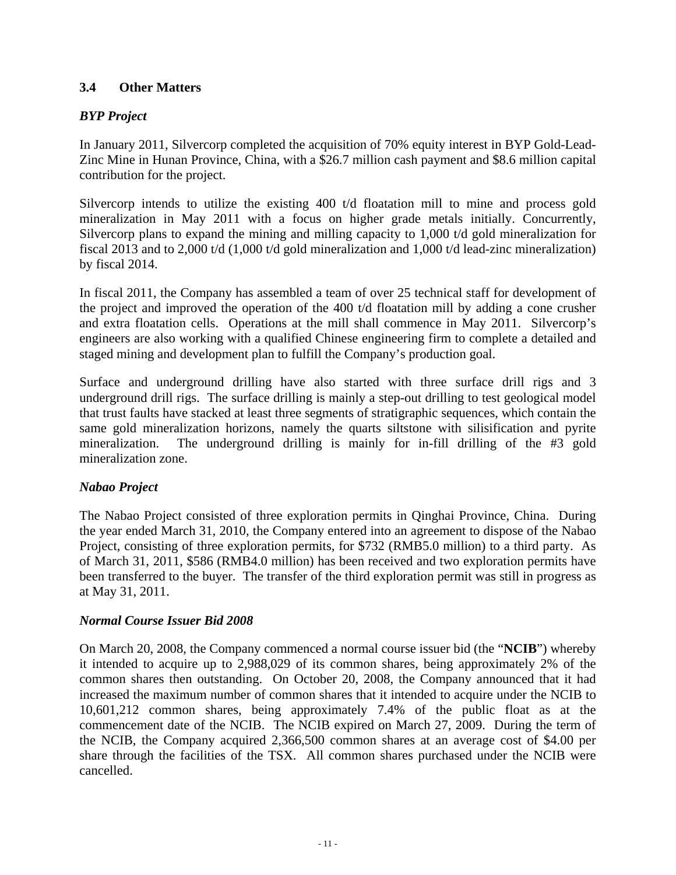## **3.4 Other Matters**

## *BYP Project*

In January 2011, Silvercorp completed the acquisition of 70% equity interest in BYP Gold-Lead-Zinc Mine in Hunan Province, China, with a \$26.7 million cash payment and \$8.6 million capital contribution for the project.

Silvercorp intends to utilize the existing 400 t/d floatation mill to mine and process gold mineralization in May 2011 with a focus on higher grade metals initially. Concurrently, Silvercorp plans to expand the mining and milling capacity to 1,000 t/d gold mineralization for fiscal 2013 and to 2,000 t/d (1,000 t/d gold mineralization and 1,000 t/d lead-zinc mineralization) by fiscal 2014.

In fiscal 2011, the Company has assembled a team of over 25 technical staff for development of the project and improved the operation of the 400 t/d floatation mill by adding a cone crusher and extra floatation cells. Operations at the mill shall commence in May 2011. Silvercorp's engineers are also working with a qualified Chinese engineering firm to complete a detailed and staged mining and development plan to fulfill the Company's production goal.

Surface and underground drilling have also started with three surface drill rigs and 3 underground drill rigs. The surface drilling is mainly a step-out drilling to test geological model that trust faults have stacked at least three segments of stratigraphic sequences, which contain the same gold mineralization horizons, namely the quarts siltstone with silisification and pyrite mineralization. The underground drilling is mainly for in-fill drilling of the #3 gold mineralization zone.

## *Nabao Project*

The Nabao Project consisted of three exploration permits in Qinghai Province, China. During the year ended March 31, 2010, the Company entered into an agreement to dispose of the Nabao Project, consisting of three exploration permits, for \$732 (RMB5.0 million) to a third party. As of March 31, 2011, \$586 (RMB4.0 million) has been received and two exploration permits have been transferred to the buyer. The transfer of the third exploration permit was still in progress as at May 31, 2011.

## *Normal Course Issuer Bid 2008*

On March 20, 2008, the Company commenced a normal course issuer bid (the "**NCIB**") whereby it intended to acquire up to 2,988,029 of its common shares, being approximately 2% of the common shares then outstanding. On October 20, 2008, the Company announced that it had increased the maximum number of common shares that it intended to acquire under the NCIB to 10,601,212 common shares, being approximately 7.4% of the public float as at the commencement date of the NCIB. The NCIB expired on March 27, 2009. During the term of the NCIB, the Company acquired 2,366,500 common shares at an average cost of \$4.00 per share through the facilities of the TSX. All common shares purchased under the NCIB were cancelled.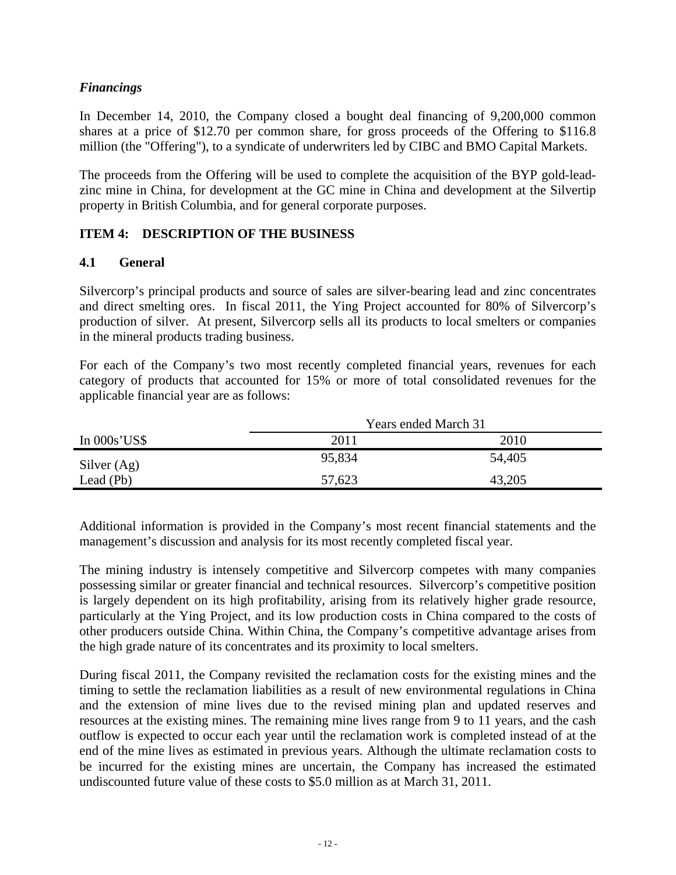## *Financings*

In December 14, 2010, the Company closed a bought deal financing of 9,200,000 common shares at a price of \$12.70 per common share, for gross proceeds of the Offering to \$116.8 million (the "Offering"), to a syndicate of underwriters led by CIBC and BMO Capital Markets.

The proceeds from the Offering will be used to complete the acquisition of the BYP gold-leadzinc mine in China, for development at the GC mine in China and development at the Silvertip property in British Columbia, and for general corporate purposes.

## **ITEM 4: DESCRIPTION OF THE BUSINESS**

## **4.1 General**

Silvercorp's principal products and source of sales are silver-bearing lead and zinc concentrates and direct smelting ores. In fiscal 2011, the Ying Project accounted for 80% of Silvercorp's production of silver. At present, Silvercorp sells all its products to local smelters or companies in the mineral products trading business.

For each of the Company's two most recently completed financial years, revenues for each category of products that accounted for 15% or more of total consolidated revenues for the applicable financial year are as follows:

|               | <b>Years ended March 31</b> |        |  |
|---------------|-----------------------------|--------|--|
| In $000s'USS$ | 2011                        | 2010   |  |
| Silver $(Ag)$ | 95,834                      | 54,405 |  |
| Lead $(Pb)$   | 57,623                      | 43,205 |  |

Additional information is provided in the Company's most recent financial statements and the management's discussion and analysis for its most recently completed fiscal year.

The mining industry is intensely competitive and Silvercorp competes with many companies possessing similar or greater financial and technical resources. Silvercorp's competitive position is largely dependent on its high profitability, arising from its relatively higher grade resource, particularly at the Ying Project, and its low production costs in China compared to the costs of other producers outside China. Within China, the Company's competitive advantage arises from the high grade nature of its concentrates and its proximity to local smelters.

During fiscal 2011, the Company revisited the reclamation costs for the existing mines and the timing to settle the reclamation liabilities as a result of new environmental regulations in China and the extension of mine lives due to the revised mining plan and updated reserves and resources at the existing mines. The remaining mine lives range from 9 to 11 years, and the cash outflow is expected to occur each year until the reclamation work is completed instead of at the end of the mine lives as estimated in previous years. Although the ultimate reclamation costs to be incurred for the existing mines are uncertain, the Company has increased the estimated undiscounted future value of these costs to \$5.0 million as at March 31, 2011.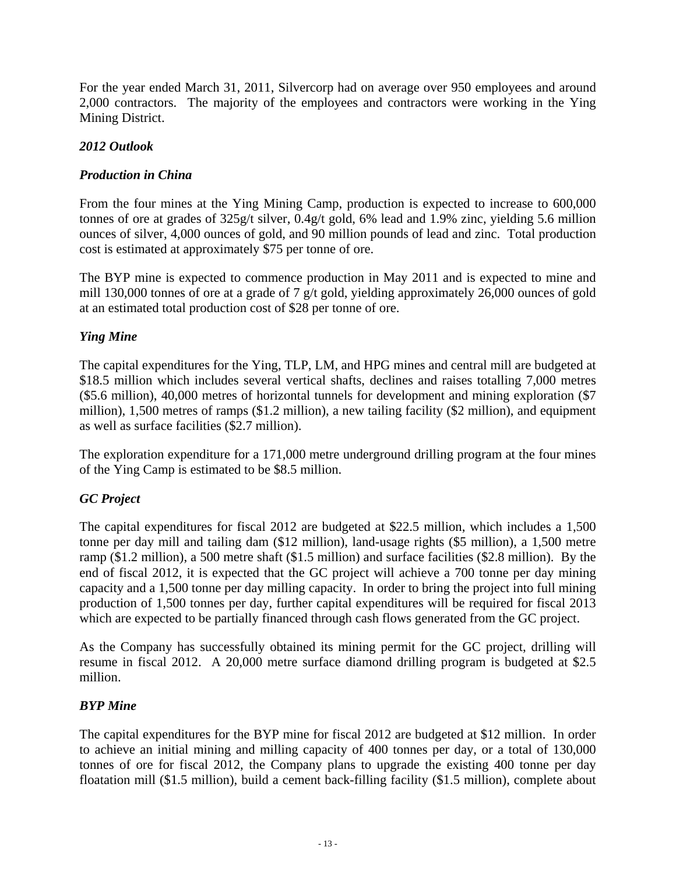For the year ended March 31, 2011, Silvercorp had on average over 950 employees and around 2,000 contractors. The majority of the employees and contractors were working in the Ying Mining District.

## *2012 Outlook*

## *Production in China*

From the four mines at the Ying Mining Camp, production is expected to increase to 600,000 tonnes of ore at grades of 325g/t silver, 0.4g/t gold, 6% lead and 1.9% zinc, yielding 5.6 million ounces of silver, 4,000 ounces of gold, and 90 million pounds of lead and zinc. Total production cost is estimated at approximately \$75 per tonne of ore.

The BYP mine is expected to commence production in May 2011 and is expected to mine and mill 130,000 tonnes of ore at a grade of 7 g/t gold, yielding approximately 26,000 ounces of gold at an estimated total production cost of \$28 per tonne of ore.

#### *Ying Mine*

The capital expenditures for the Ying, TLP, LM, and HPG mines and central mill are budgeted at \$18.5 million which includes several vertical shafts, declines and raises totalling 7,000 metres (\$5.6 million), 40,000 metres of horizontal tunnels for development and mining exploration (\$7 million), 1,500 metres of ramps (\$1.2 million), a new tailing facility (\$2 million), and equipment as well as surface facilities (\$2.7 million).

The exploration expenditure for a 171,000 metre underground drilling program at the four mines of the Ying Camp is estimated to be \$8.5 million.

## *GC Project*

The capital expenditures for fiscal 2012 are budgeted at \$22.5 million, which includes a 1,500 tonne per day mill and tailing dam (\$12 million), land-usage rights (\$5 million), a 1,500 metre ramp (\$1.2 million), a 500 metre shaft (\$1.5 million) and surface facilities (\$2.8 million). By the end of fiscal 2012, it is expected that the GC project will achieve a 700 tonne per day mining capacity and a 1,500 tonne per day milling capacity. In order to bring the project into full mining production of 1,500 tonnes per day, further capital expenditures will be required for fiscal 2013 which are expected to be partially financed through cash flows generated from the GC project.

As the Company has successfully obtained its mining permit for the GC project, drilling will resume in fiscal 2012. A 20,000 metre surface diamond drilling program is budgeted at \$2.5 million.

#### *BYP Mine*

The capital expenditures for the BYP mine for fiscal 2012 are budgeted at \$12 million. In order to achieve an initial mining and milling capacity of 400 tonnes per day, or a total of 130,000 tonnes of ore for fiscal 2012, the Company plans to upgrade the existing 400 tonne per day floatation mill (\$1.5 million), build a cement back-filling facility (\$1.5 million), complete about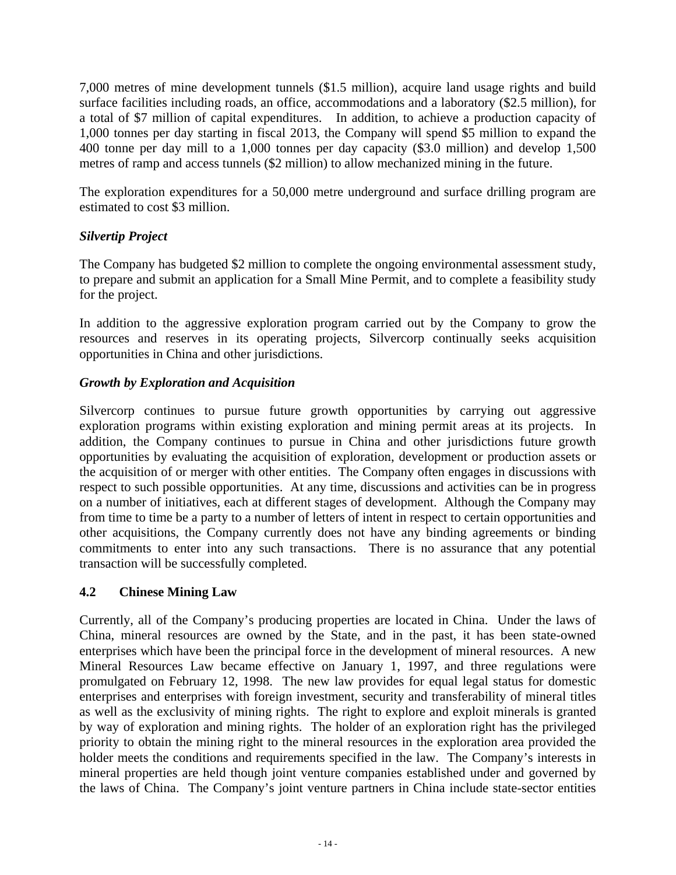7,000 metres of mine development tunnels (\$1.5 million), acquire land usage rights and build surface facilities including roads, an office, accommodations and a laboratory (\$2.5 million), for a total of \$7 million of capital expenditures. In addition, to achieve a production capacity of 1,000 tonnes per day starting in fiscal 2013, the Company will spend \$5 million to expand the 400 tonne per day mill to a 1,000 tonnes per day capacity (\$3.0 million) and develop 1,500 metres of ramp and access tunnels (\$2 million) to allow mechanized mining in the future.

The exploration expenditures for a 50,000 metre underground and surface drilling program are estimated to cost \$3 million.

## *Silvertip Project*

The Company has budgeted \$2 million to complete the ongoing environmental assessment study, to prepare and submit an application for a Small Mine Permit, and to complete a feasibility study for the project.

In addition to the aggressive exploration program carried out by the Company to grow the resources and reserves in its operating projects, Silvercorp continually seeks acquisition opportunities in China and other jurisdictions.

## *Growth by Exploration and Acquisition*

Silvercorp continues to pursue future growth opportunities by carrying out aggressive exploration programs within existing exploration and mining permit areas at its projects. In addition, the Company continues to pursue in China and other jurisdictions future growth opportunities by evaluating the acquisition of exploration, development or production assets or the acquisition of or merger with other entities. The Company often engages in discussions with respect to such possible opportunities. At any time, discussions and activities can be in progress on a number of initiatives, each at different stages of development. Although the Company may from time to time be a party to a number of letters of intent in respect to certain opportunities and other acquisitions, the Company currently does not have any binding agreements or binding commitments to enter into any such transactions. There is no assurance that any potential transaction will be successfully completed.

## **4.2 Chinese Mining Law**

Currently, all of the Company's producing properties are located in China. Under the laws of China, mineral resources are owned by the State, and in the past, it has been state-owned enterprises which have been the principal force in the development of mineral resources. A new Mineral Resources Law became effective on January 1, 1997, and three regulations were promulgated on February 12, 1998. The new law provides for equal legal status for domestic enterprises and enterprises with foreign investment, security and transferability of mineral titles as well as the exclusivity of mining rights. The right to explore and exploit minerals is granted by way of exploration and mining rights. The holder of an exploration right has the privileged priority to obtain the mining right to the mineral resources in the exploration area provided the holder meets the conditions and requirements specified in the law. The Company's interests in mineral properties are held though joint venture companies established under and governed by the laws of China. The Company's joint venture partners in China include state-sector entities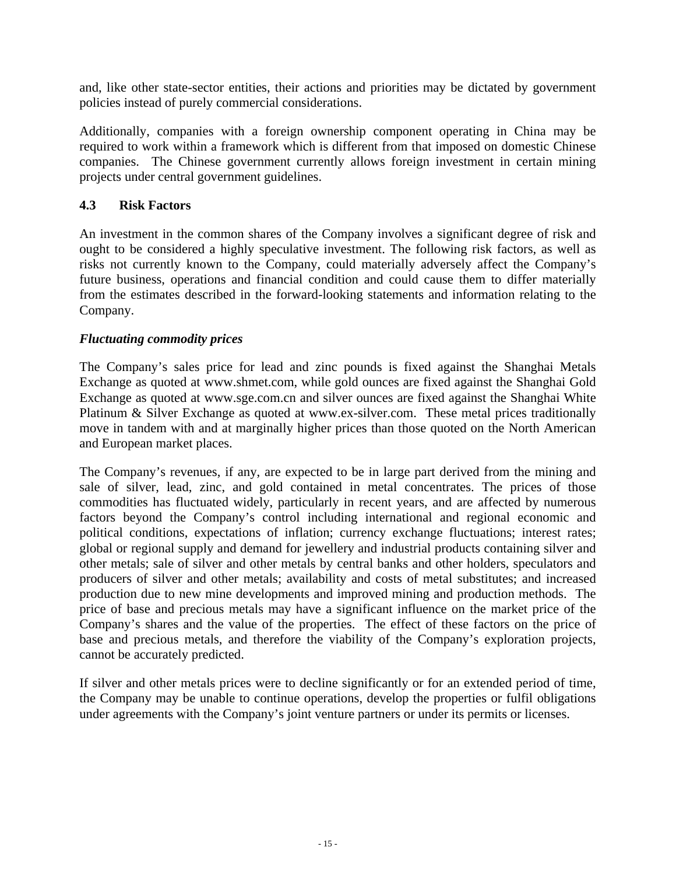and, like other state-sector entities, their actions and priorities may be dictated by government policies instead of purely commercial considerations.

Additionally, companies with a foreign ownership component operating in China may be required to work within a framework which is different from that imposed on domestic Chinese companies. The Chinese government currently allows foreign investment in certain mining projects under central government guidelines.

## **4.3 Risk Factors**

An investment in the common shares of the Company involves a significant degree of risk and ought to be considered a highly speculative investment. The following risk factors, as well as risks not currently known to the Company, could materially adversely affect the Company's future business, operations and financial condition and could cause them to differ materially from the estimates described in the forward-looking statements and information relating to the Company.

## *Fluctuating commodity prices*

The Company's sales price for lead and zinc pounds is fixed against the Shanghai Metals Exchange as quoted at www.shmet.com, while gold ounces are fixed against the Shanghai Gold Exchange as quoted at www.sge.com.cn and silver ounces are fixed against the Shanghai White Platinum & Silver Exchange as quoted at www.ex-silver.com. These metal prices traditionally move in tandem with and at marginally higher prices than those quoted on the North American and European market places.

The Company's revenues, if any, are expected to be in large part derived from the mining and sale of silver, lead, zinc, and gold contained in metal concentrates. The prices of those commodities has fluctuated widely, particularly in recent years, and are affected by numerous factors beyond the Company's control including international and regional economic and political conditions, expectations of inflation; currency exchange fluctuations; interest rates; global or regional supply and demand for jewellery and industrial products containing silver and other metals; sale of silver and other metals by central banks and other holders, speculators and producers of silver and other metals; availability and costs of metal substitutes; and increased production due to new mine developments and improved mining and production methods. The price of base and precious metals may have a significant influence on the market price of the Company's shares and the value of the properties. The effect of these factors on the price of base and precious metals, and therefore the viability of the Company's exploration projects, cannot be accurately predicted.

If silver and other metals prices were to decline significantly or for an extended period of time, the Company may be unable to continue operations, develop the properties or fulfil obligations under agreements with the Company's joint venture partners or under its permits or licenses.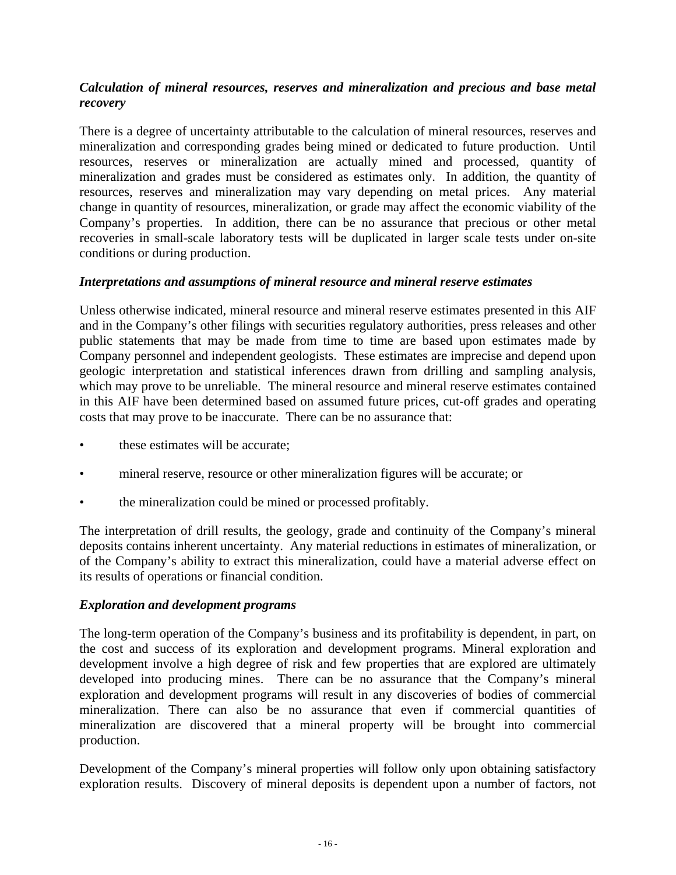## *Calculation of mineral resources, reserves and mineralization and precious and base metal recovery*

There is a degree of uncertainty attributable to the calculation of mineral resources, reserves and mineralization and corresponding grades being mined or dedicated to future production. Until resources, reserves or mineralization are actually mined and processed, quantity of mineralization and grades must be considered as estimates only. In addition, the quantity of resources, reserves and mineralization may vary depending on metal prices. Any material change in quantity of resources, mineralization, or grade may affect the economic viability of the Company's properties. In addition, there can be no assurance that precious or other metal recoveries in small-scale laboratory tests will be duplicated in larger scale tests under on-site conditions or during production.

#### *Interpretations and assumptions of mineral resource and mineral reserve estimates*

Unless otherwise indicated, mineral resource and mineral reserve estimates presented in this AIF and in the Company's other filings with securities regulatory authorities, press releases and other public statements that may be made from time to time are based upon estimates made by Company personnel and independent geologists. These estimates are imprecise and depend upon geologic interpretation and statistical inferences drawn from drilling and sampling analysis, which may prove to be unreliable. The mineral resource and mineral reserve estimates contained in this AIF have been determined based on assumed future prices, cut-off grades and operating costs that may prove to be inaccurate. There can be no assurance that:

- these estimates will be accurate;
- mineral reserve, resource or other mineralization figures will be accurate; or
- the mineralization could be mined or processed profitably.

The interpretation of drill results, the geology, grade and continuity of the Company's mineral deposits contains inherent uncertainty. Any material reductions in estimates of mineralization, or of the Company's ability to extract this mineralization, could have a material adverse effect on its results of operations or financial condition.

#### *Exploration and development programs*

The long-term operation of the Company's business and its profitability is dependent, in part, on the cost and success of its exploration and development programs. Mineral exploration and development involve a high degree of risk and few properties that are explored are ultimately developed into producing mines. There can be no assurance that the Company's mineral exploration and development programs will result in any discoveries of bodies of commercial mineralization. There can also be no assurance that even if commercial quantities of mineralization are discovered that a mineral property will be brought into commercial production.

Development of the Company's mineral properties will follow only upon obtaining satisfactory exploration results. Discovery of mineral deposits is dependent upon a number of factors, not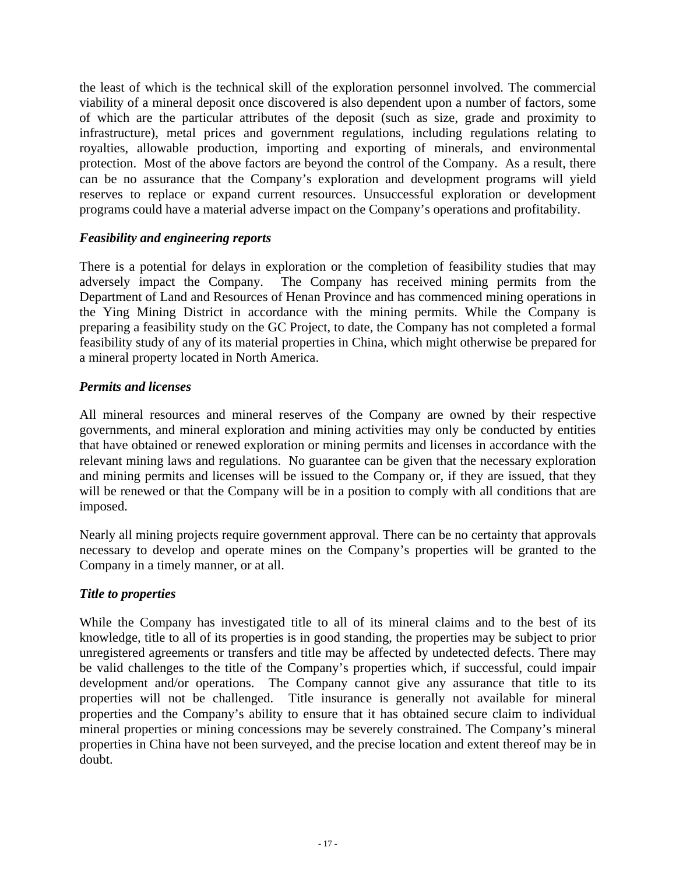the least of which is the technical skill of the exploration personnel involved. The commercial viability of a mineral deposit once discovered is also dependent upon a number of factors, some of which are the particular attributes of the deposit (such as size, grade and proximity to infrastructure), metal prices and government regulations, including regulations relating to royalties, allowable production, importing and exporting of minerals, and environmental protection. Most of the above factors are beyond the control of the Company. As a result, there can be no assurance that the Company's exploration and development programs will yield reserves to replace or expand current resources. Unsuccessful exploration or development programs could have a material adverse impact on the Company's operations and profitability.

#### *Feasibility and engineering reports*

There is a potential for delays in exploration or the completion of feasibility studies that may adversely impact the Company. The Company has received mining permits from the Department of Land and Resources of Henan Province and has commenced mining operations in the Ying Mining District in accordance with the mining permits. While the Company is preparing a feasibility study on the GC Project, to date, the Company has not completed a formal feasibility study of any of its material properties in China, which might otherwise be prepared for a mineral property located in North America.

#### *Permits and licenses*

All mineral resources and mineral reserves of the Company are owned by their respective governments, and mineral exploration and mining activities may only be conducted by entities that have obtained or renewed exploration or mining permits and licenses in accordance with the relevant mining laws and regulations. No guarantee can be given that the necessary exploration and mining permits and licenses will be issued to the Company or, if they are issued, that they will be renewed or that the Company will be in a position to comply with all conditions that are imposed.

Nearly all mining projects require government approval. There can be no certainty that approvals necessary to develop and operate mines on the Company's properties will be granted to the Company in a timely manner, or at all.

#### *Title to properties*

While the Company has investigated title to all of its mineral claims and to the best of its knowledge, title to all of its properties is in good standing, the properties may be subject to prior unregistered agreements or transfers and title may be affected by undetected defects. There may be valid challenges to the title of the Company's properties which, if successful, could impair development and/or operations. The Company cannot give any assurance that title to its properties will not be challenged. Title insurance is generally not available for mineral properties and the Company's ability to ensure that it has obtained secure claim to individual mineral properties or mining concessions may be severely constrained. The Company's mineral properties in China have not been surveyed, and the precise location and extent thereof may be in doubt.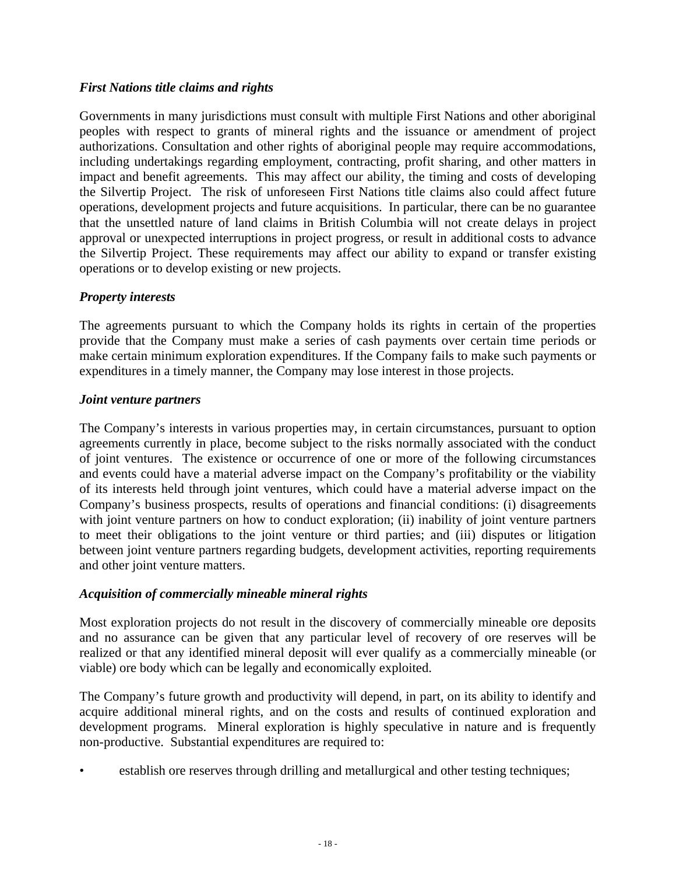## *First Nations title claims and rights*

Governments in many jurisdictions must consult with multiple First Nations and other aboriginal peoples with respect to grants of mineral rights and the issuance or amendment of project authorizations. Consultation and other rights of aboriginal people may require accommodations, including undertakings regarding employment, contracting, profit sharing, and other matters in impact and benefit agreements. This may affect our ability, the timing and costs of developing the Silvertip Project. The risk of unforeseen First Nations title claims also could affect future operations, development projects and future acquisitions. In particular, there can be no guarantee that the unsettled nature of land claims in British Columbia will not create delays in project approval or unexpected interruptions in project progress, or result in additional costs to advance the Silvertip Project. These requirements may affect our ability to expand or transfer existing operations or to develop existing or new projects.

#### *Property interests*

The agreements pursuant to which the Company holds its rights in certain of the properties provide that the Company must make a series of cash payments over certain time periods or make certain minimum exploration expenditures. If the Company fails to make such payments or expenditures in a timely manner, the Company may lose interest in those projects.

#### *Joint venture partners*

The Company's interests in various properties may, in certain circumstances, pursuant to option agreements currently in place, become subject to the risks normally associated with the conduct of joint ventures. The existence or occurrence of one or more of the following circumstances and events could have a material adverse impact on the Company's profitability or the viability of its interests held through joint ventures, which could have a material adverse impact on the Company's business prospects, results of operations and financial conditions: (i) disagreements with joint venture partners on how to conduct exploration; (ii) inability of joint venture partners to meet their obligations to the joint venture or third parties; and (iii) disputes or litigation between joint venture partners regarding budgets, development activities, reporting requirements and other joint venture matters.

#### *Acquisition of commercially mineable mineral rights*

Most exploration projects do not result in the discovery of commercially mineable ore deposits and no assurance can be given that any particular level of recovery of ore reserves will be realized or that any identified mineral deposit will ever qualify as a commercially mineable (or viable) ore body which can be legally and economically exploited.

The Company's future growth and productivity will depend, in part, on its ability to identify and acquire additional mineral rights, and on the costs and results of continued exploration and development programs. Mineral exploration is highly speculative in nature and is frequently non-productive. Substantial expenditures are required to:

establish ore reserves through drilling and metallurgical and other testing techniques;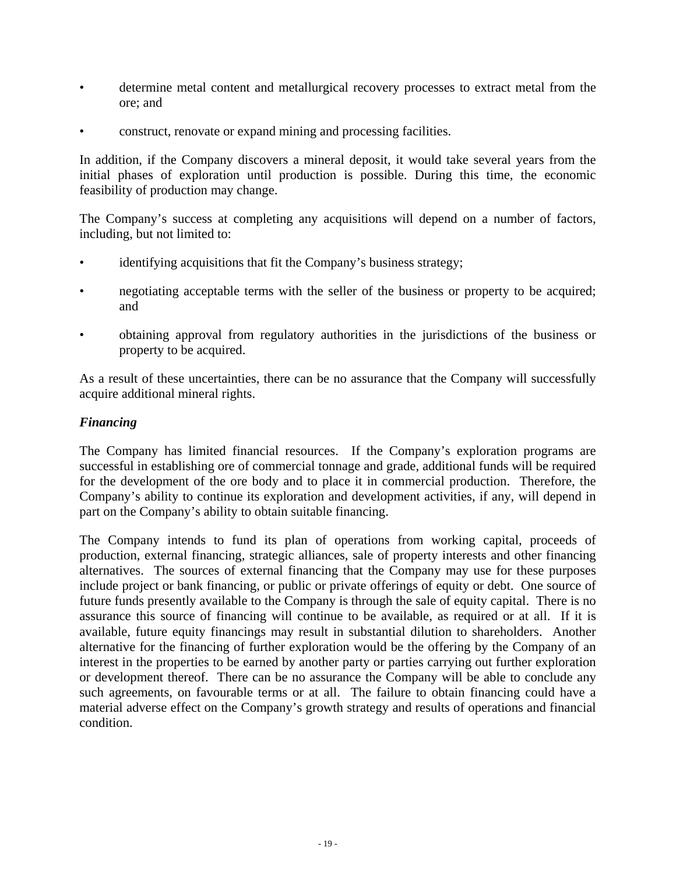- determine metal content and metallurgical recovery processes to extract metal from the ore; and
- construct, renovate or expand mining and processing facilities.

In addition, if the Company discovers a mineral deposit, it would take several years from the initial phases of exploration until production is possible. During this time, the economic feasibility of production may change.

The Company's success at completing any acquisitions will depend on a number of factors, including, but not limited to:

- identifying acquisitions that fit the Company's business strategy;
- negotiating acceptable terms with the seller of the business or property to be acquired; and
- obtaining approval from regulatory authorities in the jurisdictions of the business or property to be acquired.

As a result of these uncertainties, there can be no assurance that the Company will successfully acquire additional mineral rights.

#### *Financing*

The Company has limited financial resources. If the Company's exploration programs are successful in establishing ore of commercial tonnage and grade, additional funds will be required for the development of the ore body and to place it in commercial production. Therefore, the Company's ability to continue its exploration and development activities, if any, will depend in part on the Company's ability to obtain suitable financing.

The Company intends to fund its plan of operations from working capital, proceeds of production, external financing, strategic alliances, sale of property interests and other financing alternatives. The sources of external financing that the Company may use for these purposes include project or bank financing, or public or private offerings of equity or debt. One source of future funds presently available to the Company is through the sale of equity capital. There is no assurance this source of financing will continue to be available, as required or at all. If it is available, future equity financings may result in substantial dilution to shareholders. Another alternative for the financing of further exploration would be the offering by the Company of an interest in the properties to be earned by another party or parties carrying out further exploration or development thereof. There can be no assurance the Company will be able to conclude any such agreements, on favourable terms or at all. The failure to obtain financing could have a material adverse effect on the Company's growth strategy and results of operations and financial condition.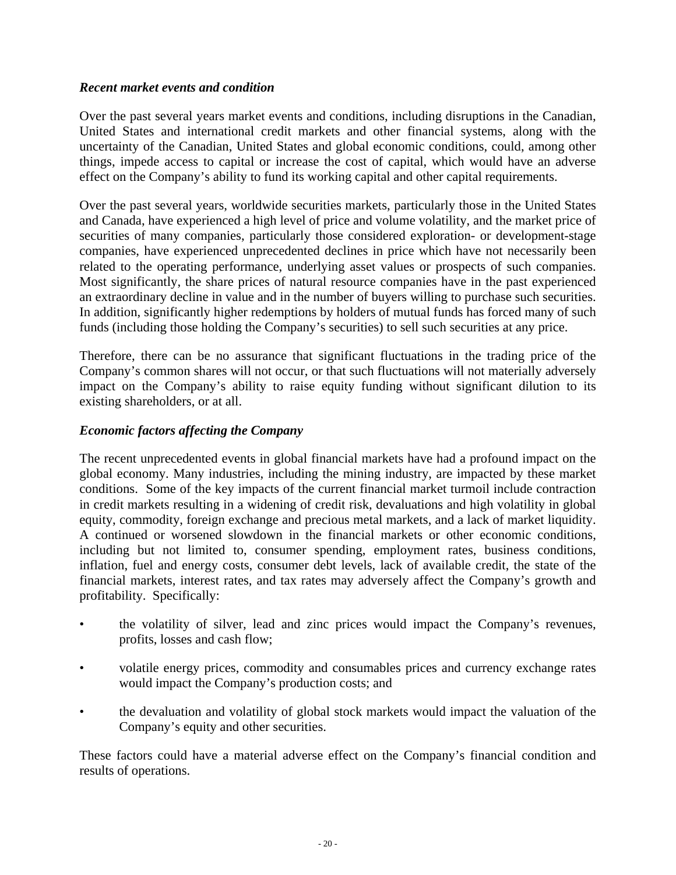#### *Recent market events and condition*

Over the past several years market events and conditions, including disruptions in the Canadian, United States and international credit markets and other financial systems, along with the uncertainty of the Canadian, United States and global economic conditions, could, among other things, impede access to capital or increase the cost of capital, which would have an adverse effect on the Company's ability to fund its working capital and other capital requirements.

Over the past several years, worldwide securities markets, particularly those in the United States and Canada, have experienced a high level of price and volume volatility, and the market price of securities of many companies, particularly those considered exploration- or development-stage companies, have experienced unprecedented declines in price which have not necessarily been related to the operating performance, underlying asset values or prospects of such companies. Most significantly, the share prices of natural resource companies have in the past experienced an extraordinary decline in value and in the number of buyers willing to purchase such securities. In addition, significantly higher redemptions by holders of mutual funds has forced many of such funds (including those holding the Company's securities) to sell such securities at any price.

Therefore, there can be no assurance that significant fluctuations in the trading price of the Company's common shares will not occur, or that such fluctuations will not materially adversely impact on the Company's ability to raise equity funding without significant dilution to its existing shareholders, or at all.

#### *Economic factors affecting the Company*

The recent unprecedented events in global financial markets have had a profound impact on the global economy. Many industries, including the mining industry, are impacted by these market conditions. Some of the key impacts of the current financial market turmoil include contraction in credit markets resulting in a widening of credit risk, devaluations and high volatility in global equity, commodity, foreign exchange and precious metal markets, and a lack of market liquidity. A continued or worsened slowdown in the financial markets or other economic conditions, including but not limited to, consumer spending, employment rates, business conditions, inflation, fuel and energy costs, consumer debt levels, lack of available credit, the state of the financial markets, interest rates, and tax rates may adversely affect the Company's growth and profitability. Specifically:

- the volatility of silver, lead and zinc prices would impact the Company's revenues, profits, losses and cash flow;
- volatile energy prices, commodity and consumables prices and currency exchange rates would impact the Company's production costs; and
- the devaluation and volatility of global stock markets would impact the valuation of the Company's equity and other securities.

These factors could have a material adverse effect on the Company's financial condition and results of operations.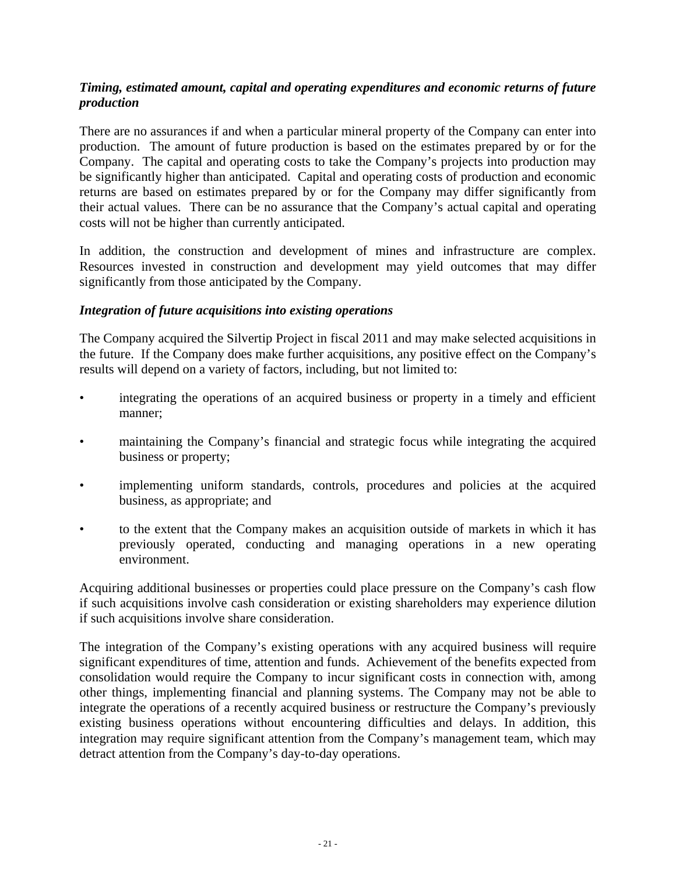#### *Timing, estimated amount, capital and operating expenditures and economic returns of future production*

There are no assurances if and when a particular mineral property of the Company can enter into production. The amount of future production is based on the estimates prepared by or for the Company. The capital and operating costs to take the Company's projects into production may be significantly higher than anticipated. Capital and operating costs of production and economic returns are based on estimates prepared by or for the Company may differ significantly from their actual values. There can be no assurance that the Company's actual capital and operating costs will not be higher than currently anticipated.

In addition, the construction and development of mines and infrastructure are complex. Resources invested in construction and development may yield outcomes that may differ significantly from those anticipated by the Company.

#### *Integration of future acquisitions into existing operations*

The Company acquired the Silvertip Project in fiscal 2011 and may make selected acquisitions in the future. If the Company does make further acquisitions, any positive effect on the Company's results will depend on a variety of factors, including, but not limited to:

- integrating the operations of an acquired business or property in a timely and efficient manner;
- maintaining the Company's financial and strategic focus while integrating the acquired business or property;
- implementing uniform standards, controls, procedures and policies at the acquired business, as appropriate; and
- to the extent that the Company makes an acquisition outside of markets in which it has previously operated, conducting and managing operations in a new operating environment.

Acquiring additional businesses or properties could place pressure on the Company's cash flow if such acquisitions involve cash consideration or existing shareholders may experience dilution if such acquisitions involve share consideration.

The integration of the Company's existing operations with any acquired business will require significant expenditures of time, attention and funds. Achievement of the benefits expected from consolidation would require the Company to incur significant costs in connection with, among other things, implementing financial and planning systems. The Company may not be able to integrate the operations of a recently acquired business or restructure the Company's previously existing business operations without encountering difficulties and delays. In addition, this integration may require significant attention from the Company's management team, which may detract attention from the Company's day-to-day operations.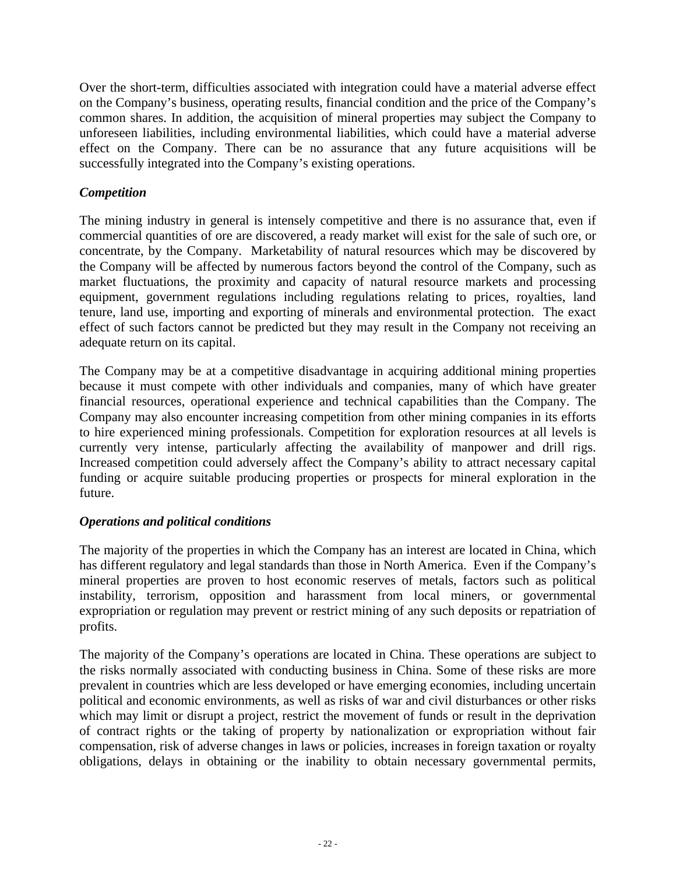Over the short-term, difficulties associated with integration could have a material adverse effect on the Company's business, operating results, financial condition and the price of the Company's common shares. In addition, the acquisition of mineral properties may subject the Company to unforeseen liabilities, including environmental liabilities, which could have a material adverse effect on the Company. There can be no assurance that any future acquisitions will be successfully integrated into the Company's existing operations.

## *Competition*

The mining industry in general is intensely competitive and there is no assurance that, even if commercial quantities of ore are discovered, a ready market will exist for the sale of such ore, or concentrate, by the Company. Marketability of natural resources which may be discovered by the Company will be affected by numerous factors beyond the control of the Company, such as market fluctuations, the proximity and capacity of natural resource markets and processing equipment, government regulations including regulations relating to prices, royalties, land tenure, land use, importing and exporting of minerals and environmental protection. The exact effect of such factors cannot be predicted but they may result in the Company not receiving an adequate return on its capital.

The Company may be at a competitive disadvantage in acquiring additional mining properties because it must compete with other individuals and companies, many of which have greater financial resources, operational experience and technical capabilities than the Company. The Company may also encounter increasing competition from other mining companies in its efforts to hire experienced mining professionals. Competition for exploration resources at all levels is currently very intense, particularly affecting the availability of manpower and drill rigs. Increased competition could adversely affect the Company's ability to attract necessary capital funding or acquire suitable producing properties or prospects for mineral exploration in the future.

## *Operations and political conditions*

The majority of the properties in which the Company has an interest are located in China, which has different regulatory and legal standards than those in North America. Even if the Company's mineral properties are proven to host economic reserves of metals, factors such as political instability, terrorism, opposition and harassment from local miners, or governmental expropriation or regulation may prevent or restrict mining of any such deposits or repatriation of profits.

The majority of the Company's operations are located in China. These operations are subject to the risks normally associated with conducting business in China. Some of these risks are more prevalent in countries which are less developed or have emerging economies, including uncertain political and economic environments, as well as risks of war and civil disturbances or other risks which may limit or disrupt a project, restrict the movement of funds or result in the deprivation of contract rights or the taking of property by nationalization or expropriation without fair compensation, risk of adverse changes in laws or policies, increases in foreign taxation or royalty obligations, delays in obtaining or the inability to obtain necessary governmental permits,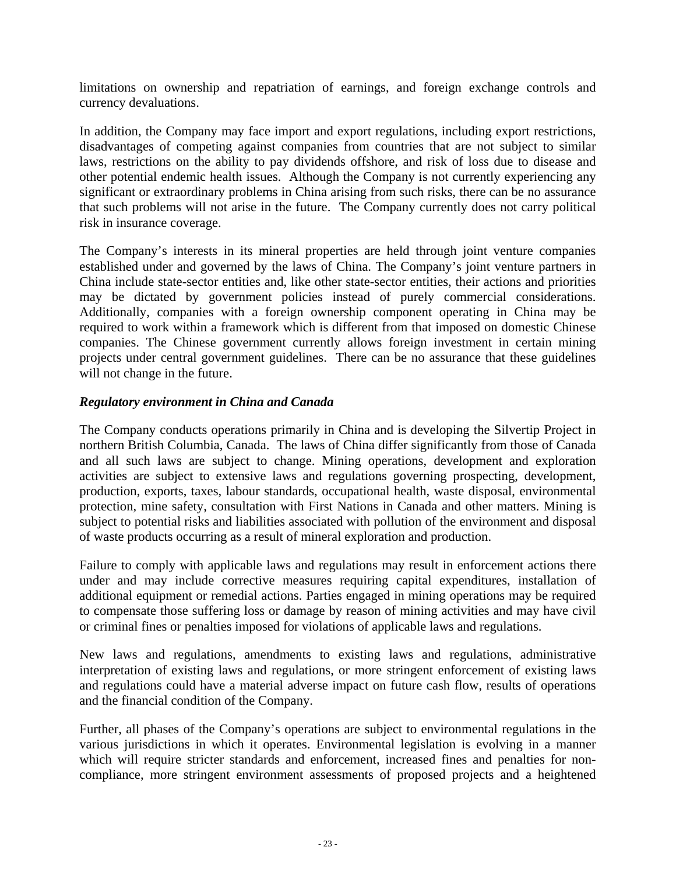limitations on ownership and repatriation of earnings, and foreign exchange controls and currency devaluations.

In addition, the Company may face import and export regulations, including export restrictions, disadvantages of competing against companies from countries that are not subject to similar laws, restrictions on the ability to pay dividends offshore, and risk of loss due to disease and other potential endemic health issues. Although the Company is not currently experiencing any significant or extraordinary problems in China arising from such risks, there can be no assurance that such problems will not arise in the future. The Company currently does not carry political risk in insurance coverage.

The Company's interests in its mineral properties are held through joint venture companies established under and governed by the laws of China. The Company's joint venture partners in China include state-sector entities and, like other state-sector entities, their actions and priorities may be dictated by government policies instead of purely commercial considerations. Additionally, companies with a foreign ownership component operating in China may be required to work within a framework which is different from that imposed on domestic Chinese companies. The Chinese government currently allows foreign investment in certain mining projects under central government guidelines. There can be no assurance that these guidelines will not change in the future.

#### *Regulatory environment in China and Canada*

The Company conducts operations primarily in China and is developing the Silvertip Project in northern British Columbia, Canada. The laws of China differ significantly from those of Canada and all such laws are subject to change. Mining operations, development and exploration activities are subject to extensive laws and regulations governing prospecting, development, production, exports, taxes, labour standards, occupational health, waste disposal, environmental protection, mine safety, consultation with First Nations in Canada and other matters. Mining is subject to potential risks and liabilities associated with pollution of the environment and disposal of waste products occurring as a result of mineral exploration and production.

Failure to comply with applicable laws and regulations may result in enforcement actions there under and may include corrective measures requiring capital expenditures, installation of additional equipment or remedial actions. Parties engaged in mining operations may be required to compensate those suffering loss or damage by reason of mining activities and may have civil or criminal fines or penalties imposed for violations of applicable laws and regulations.

New laws and regulations, amendments to existing laws and regulations, administrative interpretation of existing laws and regulations, or more stringent enforcement of existing laws and regulations could have a material adverse impact on future cash flow, results of operations and the financial condition of the Company.

Further, all phases of the Company's operations are subject to environmental regulations in the various jurisdictions in which it operates. Environmental legislation is evolving in a manner which will require stricter standards and enforcement, increased fines and penalties for noncompliance, more stringent environment assessments of proposed projects and a heightened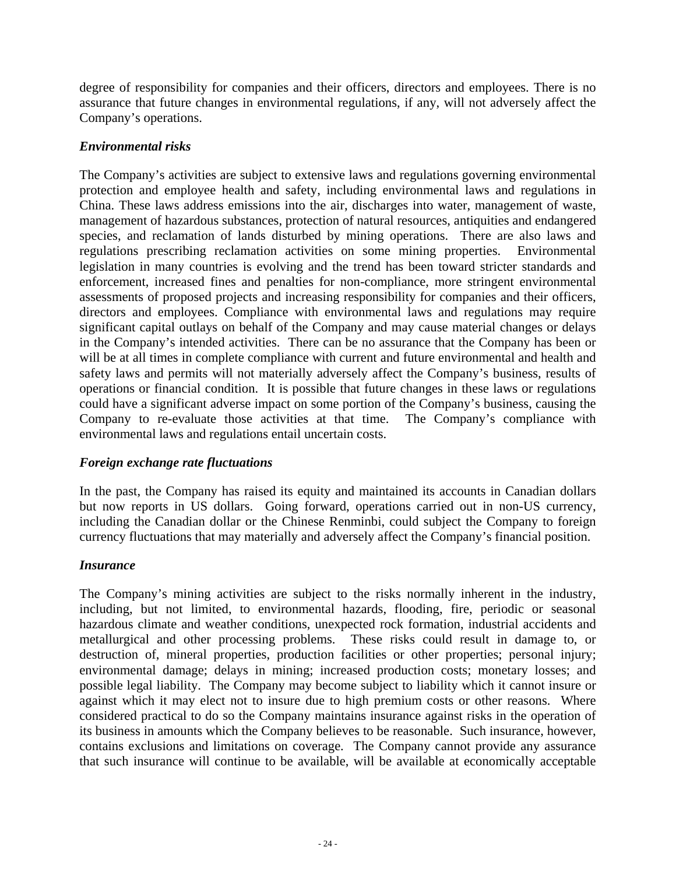degree of responsibility for companies and their officers, directors and employees. There is no assurance that future changes in environmental regulations, if any, will not adversely affect the Company's operations.

## *Environmental risks*

The Company's activities are subject to extensive laws and regulations governing environmental protection and employee health and safety, including environmental laws and regulations in China. These laws address emissions into the air, discharges into water, management of waste, management of hazardous substances, protection of natural resources, antiquities and endangered species, and reclamation of lands disturbed by mining operations. There are also laws and regulations prescribing reclamation activities on some mining properties. Environmental legislation in many countries is evolving and the trend has been toward stricter standards and enforcement, increased fines and penalties for non-compliance, more stringent environmental assessments of proposed projects and increasing responsibility for companies and their officers, directors and employees. Compliance with environmental laws and regulations may require significant capital outlays on behalf of the Company and may cause material changes or delays in the Company's intended activities. There can be no assurance that the Company has been or will be at all times in complete compliance with current and future environmental and health and safety laws and permits will not materially adversely affect the Company's business, results of operations or financial condition. It is possible that future changes in these laws or regulations could have a significant adverse impact on some portion of the Company's business, causing the Company to re-evaluate those activities at that time. The Company's compliance with environmental laws and regulations entail uncertain costs.

#### *Foreign exchange rate fluctuations*

In the past, the Company has raised its equity and maintained its accounts in Canadian dollars but now reports in US dollars. Going forward, operations carried out in non-US currency, including the Canadian dollar or the Chinese Renminbi, could subject the Company to foreign currency fluctuations that may materially and adversely affect the Company's financial position.

#### *Insurance*

The Company's mining activities are subject to the risks normally inherent in the industry, including, but not limited, to environmental hazards, flooding, fire, periodic or seasonal hazardous climate and weather conditions, unexpected rock formation, industrial accidents and metallurgical and other processing problems. These risks could result in damage to, or destruction of, mineral properties, production facilities or other properties; personal injury; environmental damage; delays in mining; increased production costs; monetary losses; and possible legal liability. The Company may become subject to liability which it cannot insure or against which it may elect not to insure due to high premium costs or other reasons. Where considered practical to do so the Company maintains insurance against risks in the operation of its business in amounts which the Company believes to be reasonable. Such insurance, however, contains exclusions and limitations on coverage. The Company cannot provide any assurance that such insurance will continue to be available, will be available at economically acceptable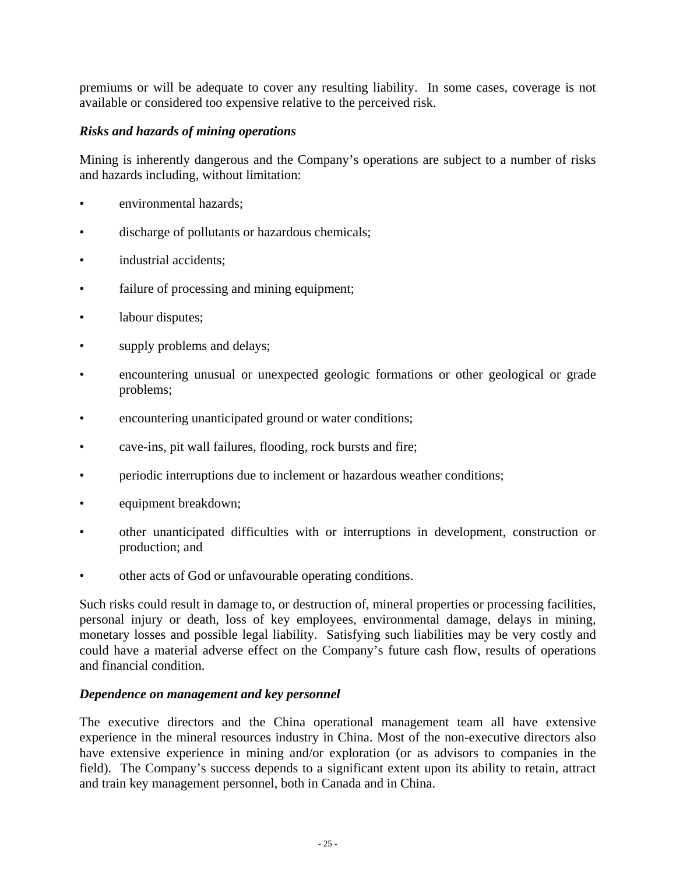premiums or will be adequate to cover any resulting liability. In some cases, coverage is not available or considered too expensive relative to the perceived risk.

#### *Risks and hazards of mining operations*

Mining is inherently dangerous and the Company's operations are subject to a number of risks and hazards including, without limitation:

- environmental hazards;
- discharge of pollutants or hazardous chemicals;
- industrial accidents;
- failure of processing and mining equipment;
- labour disputes;
- supply problems and delays;
- encountering unusual or unexpected geologic formations or other geological or grade problems;
- encountering unanticipated ground or water conditions;
- cave-ins, pit wall failures, flooding, rock bursts and fire;
- periodic interruptions due to inclement or hazardous weather conditions;
- equipment breakdown;
- other unanticipated difficulties with or interruptions in development, construction or production; and
- other acts of God or unfavourable operating conditions.

Such risks could result in damage to, or destruction of, mineral properties or processing facilities, personal injury or death, loss of key employees, environmental damage, delays in mining, monetary losses and possible legal liability. Satisfying such liabilities may be very costly and could have a material adverse effect on the Company's future cash flow, results of operations and financial condition.

#### *Dependence on management and key personnel*

The executive directors and the China operational management team all have extensive experience in the mineral resources industry in China. Most of the non-executive directors also have extensive experience in mining and/or exploration (or as advisors to companies in the field). The Company's success depends to a significant extent upon its ability to retain, attract and train key management personnel, both in Canada and in China.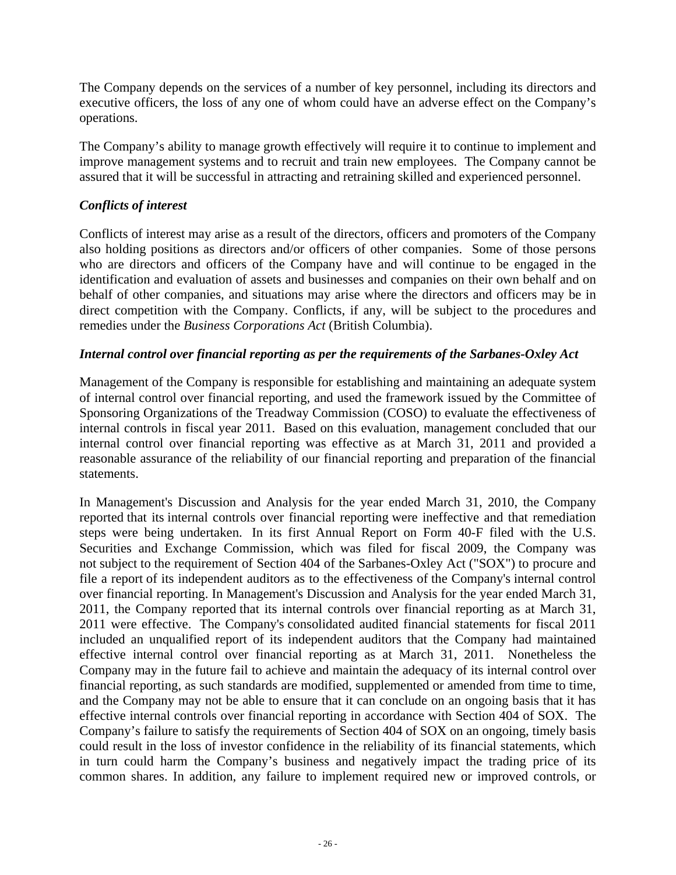The Company depends on the services of a number of key personnel, including its directors and executive officers, the loss of any one of whom could have an adverse effect on the Company's operations.

The Company's ability to manage growth effectively will require it to continue to implement and improve management systems and to recruit and train new employees. The Company cannot be assured that it will be successful in attracting and retraining skilled and experienced personnel.

## *Conflicts of interest*

Conflicts of interest may arise as a result of the directors, officers and promoters of the Company also holding positions as directors and/or officers of other companies. Some of those persons who are directors and officers of the Company have and will continue to be engaged in the identification and evaluation of assets and businesses and companies on their own behalf and on behalf of other companies, and situations may arise where the directors and officers may be in direct competition with the Company. Conflicts, if any, will be subject to the procedures and remedies under the *Business Corporations Act* (British Columbia).

#### *Internal control over financial reporting as per the requirements of the Sarbanes-Oxley Act*

Management of the Company is responsible for establishing and maintaining an adequate system of internal control over financial reporting, and used the framework issued by the Committee of Sponsoring Organizations of the Treadway Commission (COSO) to evaluate the effectiveness of internal controls in fiscal year 2011. Based on this evaluation, management concluded that our internal control over financial reporting was effective as at March 31, 2011 and provided a reasonable assurance of the reliability of our financial reporting and preparation of the financial statements.

In Management's Discussion and Analysis for the year ended March 31, 2010, the Company reported that its internal controls over financial reporting were ineffective and that remediation steps were being undertaken. In its first Annual Report on Form 40-F filed with the U.S. Securities and Exchange Commission, which was filed for fiscal 2009, the Company was not subject to the requirement of Section 404 of the Sarbanes-Oxley Act ("SOX") to procure and file a report of its independent auditors as to the effectiveness of the Company's internal control over financial reporting. In Management's Discussion and Analysis for the year ended March 31, 2011, the Company reported that its internal controls over financial reporting as at March 31, 2011 were effective. The Company's consolidated audited financial statements for fiscal 2011 included an unqualified report of its independent auditors that the Company had maintained effective internal control over financial reporting as at March 31, 2011. Nonetheless the Company may in the future fail to achieve and maintain the adequacy of its internal control over financial reporting, as such standards are modified, supplemented or amended from time to time, and the Company may not be able to ensure that it can conclude on an ongoing basis that it has effective internal controls over financial reporting in accordance with Section 404 of SOX. The Company's failure to satisfy the requirements of Section 404 of SOX on an ongoing, timely basis could result in the loss of investor confidence in the reliability of its financial statements, which in turn could harm the Company's business and negatively impact the trading price of its common shares. In addition, any failure to implement required new or improved controls, or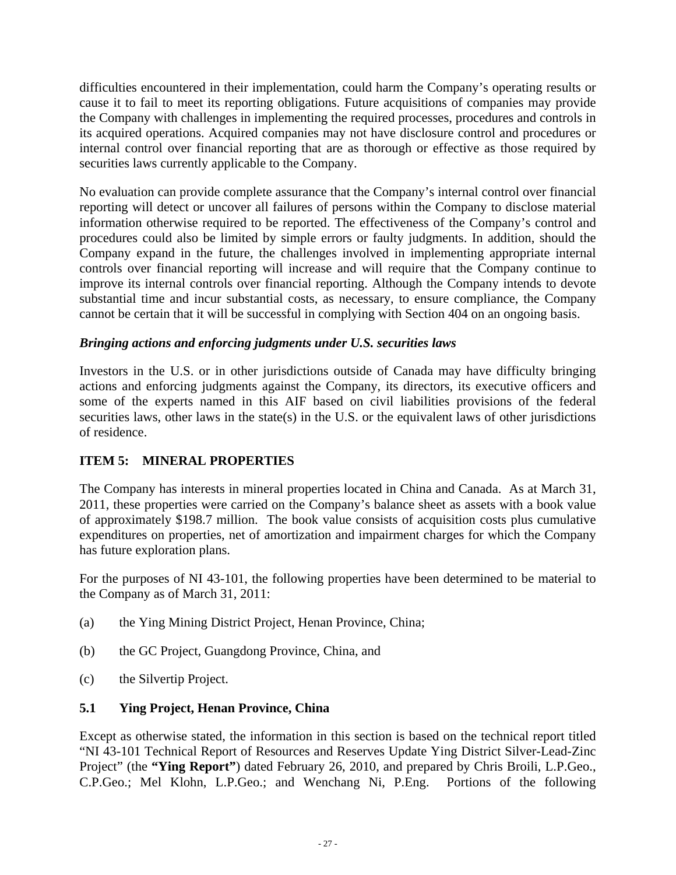difficulties encountered in their implementation, could harm the Company's operating results or cause it to fail to meet its reporting obligations. Future acquisitions of companies may provide the Company with challenges in implementing the required processes, procedures and controls in its acquired operations. Acquired companies may not have disclosure control and procedures or internal control over financial reporting that are as thorough or effective as those required by securities laws currently applicable to the Company.

No evaluation can provide complete assurance that the Company's internal control over financial reporting will detect or uncover all failures of persons within the Company to disclose material information otherwise required to be reported. The effectiveness of the Company's control and procedures could also be limited by simple errors or faulty judgments. In addition, should the Company expand in the future, the challenges involved in implementing appropriate internal controls over financial reporting will increase and will require that the Company continue to improve its internal controls over financial reporting. Although the Company intends to devote substantial time and incur substantial costs, as necessary, to ensure compliance, the Company cannot be certain that it will be successful in complying with Section 404 on an ongoing basis.

## *Bringing actions and enforcing judgments under U.S. securities laws*

Investors in the U.S. or in other jurisdictions outside of Canada may have difficulty bringing actions and enforcing judgments against the Company, its directors, its executive officers and some of the experts named in this AIF based on civil liabilities provisions of the federal securities laws, other laws in the state(s) in the U.S. or the equivalent laws of other jurisdictions of residence.

# **ITEM 5: MINERAL PROPERTIES**

The Company has interests in mineral properties located in China and Canada. As at March 31, 2011, these properties were carried on the Company's balance sheet as assets with a book value of approximately \$198.7 million. The book value consists of acquisition costs plus cumulative expenditures on properties, net of amortization and impairment charges for which the Company has future exploration plans.

For the purposes of NI 43-101, the following properties have been determined to be material to the Company as of March 31, 2011:

- (a) the Ying Mining District Project, Henan Province, China;
- (b) the GC Project, Guangdong Province, China, and
- (c) the Silvertip Project.

# **5.1 Ying Project, Henan Province, China**

Except as otherwise stated, the information in this section is based on the technical report titled "NI 43-101 Technical Report of Resources and Reserves Update Ying District Silver-Lead-Zinc Project" (the **"Ying Report"**) dated February 26, 2010, and prepared by Chris Broili, L.P.Geo., C.P.Geo.; Mel Klohn, L.P.Geo.; and Wenchang Ni, P.Eng. Portions of the following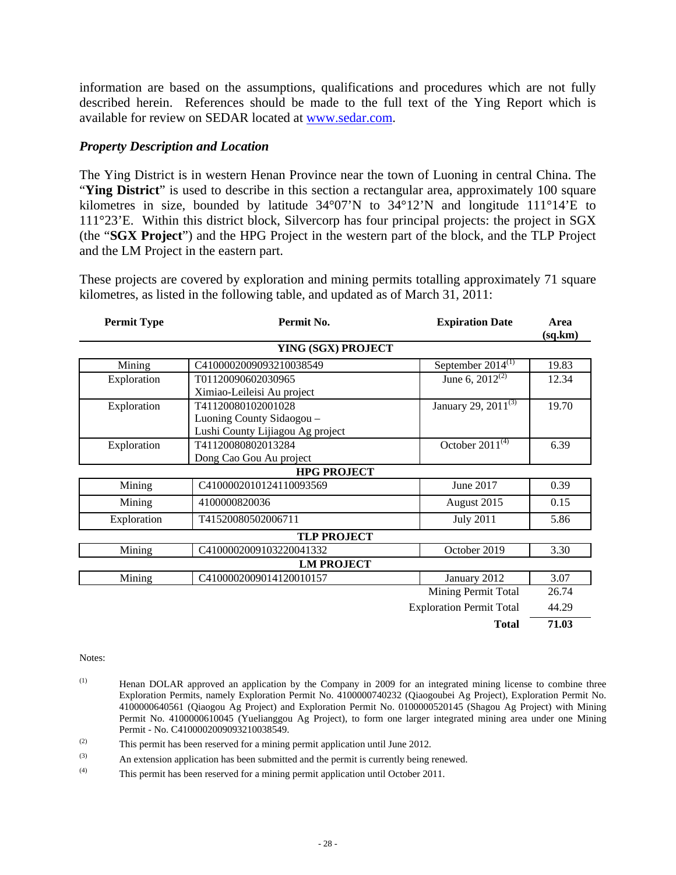information are based on the assumptions, qualifications and procedures which are not fully described herein. References should be made to the full text of the Ying Report which is available for review on SEDAR located at www.sedar.com.

#### *Property Description and Location*

The Ying District is in western Henan Province near the town of Luoning in central China. The "**Ying District**" is used to describe in this section a rectangular area, approximately 100 square kilometres in size, bounded by latitude 34°07'N to 34°12'N and longitude 111°14'E to 111°23'E. Within this district block, Silvercorp has four principal projects: the project in SGX (the "**SGX Project**") and the HPG Project in the western part of the block, and the TLP Project and the LM Project in the eastern part.

These projects are covered by exploration and mining permits totalling approximately 71 square kilometres, as listed in the following table, and updated as of March 31, 2011:

| <b>Permit Type</b> | Permit No.                       | <b>Expiration Date</b>          | Area     |
|--------------------|----------------------------------|---------------------------------|----------|
|                    |                                  |                                 | (sq, km) |
|                    | YING (SGX) PROJECT               |                                 |          |
| Mining             | C4100002009093210038549          | September $2014^{(1)}$          | 19.83    |
| Exploration        | T01120090602030965               | June 6, $2012^{(2)}$            | 12.34    |
|                    | Ximiao-Leileisi Au project       |                                 |          |
| Exploration        | T41120080102001028               | January 29, 2011 <sup>(3)</sup> | 19.70    |
|                    | Luoning County Sidaogou -        |                                 |          |
|                    | Lushi County Lijiagou Ag project |                                 |          |
| Exploration        | T41120080802013284               | October $2011^{(4)}$            | 6.39     |
|                    | Dong Cao Gou Au project          |                                 |          |
|                    | <b>HPG PROJECT</b>               |                                 |          |
| Mining             | C4100002010124110093569          | June 2017                       | 0.39     |
| Mining             | 4100000820036                    | August 2015                     | 0.15     |
| Exploration        | T41520080502006711               | <b>July 2011</b>                | 5.86     |
|                    | <b>TLP PROJECT</b>               |                                 |          |
| Mining             | C4100002009103220041332          | October 2019                    | 3.30     |
|                    | <b>LM PROJECT</b>                |                                 |          |
| Mining             | C4100002009014120010157          | January 2012                    | 3.07     |
|                    |                                  | Mining Permit Total             | 26.74    |
|                    |                                  | <b>Exploration Permit Total</b> | 44.29    |
|                    |                                  |                                 |          |

**Total 71.03**

Notes:

- (1) Henan DOLAR approved an application by the Company in 2009 for an integrated mining license to combine three Exploration Permits, namely Exploration Permit No. 4100000740232 (Qiaogoubei Ag Project), Exploration Permit No. 4100000640561 (Qiaogou Ag Project) and Exploration Permit No. 0100000520145 (Shagou Ag Project) with Mining Permit No. 4100000610045 (Yuelianggou Ag Project), to form one larger integrated mining area under one Mining Permit - No. C4100002009093210038549.
- $\chi$ <sup>(2)</sup> This permit has been reserved for a mining permit application until June 2012.
- (3) An extension application has been submitted and the permit is currently being renewed.
- (4) This permit has been reserved for a mining permit application until October 2011.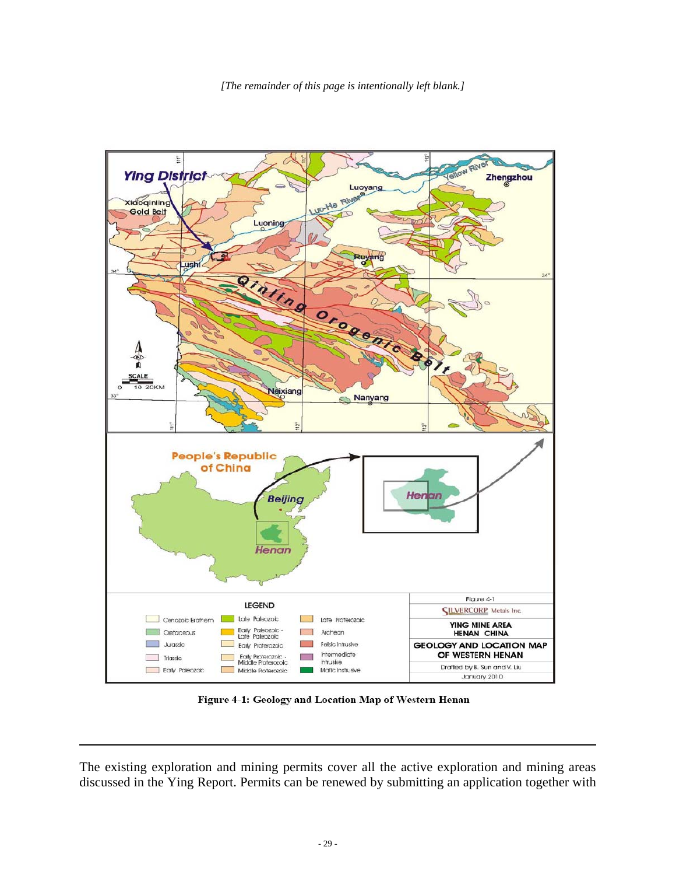

Figure 4-1: Geology and Location Map of Western Henan

The existing exploration and mining permits cover all the active exploration and mining areas discussed in the Ying Report. Permits can be renewed by submitting an application together with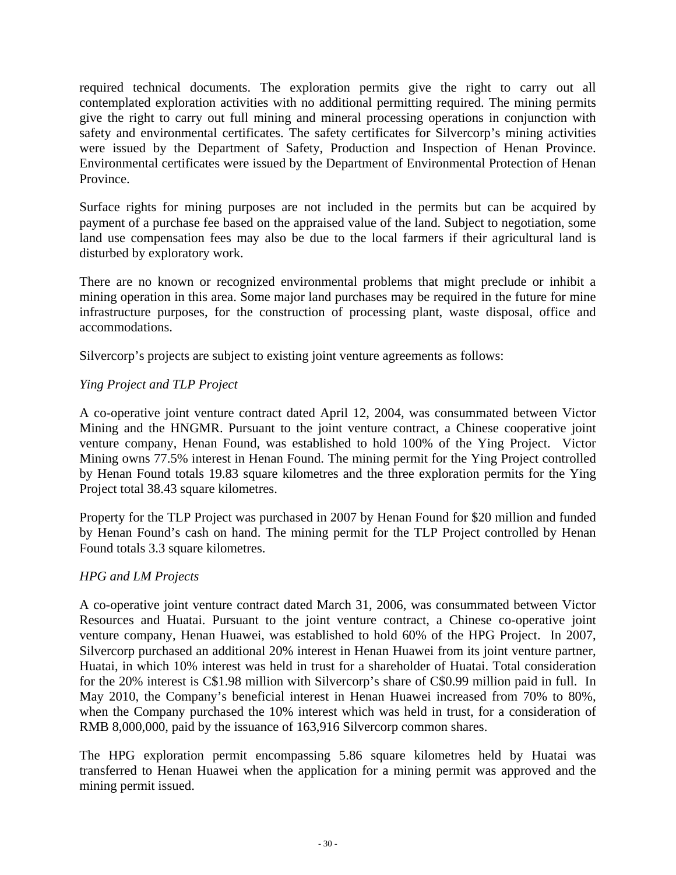required technical documents. The exploration permits give the right to carry out all contemplated exploration activities with no additional permitting required. The mining permits give the right to carry out full mining and mineral processing operations in conjunction with safety and environmental certificates. The safety certificates for Silvercorp's mining activities were issued by the Department of Safety, Production and Inspection of Henan Province. Environmental certificates were issued by the Department of Environmental Protection of Henan Province.

Surface rights for mining purposes are not included in the permits but can be acquired by payment of a purchase fee based on the appraised value of the land. Subject to negotiation, some land use compensation fees may also be due to the local farmers if their agricultural land is disturbed by exploratory work.

There are no known or recognized environmental problems that might preclude or inhibit a mining operation in this area. Some major land purchases may be required in the future for mine infrastructure purposes, for the construction of processing plant, waste disposal, office and accommodations.

Silvercorp's projects are subject to existing joint venture agreements as follows:

## *Ying Project and TLP Project*

A co-operative joint venture contract dated April 12, 2004, was consummated between Victor Mining and the HNGMR. Pursuant to the joint venture contract, a Chinese cooperative joint venture company, Henan Found, was established to hold 100% of the Ying Project. Victor Mining owns 77.5% interest in Henan Found. The mining permit for the Ying Project controlled by Henan Found totals 19.83 square kilometres and the three exploration permits for the Ying Project total 38.43 square kilometres.

Property for the TLP Project was purchased in 2007 by Henan Found for \$20 million and funded by Henan Found's cash on hand. The mining permit for the TLP Project controlled by Henan Found totals 3.3 square kilometres.

## *HPG and LM Projects*

A co-operative joint venture contract dated March 31, 2006, was consummated between Victor Resources and Huatai. Pursuant to the joint venture contract, a Chinese co-operative joint venture company, Henan Huawei, was established to hold 60% of the HPG Project. In 2007, Silvercorp purchased an additional 20% interest in Henan Huawei from its joint venture partner, Huatai, in which 10% interest was held in trust for a shareholder of Huatai. Total consideration for the 20% interest is C\$1.98 million with Silvercorp's share of C\$0.99 million paid in full. In May 2010, the Company's beneficial interest in Henan Huawei increased from 70% to 80%, when the Company purchased the 10% interest which was held in trust, for a consideration of RMB 8,000,000, paid by the issuance of 163,916 Silvercorp common shares.

The HPG exploration permit encompassing 5.86 square kilometres held by Huatai was transferred to Henan Huawei when the application for a mining permit was approved and the mining permit issued.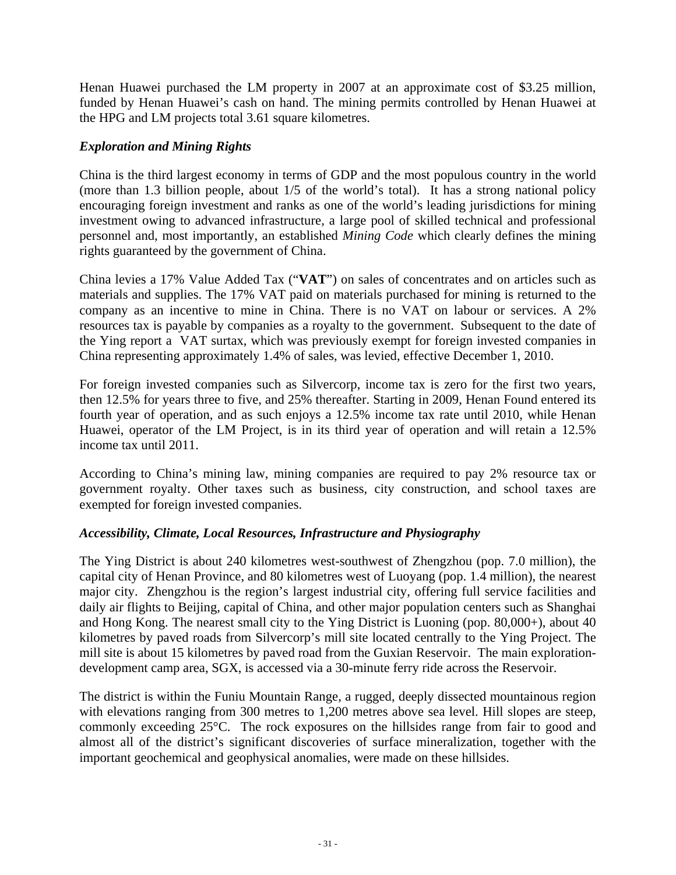Henan Huawei purchased the LM property in 2007 at an approximate cost of \$3.25 million, funded by Henan Huawei's cash on hand. The mining permits controlled by Henan Huawei at the HPG and LM projects total 3.61 square kilometres.

## *Exploration and Mining Rights*

China is the third largest economy in terms of GDP and the most populous country in the world (more than 1.3 billion people, about 1/5 of the world's total). It has a strong national policy encouraging foreign investment and ranks as one of the world's leading jurisdictions for mining investment owing to advanced infrastructure, a large pool of skilled technical and professional personnel and, most importantly, an established *Mining Code* which clearly defines the mining rights guaranteed by the government of China.

China levies a 17% Value Added Tax ("**VAT**") on sales of concentrates and on articles such as materials and supplies. The 17% VAT paid on materials purchased for mining is returned to the company as an incentive to mine in China. There is no VAT on labour or services. A 2% resources tax is payable by companies as a royalty to the government. Subsequent to the date of the Ying report a VAT surtax, which was previously exempt for foreign invested companies in China representing approximately 1.4% of sales, was levied, effective December 1, 2010.

For foreign invested companies such as Silvercorp, income tax is zero for the first two years, then 12.5% for years three to five, and 25% thereafter. Starting in 2009, Henan Found entered its fourth year of operation, and as such enjoys a 12.5% income tax rate until 2010, while Henan Huawei, operator of the LM Project, is in its third year of operation and will retain a 12.5% income tax until 2011.

According to China's mining law, mining companies are required to pay 2% resource tax or government royalty. Other taxes such as business, city construction, and school taxes are exempted for foreign invested companies.

## *Accessibility, Climate, Local Resources, Infrastructure and Physiography*

The Ying District is about 240 kilometres west-southwest of Zhengzhou (pop. 7.0 million), the capital city of Henan Province, and 80 kilometres west of Luoyang (pop. 1.4 million), the nearest major city. Zhengzhou is the region's largest industrial city, offering full service facilities and daily air flights to Beijing, capital of China, and other major population centers such as Shanghai and Hong Kong. The nearest small city to the Ying District is Luoning (pop. 80,000+), about 40 kilometres by paved roads from Silvercorp's mill site located centrally to the Ying Project. The mill site is about 15 kilometres by paved road from the Guxian Reservoir. The main explorationdevelopment camp area, SGX, is accessed via a 30-minute ferry ride across the Reservoir.

The district is within the Funiu Mountain Range, a rugged, deeply dissected mountainous region with elevations ranging from 300 metres to 1,200 metres above sea level. Hill slopes are steep, commonly exceeding 25°C. The rock exposures on the hillsides range from fair to good and almost all of the district's significant discoveries of surface mineralization, together with the important geochemical and geophysical anomalies, were made on these hillsides.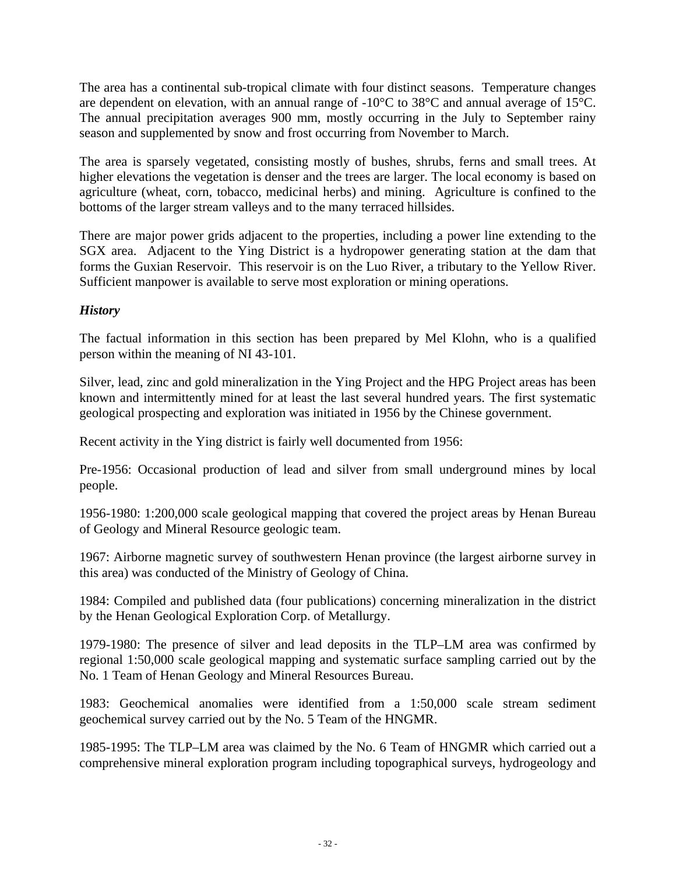The area has a continental sub-tropical climate with four distinct seasons. Temperature changes are dependent on elevation, with an annual range of -10°C to 38°C and annual average of 15°C. The annual precipitation averages 900 mm, mostly occurring in the July to September rainy season and supplemented by snow and frost occurring from November to March.

The area is sparsely vegetated, consisting mostly of bushes, shrubs, ferns and small trees. At higher elevations the vegetation is denser and the trees are larger. The local economy is based on agriculture (wheat, corn, tobacco, medicinal herbs) and mining. Agriculture is confined to the bottoms of the larger stream valleys and to the many terraced hillsides.

There are major power grids adjacent to the properties, including a power line extending to the SGX area. Adjacent to the Ying District is a hydropower generating station at the dam that forms the Guxian Reservoir. This reservoir is on the Luo River, a tributary to the Yellow River. Sufficient manpower is available to serve most exploration or mining operations.

## *History*

The factual information in this section has been prepared by Mel Klohn, who is a qualified person within the meaning of NI 43-101.

Silver, lead, zinc and gold mineralization in the Ying Project and the HPG Project areas has been known and intermittently mined for at least the last several hundred years. The first systematic geological prospecting and exploration was initiated in 1956 by the Chinese government.

Recent activity in the Ying district is fairly well documented from 1956:

Pre-1956: Occasional production of lead and silver from small underground mines by local people.

1956-1980: 1:200,000 scale geological mapping that covered the project areas by Henan Bureau of Geology and Mineral Resource geologic team.

1967: Airborne magnetic survey of southwestern Henan province (the largest airborne survey in this area) was conducted of the Ministry of Geology of China.

1984: Compiled and published data (four publications) concerning mineralization in the district by the Henan Geological Exploration Corp. of Metallurgy.

1979-1980: The presence of silver and lead deposits in the TLP–LM area was confirmed by regional 1:50,000 scale geological mapping and systematic surface sampling carried out by the No. 1 Team of Henan Geology and Mineral Resources Bureau.

1983: Geochemical anomalies were identified from a 1:50,000 scale stream sediment geochemical survey carried out by the No. 5 Team of the HNGMR.

1985-1995: The TLP–LM area was claimed by the No. 6 Team of HNGMR which carried out a comprehensive mineral exploration program including topographical surveys, hydrogeology and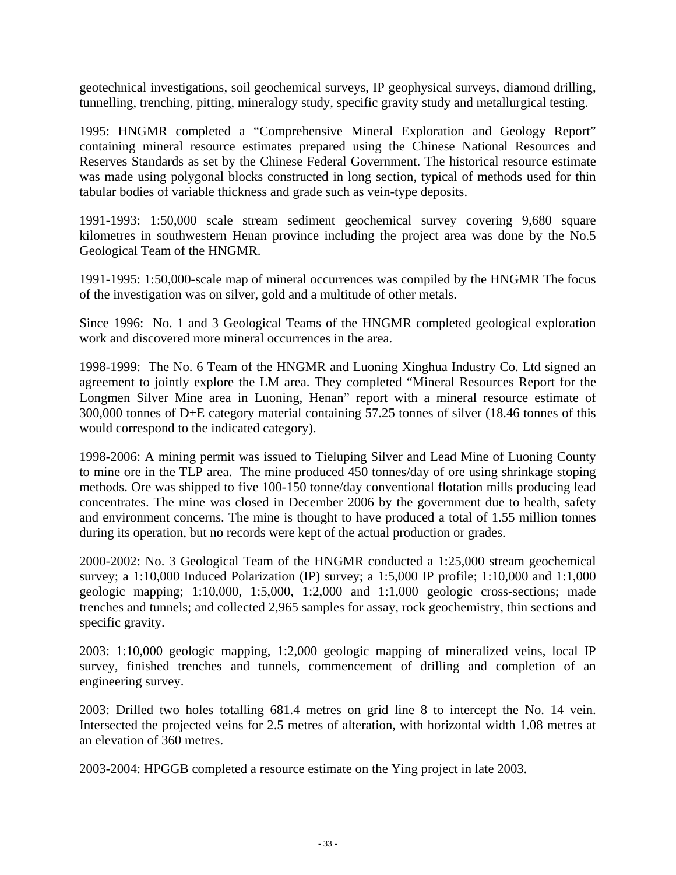geotechnical investigations, soil geochemical surveys, IP geophysical surveys, diamond drilling, tunnelling, trenching, pitting, mineralogy study, specific gravity study and metallurgical testing.

1995: HNGMR completed a "Comprehensive Mineral Exploration and Geology Report" containing mineral resource estimates prepared using the Chinese National Resources and Reserves Standards as set by the Chinese Federal Government. The historical resource estimate was made using polygonal blocks constructed in long section, typical of methods used for thin tabular bodies of variable thickness and grade such as vein-type deposits.

1991-1993: 1:50,000 scale stream sediment geochemical survey covering 9,680 square kilometres in southwestern Henan province including the project area was done by the No.5 Geological Team of the HNGMR.

1991-1995: 1:50,000-scale map of mineral occurrences was compiled by the HNGMR The focus of the investigation was on silver, gold and a multitude of other metals.

Since 1996: No. 1 and 3 Geological Teams of the HNGMR completed geological exploration work and discovered more mineral occurrences in the area.

1998-1999: The No. 6 Team of the HNGMR and Luoning Xinghua Industry Co. Ltd signed an agreement to jointly explore the LM area. They completed "Mineral Resources Report for the Longmen Silver Mine area in Luoning, Henan" report with a mineral resource estimate of 300,000 tonnes of D+E category material containing 57.25 tonnes of silver (18.46 tonnes of this would correspond to the indicated category).

1998-2006: A mining permit was issued to Tieluping Silver and Lead Mine of Luoning County to mine ore in the TLP area. The mine produced 450 tonnes/day of ore using shrinkage stoping methods. Ore was shipped to five 100-150 tonne/day conventional flotation mills producing lead concentrates. The mine was closed in December 2006 by the government due to health, safety and environment concerns. The mine is thought to have produced a total of 1.55 million tonnes during its operation, but no records were kept of the actual production or grades.

2000-2002: No. 3 Geological Team of the HNGMR conducted a 1:25,000 stream geochemical survey; a 1:10,000 Induced Polarization (IP) survey; a 1:5,000 IP profile; 1:10,000 and 1:1,000 geologic mapping; 1:10,000, 1:5,000, 1:2,000 and 1:1,000 geologic cross-sections; made trenches and tunnels; and collected 2,965 samples for assay, rock geochemistry, thin sections and specific gravity.

2003: 1:10,000 geologic mapping, 1:2,000 geologic mapping of mineralized veins, local IP survey, finished trenches and tunnels, commencement of drilling and completion of an engineering survey.

2003: Drilled two holes totalling 681.4 metres on grid line 8 to intercept the No. 14 vein. Intersected the projected veins for 2.5 metres of alteration, with horizontal width 1.08 metres at an elevation of 360 metres.

2003-2004: HPGGB completed a resource estimate on the Ying project in late 2003.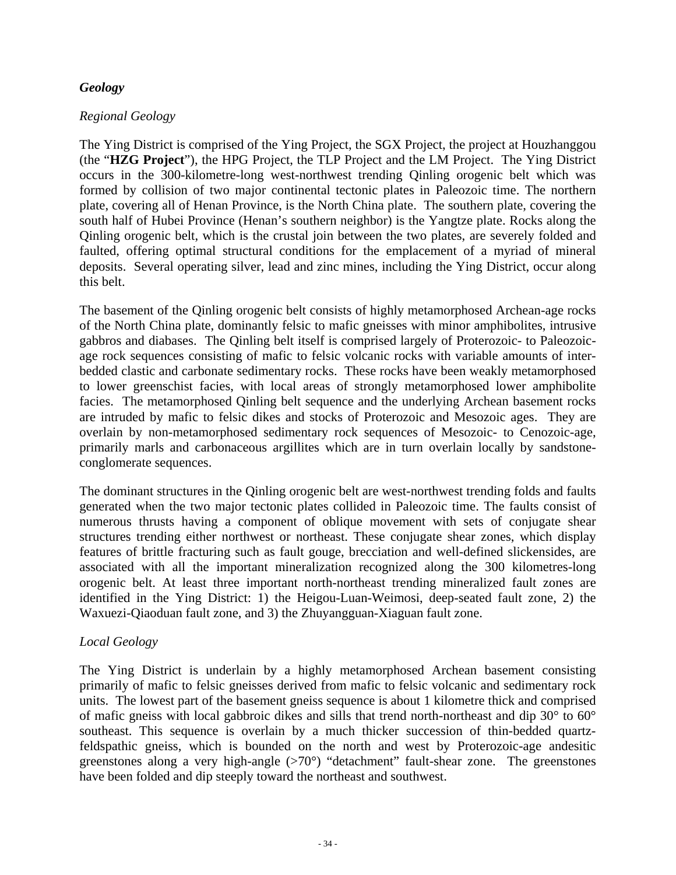### *Geology*

### *Regional Geology*

The Ying District is comprised of the Ying Project, the SGX Project, the project at Houzhanggou (the "**HZG Project**"), the HPG Project, the TLP Project and the LM Project. The Ying District occurs in the 300-kilometre-long west-northwest trending Qinling orogenic belt which was formed by collision of two major continental tectonic plates in Paleozoic time. The northern plate, covering all of Henan Province, is the North China plate. The southern plate, covering the south half of Hubei Province (Henan's southern neighbor) is the Yangtze plate. Rocks along the Qinling orogenic belt, which is the crustal join between the two plates, are severely folded and faulted, offering optimal structural conditions for the emplacement of a myriad of mineral deposits. Several operating silver, lead and zinc mines, including the Ying District, occur along this belt.

The basement of the Qinling orogenic belt consists of highly metamorphosed Archean-age rocks of the North China plate, dominantly felsic to mafic gneisses with minor amphibolites, intrusive gabbros and diabases. The Qinling belt itself is comprised largely of Proterozoic- to Paleozoicage rock sequences consisting of mafic to felsic volcanic rocks with variable amounts of interbedded clastic and carbonate sedimentary rocks. These rocks have been weakly metamorphosed to lower greenschist facies, with local areas of strongly metamorphosed lower amphibolite facies. The metamorphosed Qinling belt sequence and the underlying Archean basement rocks are intruded by mafic to felsic dikes and stocks of Proterozoic and Mesozoic ages. They are overlain by non-metamorphosed sedimentary rock sequences of Mesozoic- to Cenozoic-age, primarily marls and carbonaceous argillites which are in turn overlain locally by sandstoneconglomerate sequences.

The dominant structures in the Qinling orogenic belt are west-northwest trending folds and faults generated when the two major tectonic plates collided in Paleozoic time. The faults consist of numerous thrusts having a component of oblique movement with sets of conjugate shear structures trending either northwest or northeast. These conjugate shear zones, which display features of brittle fracturing such as fault gouge, brecciation and well-defined slickensides, are associated with all the important mineralization recognized along the 300 kilometres-long orogenic belt. At least three important north-northeast trending mineralized fault zones are identified in the Ying District: 1) the Heigou-Luan-Weimosi, deep-seated fault zone, 2) the Waxuezi-Qiaoduan fault zone, and 3) the Zhuyangguan-Xiaguan fault zone.

# *Local Geology*

The Ying District is underlain by a highly metamorphosed Archean basement consisting primarily of mafic to felsic gneisses derived from mafic to felsic volcanic and sedimentary rock units. The lowest part of the basement gneiss sequence is about 1 kilometre thick and comprised of mafic gneiss with local gabbroic dikes and sills that trend north-northeast and dip 30° to 60° southeast. This sequence is overlain by a much thicker succession of thin-bedded quartzfeldspathic gneiss, which is bounded on the north and west by Proterozoic-age andesitic greenstones along a very high-angle  $(>70^{\circ})$  "detachment" fault-shear zone. The greenstones have been folded and dip steeply toward the northeast and southwest.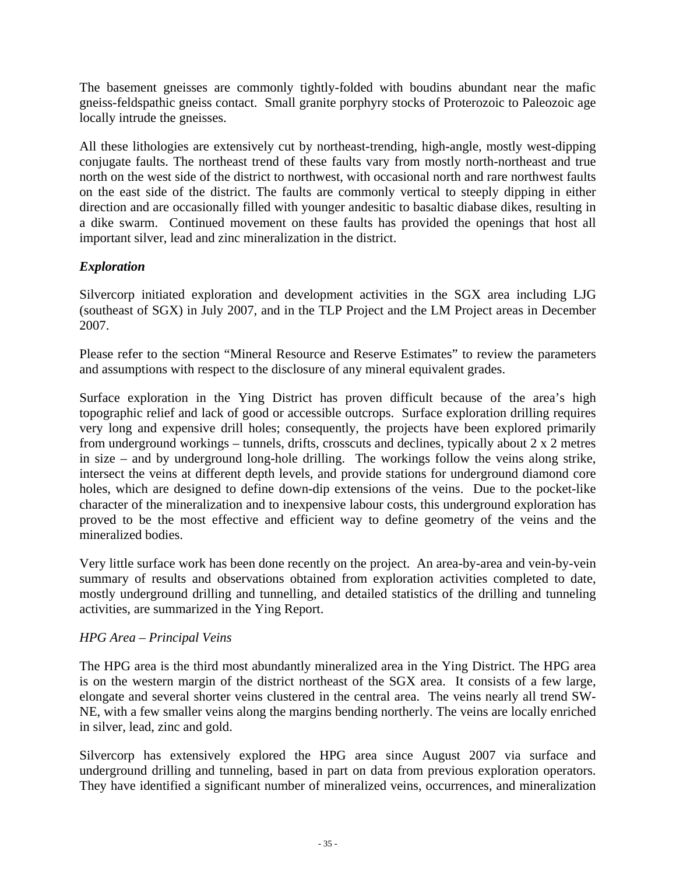The basement gneisses are commonly tightly-folded with boudins abundant near the mafic gneiss-feldspathic gneiss contact. Small granite porphyry stocks of Proterozoic to Paleozoic age locally intrude the gneisses.

All these lithologies are extensively cut by northeast-trending, high-angle, mostly west-dipping conjugate faults. The northeast trend of these faults vary from mostly north-northeast and true north on the west side of the district to northwest, with occasional north and rare northwest faults on the east side of the district. The faults are commonly vertical to steeply dipping in either direction and are occasionally filled with younger andesitic to basaltic diabase dikes, resulting in a dike swarm. Continued movement on these faults has provided the openings that host all important silver, lead and zinc mineralization in the district.

# *Exploration*

Silvercorp initiated exploration and development activities in the SGX area including LJG (southeast of SGX) in July 2007, and in the TLP Project and the LM Project areas in December 2007.

Please refer to the section "Mineral Resource and Reserve Estimates" to review the parameters and assumptions with respect to the disclosure of any mineral equivalent grades.

Surface exploration in the Ying District has proven difficult because of the area's high topographic relief and lack of good or accessible outcrops. Surface exploration drilling requires very long and expensive drill holes; consequently, the projects have been explored primarily from underground workings – tunnels, drifts, crosscuts and declines, typically about 2 x 2 metres in size – and by underground long-hole drilling. The workings follow the veins along strike, intersect the veins at different depth levels, and provide stations for underground diamond core holes, which are designed to define down-dip extensions of the veins. Due to the pocket-like character of the mineralization and to inexpensive labour costs, this underground exploration has proved to be the most effective and efficient way to define geometry of the veins and the mineralized bodies.

Very little surface work has been done recently on the project. An area-by-area and vein-by-vein summary of results and observations obtained from exploration activities completed to date, mostly underground drilling and tunnelling, and detailed statistics of the drilling and tunneling activities, are summarized in the Ying Report.

# *HPG Area – Principal Veins*

The HPG area is the third most abundantly mineralized area in the Ying District. The HPG area is on the western margin of the district northeast of the SGX area. It consists of a few large, elongate and several shorter veins clustered in the central area. The veins nearly all trend SW-NE, with a few smaller veins along the margins bending northerly. The veins are locally enriched in silver, lead, zinc and gold.

Silvercorp has extensively explored the HPG area since August 2007 via surface and underground drilling and tunneling, based in part on data from previous exploration operators. They have identified a significant number of mineralized veins, occurrences, and mineralization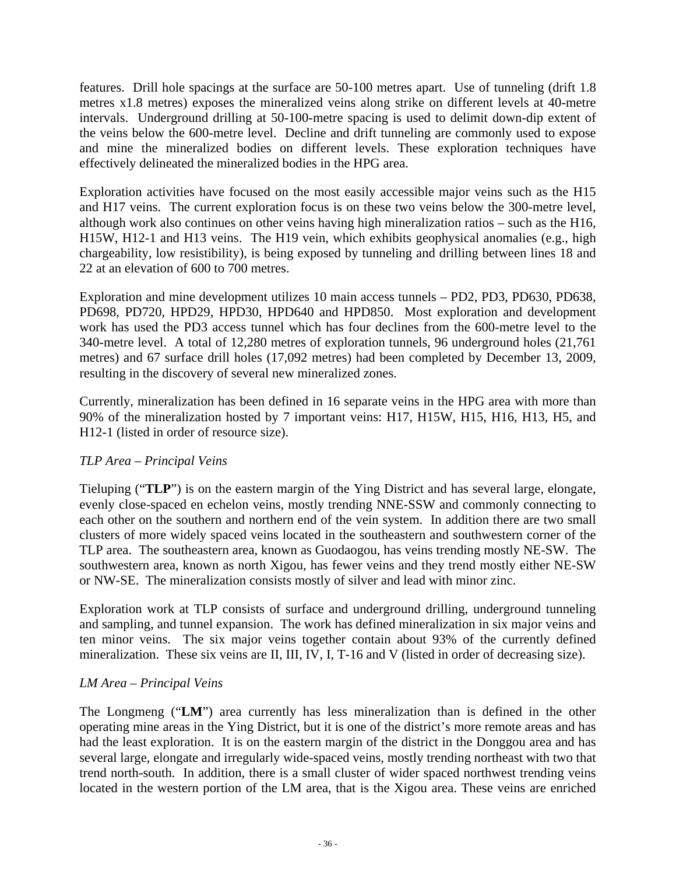features. Drill hole spacings at the surface are 50-100 metres apart. Use of tunneling (drift 1.8 metres x1.8 metres) exposes the mineralized veins along strike on different levels at 40-metre intervals. Underground drilling at 50-100-metre spacing is used to delimit down-dip extent of the veins below the 600-metre level. Decline and drift tunneling are commonly used to expose and mine the mineralized bodies on different levels. These exploration techniques have effectively delineated the mineralized bodies in the HPG area.

Exploration activities have focused on the most easily accessible major veins such as the H15 and H17 veins. The current exploration focus is on these two veins below the 300-metre level, although work also continues on other veins having high mineralization ratios – such as the H16, H15W, H12-1 and H13 veins. The H19 vein, which exhibits geophysical anomalies (e.g., high chargeability, low resistibility), is being exposed by tunneling and drilling between lines 18 and 22 at an elevation of 600 to 700 metres.

Exploration and mine development utilizes 10 main access tunnels – PD2, PD3, PD630, PD638, PD698, PD720, HPD29, HPD30, HPD640 and HPD850. Most exploration and development work has used the PD3 access tunnel which has four declines from the 600-metre level to the 340-metre level. A total of 12,280 metres of exploration tunnels, 96 underground holes (21,761 metres) and 67 surface drill holes (17,092 metres) had been completed by December 13, 2009, resulting in the discovery of several new mineralized zones.

Currently, mineralization has been defined in 16 separate veins in the HPG area with more than 90% of the mineralization hosted by 7 important veins: H17, H15W, H15, H16, H13, H5, and H12-1 (listed in order of resource size).

# *TLP Area – Principal Veins*

Tieluping ("**TLP**") is on the eastern margin of the Ying District and has several large, elongate, evenly close-spaced en echelon veins, mostly trending NNE-SSW and commonly connecting to each other on the southern and northern end of the vein system. In addition there are two small clusters of more widely spaced veins located in the southeastern and southwestern corner of the TLP area. The southeastern area, known as Guodaogou, has veins trending mostly NE-SW. The southwestern area, known as north Xigou, has fewer veins and they trend mostly either NE-SW or NW-SE. The mineralization consists mostly of silver and lead with minor zinc.

Exploration work at TLP consists of surface and underground drilling, underground tunneling and sampling, and tunnel expansion. The work has defined mineralization in six major veins and ten minor veins. The six major veins together contain about 93% of the currently defined mineralization. These six veins are II, III, IV, I, T-16 and V (listed in order of decreasing size).

# *LM Area – Principal Veins*

The Longmeng ("**LM**") area currently has less mineralization than is defined in the other operating mine areas in the Ying District, but it is one of the district's more remote areas and has had the least exploration. It is on the eastern margin of the district in the Donggou area and has several large, elongate and irregularly wide-spaced veins, mostly trending northeast with two that trend north-south. In addition, there is a small cluster of wider spaced northwest trending veins located in the western portion of the LM area, that is the Xigou area. These veins are enriched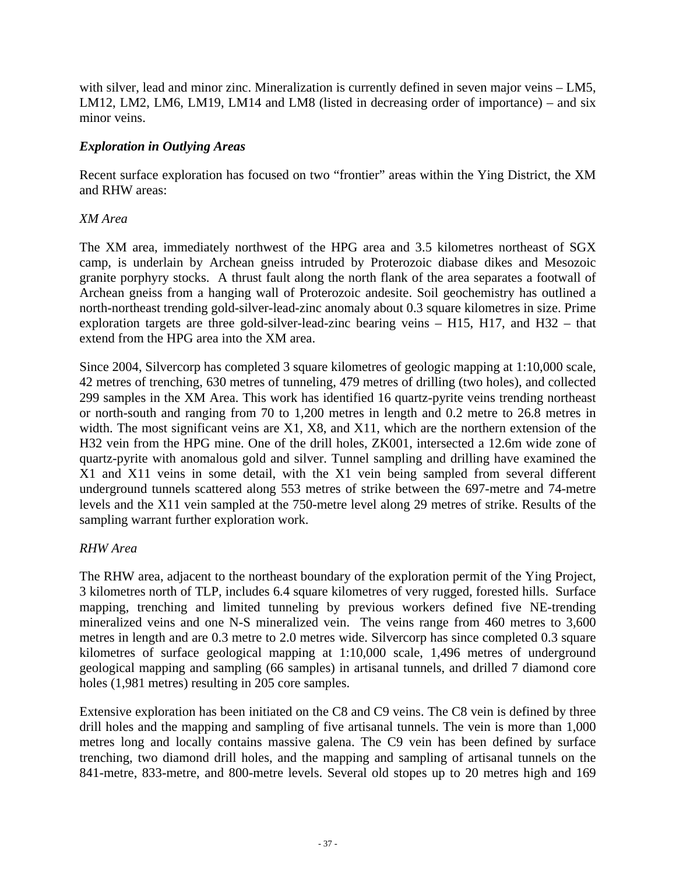with silver, lead and minor zinc. Mineralization is currently defined in seven major veins – LM5, LM12, LM2, LM6, LM19, LM14 and LM8 (listed in decreasing order of importance) – and six minor veins.

### *Exploration in Outlying Areas*

Recent surface exploration has focused on two "frontier" areas within the Ying District, the XM and RHW areas:

### *XM Area*

The XM area, immediately northwest of the HPG area and 3.5 kilometres northeast of SGX camp, is underlain by Archean gneiss intruded by Proterozoic diabase dikes and Mesozoic granite porphyry stocks. A thrust fault along the north flank of the area separates a footwall of Archean gneiss from a hanging wall of Proterozoic andesite. Soil geochemistry has outlined a north-northeast trending gold-silver-lead-zinc anomaly about 0.3 square kilometres in size. Prime exploration targets are three gold-silver-lead-zinc bearing veins – H15, H17, and H32 – that extend from the HPG area into the XM area.

Since 2004, Silvercorp has completed 3 square kilometres of geologic mapping at 1:10,000 scale, 42 metres of trenching, 630 metres of tunneling, 479 metres of drilling (two holes), and collected 299 samples in the XM Area. This work has identified 16 quartz-pyrite veins trending northeast or north-south and ranging from 70 to 1,200 metres in length and 0.2 metre to 26.8 metres in width. The most significant veins are X1, X8, and X11, which are the northern extension of the H32 vein from the HPG mine. One of the drill holes, ZK001, intersected a 12.6m wide zone of quartz-pyrite with anomalous gold and silver. Tunnel sampling and drilling have examined the X1 and X11 veins in some detail, with the X1 vein being sampled from several different underground tunnels scattered along 553 metres of strike between the 697-metre and 74-metre levels and the X11 vein sampled at the 750-metre level along 29 metres of strike. Results of the sampling warrant further exploration work.

# *RHW Area*

The RHW area, adjacent to the northeast boundary of the exploration permit of the Ying Project, 3 kilometres north of TLP, includes 6.4 square kilometres of very rugged, forested hills. Surface mapping, trenching and limited tunneling by previous workers defined five NE-trending mineralized veins and one N-S mineralized vein. The veins range from 460 metres to 3,600 metres in length and are 0.3 metre to 2.0 metres wide. Silvercorp has since completed 0.3 square kilometres of surface geological mapping at 1:10,000 scale, 1,496 metres of underground geological mapping and sampling (66 samples) in artisanal tunnels, and drilled 7 diamond core holes (1,981 metres) resulting in 205 core samples.

Extensive exploration has been initiated on the C8 and C9 veins. The C8 vein is defined by three drill holes and the mapping and sampling of five artisanal tunnels. The vein is more than 1,000 metres long and locally contains massive galena. The C9 vein has been defined by surface trenching, two diamond drill holes, and the mapping and sampling of artisanal tunnels on the 841-metre, 833-metre, and 800-metre levels. Several old stopes up to 20 metres high and 169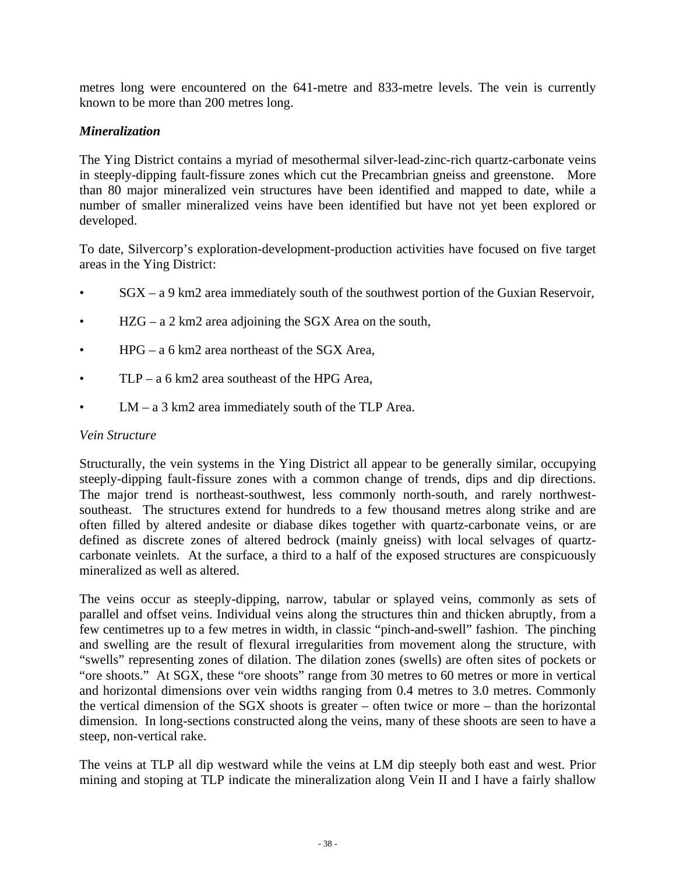metres long were encountered on the 641-metre and 833-metre levels. The vein is currently known to be more than 200 metres long.

# *Mineralization*

The Ying District contains a myriad of mesothermal silver-lead-zinc-rich quartz-carbonate veins in steeply-dipping fault-fissure zones which cut the Precambrian gneiss and greenstone. More than 80 major mineralized vein structures have been identified and mapped to date, while a number of smaller mineralized veins have been identified but have not yet been explored or developed.

To date, Silvercorp's exploration-development-production activities have focused on five target areas in the Ying District:

- $SGX a$  9 km2 area immediately south of the southwest portion of the Guxian Reservoir,
- $HZG a 2 km2$  area adjoining the SGX Area on the south,
- $HPG a 6 km2$  area northeast of the SGX Area,
- $TLP a_0$  6 km2 area southeast of the HPG Area.
- LM a 3 km2 area immediately south of the TLP Area.

### *Vein Structure*

Structurally, the vein systems in the Ying District all appear to be generally similar, occupying steeply-dipping fault-fissure zones with a common change of trends, dips and dip directions. The major trend is northeast-southwest, less commonly north-south, and rarely northwestsoutheast. The structures extend for hundreds to a few thousand metres along strike and are often filled by altered andesite or diabase dikes together with quartz-carbonate veins, or are defined as discrete zones of altered bedrock (mainly gneiss) with local selvages of quartzcarbonate veinlets. At the surface, a third to a half of the exposed structures are conspicuously mineralized as well as altered.

The veins occur as steeply-dipping, narrow, tabular or splayed veins, commonly as sets of parallel and offset veins. Individual veins along the structures thin and thicken abruptly, from a few centimetres up to a few metres in width, in classic "pinch-and-swell" fashion. The pinching and swelling are the result of flexural irregularities from movement along the structure, with "swells" representing zones of dilation. The dilation zones (swells) are often sites of pockets or "ore shoots." At SGX, these "ore shoots" range from 30 metres to 60 metres or more in vertical and horizontal dimensions over vein widths ranging from 0.4 metres to 3.0 metres. Commonly the vertical dimension of the SGX shoots is greater – often twice or more – than the horizontal dimension. In long-sections constructed along the veins, many of these shoots are seen to have a steep, non-vertical rake.

The veins at TLP all dip westward while the veins at LM dip steeply both east and west. Prior mining and stoping at TLP indicate the mineralization along Vein II and I have a fairly shallow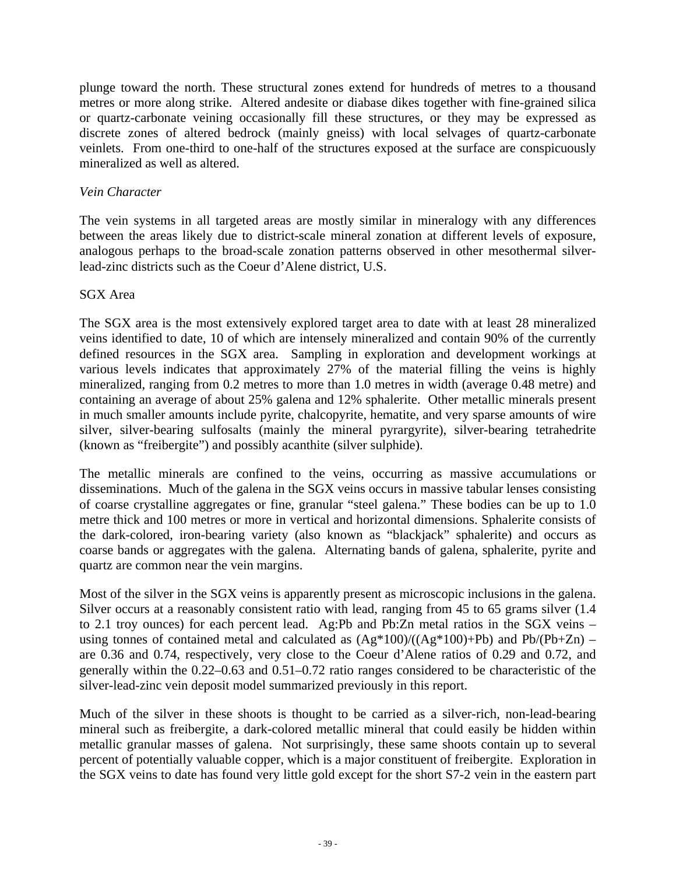plunge toward the north. These structural zones extend for hundreds of metres to a thousand metres or more along strike. Altered andesite or diabase dikes together with fine-grained silica or quartz-carbonate veining occasionally fill these structures, or they may be expressed as discrete zones of altered bedrock (mainly gneiss) with local selvages of quartz-carbonate veinlets. From one-third to one-half of the structures exposed at the surface are conspicuously mineralized as well as altered.

### *Vein Character*

The vein systems in all targeted areas are mostly similar in mineralogy with any differences between the areas likely due to district-scale mineral zonation at different levels of exposure, analogous perhaps to the broad-scale zonation patterns observed in other mesothermal silverlead-zinc districts such as the Coeur d'Alene district, U.S.

### SGX Area

The SGX area is the most extensively explored target area to date with at least 28 mineralized veins identified to date, 10 of which are intensely mineralized and contain 90% of the currently defined resources in the SGX area. Sampling in exploration and development workings at various levels indicates that approximately 27% of the material filling the veins is highly mineralized, ranging from 0.2 metres to more than 1.0 metres in width (average 0.48 metre) and containing an average of about 25% galena and 12% sphalerite. Other metallic minerals present in much smaller amounts include pyrite, chalcopyrite, hematite, and very sparse amounts of wire silver, silver-bearing sulfosalts (mainly the mineral pyrargyrite), silver-bearing tetrahedrite (known as "freibergite") and possibly acanthite (silver sulphide).

The metallic minerals are confined to the veins, occurring as massive accumulations or disseminations. Much of the galena in the SGX veins occurs in massive tabular lenses consisting of coarse crystalline aggregates or fine, granular "steel galena." These bodies can be up to 1.0 metre thick and 100 metres or more in vertical and horizontal dimensions. Sphalerite consists of the dark-colored, iron-bearing variety (also known as "blackjack" sphalerite) and occurs as coarse bands or aggregates with the galena. Alternating bands of galena, sphalerite, pyrite and quartz are common near the vein margins.

Most of the silver in the SGX veins is apparently present as microscopic inclusions in the galena. Silver occurs at a reasonably consistent ratio with lead, ranging from 45 to 65 grams silver  $(1.4)$ to 2.1 troy ounces) for each percent lead. Ag:Pb and Pb:Zn metal ratios in the SGX veins – using tonnes of contained metal and calculated as  $(Ag*100)/((Ag*100)+Pb)$  and  $Pb/(Pb+Zn)$  – are 0.36 and 0.74, respectively, very close to the Coeur d'Alene ratios of 0.29 and 0.72, and generally within the 0.22–0.63 and 0.51–0.72 ratio ranges considered to be characteristic of the silver-lead-zinc vein deposit model summarized previously in this report.

Much of the silver in these shoots is thought to be carried as a silver-rich, non-lead-bearing mineral such as freibergite, a dark-colored metallic mineral that could easily be hidden within metallic granular masses of galena. Not surprisingly, these same shoots contain up to several percent of potentially valuable copper, which is a major constituent of freibergite. Exploration in the SGX veins to date has found very little gold except for the short S7-2 vein in the eastern part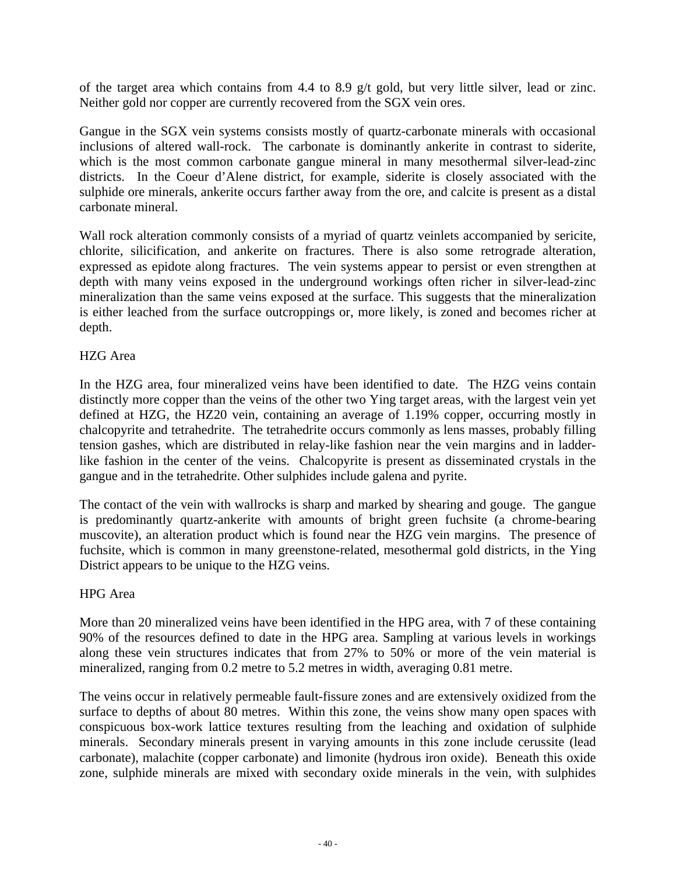of the target area which contains from 4.4 to 8.9 g/t gold, but very little silver, lead or zinc. Neither gold nor copper are currently recovered from the SGX vein ores.

Gangue in the SGX vein systems consists mostly of quartz-carbonate minerals with occasional inclusions of altered wall-rock. The carbonate is dominantly ankerite in contrast to siderite, which is the most common carbonate gangue mineral in many mesothermal silver-lead-zinc districts. In the Coeur d'Alene district, for example, siderite is closely associated with the sulphide ore minerals, ankerite occurs farther away from the ore, and calcite is present as a distal carbonate mineral.

Wall rock alteration commonly consists of a myriad of quartz veinlets accompanied by sericite, chlorite, silicification, and ankerite on fractures. There is also some retrograde alteration, expressed as epidote along fractures. The vein systems appear to persist or even strengthen at depth with many veins exposed in the underground workings often richer in silver-lead-zinc mineralization than the same veins exposed at the surface. This suggests that the mineralization is either leached from the surface outcroppings or, more likely, is zoned and becomes richer at depth.

### HZG Area

In the HZG area, four mineralized veins have been identified to date. The HZG veins contain distinctly more copper than the veins of the other two Ying target areas, with the largest vein yet defined at HZG, the HZ20 vein, containing an average of 1.19% copper, occurring mostly in chalcopyrite and tetrahedrite. The tetrahedrite occurs commonly as lens masses, probably filling tension gashes, which are distributed in relay-like fashion near the vein margins and in ladderlike fashion in the center of the veins. Chalcopyrite is present as disseminated crystals in the gangue and in the tetrahedrite. Other sulphides include galena and pyrite.

The contact of the vein with wallrocks is sharp and marked by shearing and gouge. The gangue is predominantly quartz-ankerite with amounts of bright green fuchsite (a chrome-bearing muscovite), an alteration product which is found near the HZG vein margins. The presence of fuchsite, which is common in many greenstone-related, mesothermal gold districts, in the Ying District appears to be unique to the HZG veins.

### HPG Area

More than 20 mineralized veins have been identified in the HPG area, with 7 of these containing 90% of the resources defined to date in the HPG area. Sampling at various levels in workings along these vein structures indicates that from 27% to 50% or more of the vein material is mineralized, ranging from 0.2 metre to 5.2 metres in width, averaging 0.81 metre.

The veins occur in relatively permeable fault-fissure zones and are extensively oxidized from the surface to depths of about 80 metres. Within this zone, the veins show many open spaces with conspicuous box-work lattice textures resulting from the leaching and oxidation of sulphide minerals. Secondary minerals present in varying amounts in this zone include cerussite (lead carbonate), malachite (copper carbonate) and limonite (hydrous iron oxide). Beneath this oxide zone, sulphide minerals are mixed with secondary oxide minerals in the vein, with sulphides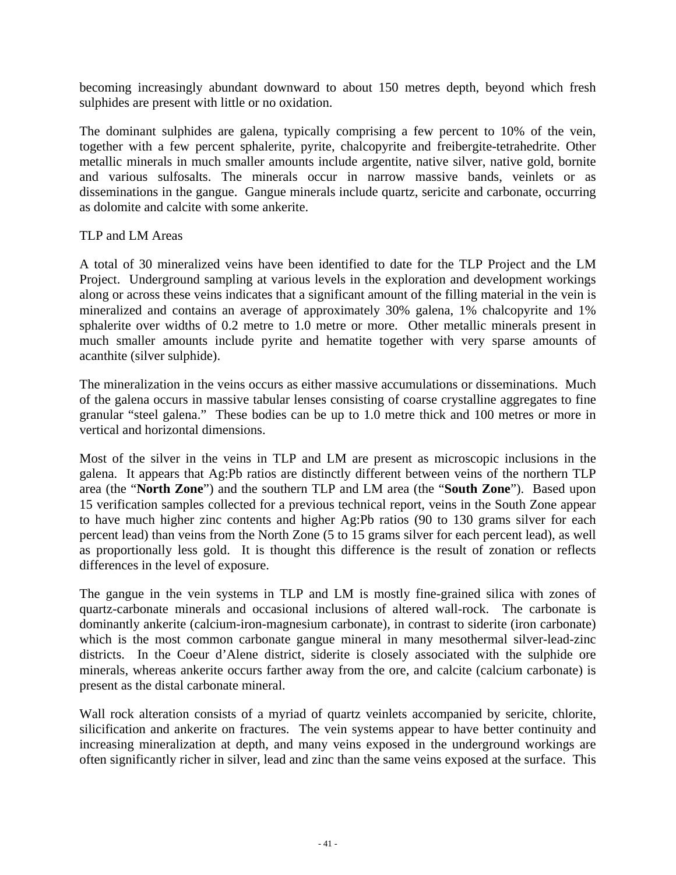becoming increasingly abundant downward to about 150 metres depth, beyond which fresh sulphides are present with little or no oxidation.

The dominant sulphides are galena, typically comprising a few percent to 10% of the vein, together with a few percent sphalerite, pyrite, chalcopyrite and freibergite-tetrahedrite. Other metallic minerals in much smaller amounts include argentite, native silver, native gold, bornite and various sulfosalts. The minerals occur in narrow massive bands, veinlets or as disseminations in the gangue. Gangue minerals include quartz, sericite and carbonate, occurring as dolomite and calcite with some ankerite.

### TLP and LM Areas

A total of 30 mineralized veins have been identified to date for the TLP Project and the LM Project. Underground sampling at various levels in the exploration and development workings along or across these veins indicates that a significant amount of the filling material in the vein is mineralized and contains an average of approximately 30% galena, 1% chalcopyrite and 1% sphalerite over widths of 0.2 metre to 1.0 metre or more. Other metallic minerals present in much smaller amounts include pyrite and hematite together with very sparse amounts of acanthite (silver sulphide).

The mineralization in the veins occurs as either massive accumulations or disseminations. Much of the galena occurs in massive tabular lenses consisting of coarse crystalline aggregates to fine granular "steel galena." These bodies can be up to 1.0 metre thick and 100 metres or more in vertical and horizontal dimensions.

Most of the silver in the veins in TLP and LM are present as microscopic inclusions in the galena. It appears that Ag:Pb ratios are distinctly different between veins of the northern TLP area (the "**North Zone**") and the southern TLP and LM area (the "**South Zone**"). Based upon 15 verification samples collected for a previous technical report, veins in the South Zone appear to have much higher zinc contents and higher Ag:Pb ratios (90 to 130 grams silver for each percent lead) than veins from the North Zone (5 to 15 grams silver for each percent lead), as well as proportionally less gold. It is thought this difference is the result of zonation or reflects differences in the level of exposure.

The gangue in the vein systems in TLP and LM is mostly fine-grained silica with zones of quartz-carbonate minerals and occasional inclusions of altered wall-rock. The carbonate is dominantly ankerite (calcium-iron-magnesium carbonate), in contrast to siderite (iron carbonate) which is the most common carbonate gangue mineral in many mesothermal silver-lead-zinc districts. In the Coeur d'Alene district, siderite is closely associated with the sulphide ore minerals, whereas ankerite occurs farther away from the ore, and calcite (calcium carbonate) is present as the distal carbonate mineral.

Wall rock alteration consists of a myriad of quartz veinlets accompanied by sericite, chlorite, silicification and ankerite on fractures. The vein systems appear to have better continuity and increasing mineralization at depth, and many veins exposed in the underground workings are often significantly richer in silver, lead and zinc than the same veins exposed at the surface. This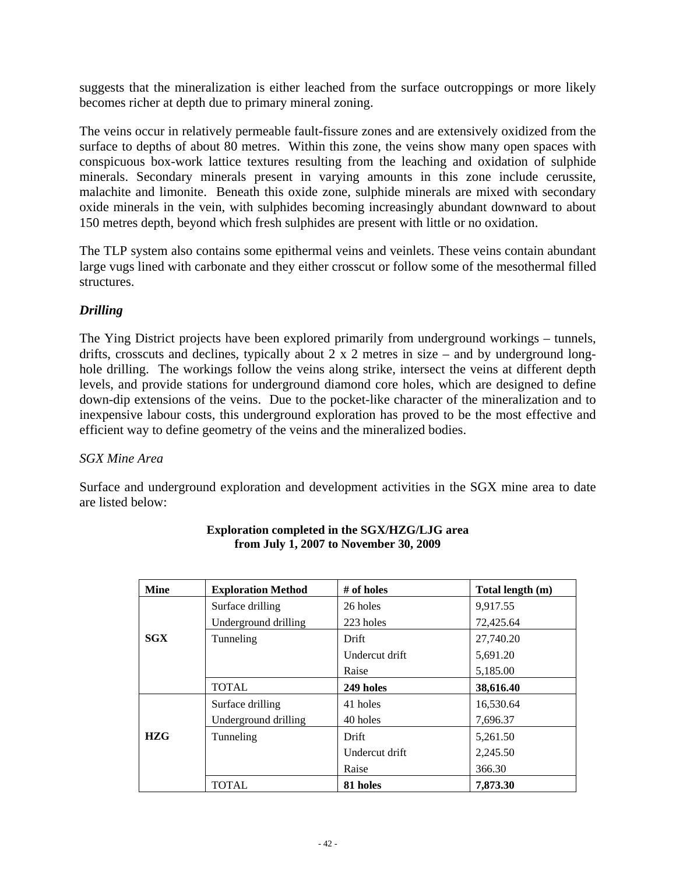suggests that the mineralization is either leached from the surface outcroppings or more likely becomes richer at depth due to primary mineral zoning.

The veins occur in relatively permeable fault-fissure zones and are extensively oxidized from the surface to depths of about 80 metres. Within this zone, the veins show many open spaces with conspicuous box-work lattice textures resulting from the leaching and oxidation of sulphide minerals. Secondary minerals present in varying amounts in this zone include cerussite, malachite and limonite. Beneath this oxide zone, sulphide minerals are mixed with secondary oxide minerals in the vein, with sulphides becoming increasingly abundant downward to about 150 metres depth, beyond which fresh sulphides are present with little or no oxidation.

The TLP system also contains some epithermal veins and veinlets. These veins contain abundant large vugs lined with carbonate and they either crosscut or follow some of the mesothermal filled structures.

# *Drilling*

The Ying District projects have been explored primarily from underground workings – tunnels, drifts, crosscuts and declines, typically about  $2 \times 2$  metres in size – and by underground longhole drilling. The workings follow the veins along strike, intersect the veins at different depth levels, and provide stations for underground diamond core holes, which are designed to define down-dip extensions of the veins. Due to the pocket-like character of the mineralization and to inexpensive labour costs, this underground exploration has proved to be the most effective and efficient way to define geometry of the veins and the mineralized bodies.

# *SGX Mine Area*

Surface and underground exploration and development activities in the SGX mine area to date are listed below:

| <b>Mine</b> | <b>Exploration Method</b> | # of holes     | Total length (m) |  |
|-------------|---------------------------|----------------|------------------|--|
|             | Surface drilling          | 26 holes       | 9,917.55         |  |
|             | Underground drilling      | 223 holes      | 72,425.64        |  |
| <b>SGX</b>  | Tunneling                 | Drift          | 27,740.20        |  |
|             |                           | Undercut drift | 5,691.20         |  |
|             |                           | Raise          | 5,185.00         |  |
|             | <b>TOTAL</b>              | 249 holes      | 38,616.40        |  |
|             | Surface drilling          | 41 holes       | 16,530.64        |  |
|             | Underground drilling      | 40 holes       | 7,696.37         |  |
| <b>HZG</b>  | Tunneling                 | Drift          | 5,261.50         |  |
|             |                           | Undercut drift | 2,245.50         |  |
|             |                           | Raise          | 366.30           |  |
|             | <b>TOTAL</b>              | 81 holes       | 7,873.30         |  |

#### **Exploration completed in the SGX/HZG/LJG area from July 1, 2007 to November 30, 2009**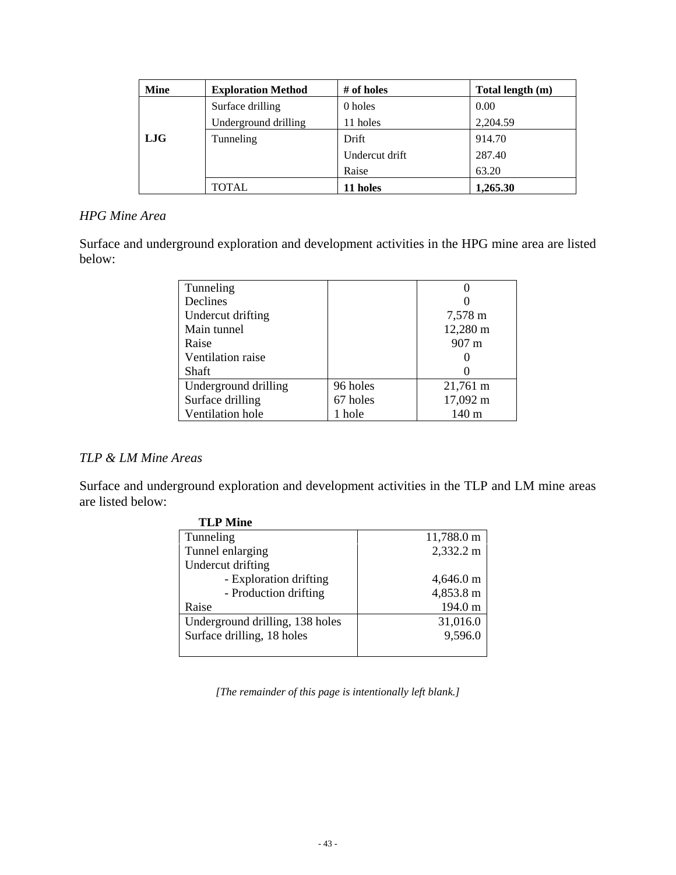| <b>Mine</b> | <b>Exploration Method</b> | # of holes     | Total length (m) |
|-------------|---------------------------|----------------|------------------|
|             | Surface drilling          | 0 holes        | 0.00             |
|             | Underground drilling      | 11 holes       | 2,204.59         |
| LJG         | Tunneling                 | <b>Drift</b>   | 914.70           |
|             |                           | Undercut drift | 287.40           |
|             |                           | Raise          | 63.20            |
|             | <b>TOTAL</b>              | 11 holes       | 1,265.30         |

# *HPG Mine Area*

Surface and underground exploration and development activities in the HPG mine area are listed below:

| Tunneling            |          |                 |
|----------------------|----------|-----------------|
| Declines             |          |                 |
| Undercut drifting    |          | 7,578 m         |
| Main tunnel          |          | 12,280 m        |
| Raise                |          | $907 \text{ m}$ |
| Ventilation raise    |          |                 |
| <b>Shaft</b>         |          |                 |
| Underground drilling | 96 holes | 21,761 m        |
| Surface drilling     | 67 holes | 17,092 m        |
| Ventilation hole     | 1 hole   | 140 m           |

# *TLP & LM Mine Areas*

Surface and underground exploration and development activities in the TLP and LM mine areas are listed below:

| TLP Mine                        |            |
|---------------------------------|------------|
| Tunneling                       | 11,788.0 m |
| Tunnel enlarging                | 2,332.2 m  |
| Undercut drifting               |            |
| - Exploration drifting          | 4,646.0 m  |
| - Production drifting           | 4,853.8 m  |
| Raise                           | 194.0 m    |
| Underground drilling, 138 holes | 31,016.0   |
| Surface drilling, 18 holes      | 9,596.0    |
|                                 |            |

**TH D M**:

*[The remainder of this page is intentionally left blank.]*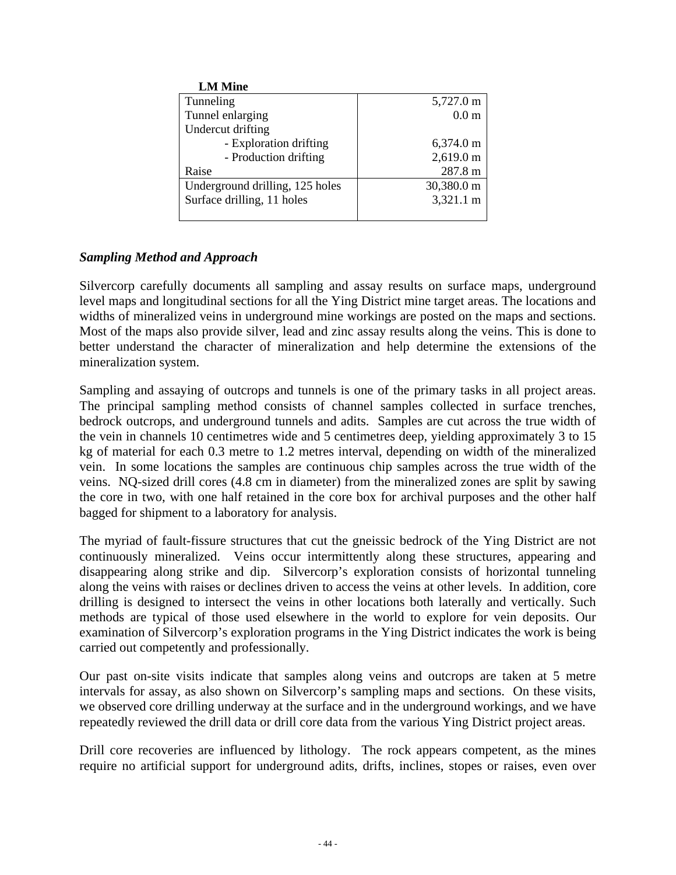| <b>LM Mine</b>                  |                     |
|---------------------------------|---------------------|
| Tunneling                       | 5,727.0 m           |
| Tunnel enlarging                | 0.0 <sub>m</sub>    |
| Undercut drifting               |                     |
| - Exploration drifting          | 6,374.0 m           |
| - Production drifting           | $2,619.0 \text{ m}$ |
| Raise                           | 287.8 m             |
| Underground drilling, 125 holes | 30,380.0 m          |
| Surface drilling, 11 holes      | 3,321.1 m           |
|                                 |                     |

# *Sampling Method and Approach*

Silvercorp carefully documents all sampling and assay results on surface maps, underground level maps and longitudinal sections for all the Ying District mine target areas. The locations and widths of mineralized veins in underground mine workings are posted on the maps and sections. Most of the maps also provide silver, lead and zinc assay results along the veins. This is done to better understand the character of mineralization and help determine the extensions of the mineralization system.

Sampling and assaying of outcrops and tunnels is one of the primary tasks in all project areas. The principal sampling method consists of channel samples collected in surface trenches, bedrock outcrops, and underground tunnels and adits. Samples are cut across the true width of the vein in channels 10 centimetres wide and 5 centimetres deep, yielding approximately 3 to 15 kg of material for each 0.3 metre to 1.2 metres interval, depending on width of the mineralized vein. In some locations the samples are continuous chip samples across the true width of the veins. NQ-sized drill cores (4.8 cm in diameter) from the mineralized zones are split by sawing the core in two, with one half retained in the core box for archival purposes and the other half bagged for shipment to a laboratory for analysis.

The myriad of fault-fissure structures that cut the gneissic bedrock of the Ying District are not continuously mineralized. Veins occur intermittently along these structures, appearing and disappearing along strike and dip. Silvercorp's exploration consists of horizontal tunneling along the veins with raises or declines driven to access the veins at other levels. In addition, core drilling is designed to intersect the veins in other locations both laterally and vertically. Such methods are typical of those used elsewhere in the world to explore for vein deposits. Our examination of Silvercorp's exploration programs in the Ying District indicates the work is being carried out competently and professionally.

Our past on-site visits indicate that samples along veins and outcrops are taken at 5 metre intervals for assay, as also shown on Silvercorp's sampling maps and sections. On these visits, we observed core drilling underway at the surface and in the underground workings, and we have repeatedly reviewed the drill data or drill core data from the various Ying District project areas.

Drill core recoveries are influenced by lithology. The rock appears competent, as the mines require no artificial support for underground adits, drifts, inclines, stopes or raises, even over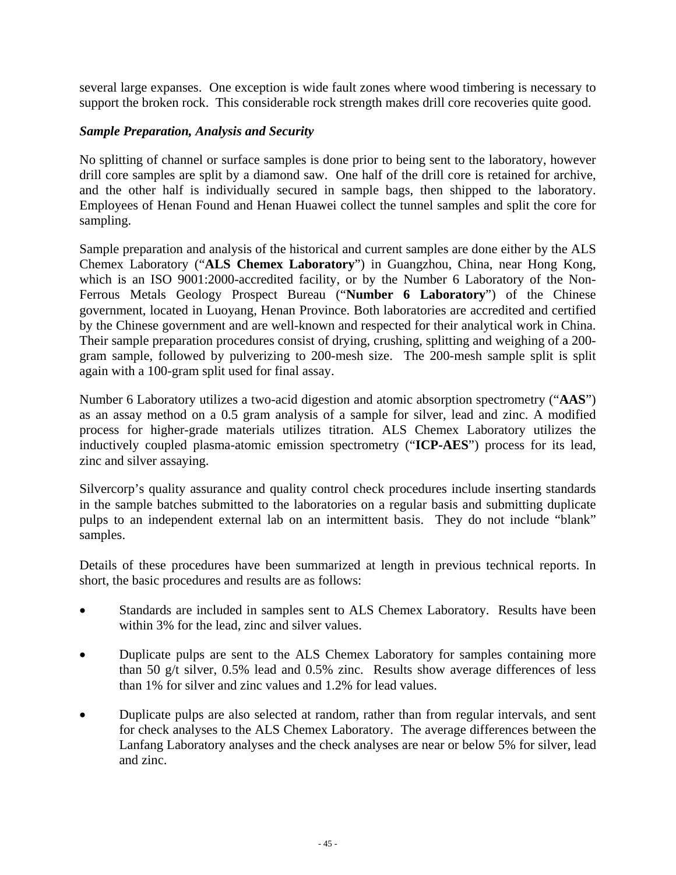several large expanses. One exception is wide fault zones where wood timbering is necessary to support the broken rock. This considerable rock strength makes drill core recoveries quite good.

### *Sample Preparation, Analysis and Security*

No splitting of channel or surface samples is done prior to being sent to the laboratory, however drill core samples are split by a diamond saw. One half of the drill core is retained for archive, and the other half is individually secured in sample bags, then shipped to the laboratory. Employees of Henan Found and Henan Huawei collect the tunnel samples and split the core for sampling.

Sample preparation and analysis of the historical and current samples are done either by the ALS Chemex Laboratory ("**ALS Chemex Laboratory**") in Guangzhou, China, near Hong Kong, which is an ISO 9001:2000-accredited facility, or by the Number 6 Laboratory of the Non-Ferrous Metals Geology Prospect Bureau ("**Number 6 Laboratory**") of the Chinese government, located in Luoyang, Henan Province. Both laboratories are accredited and certified by the Chinese government and are well-known and respected for their analytical work in China. Their sample preparation procedures consist of drying, crushing, splitting and weighing of a 200 gram sample, followed by pulverizing to 200-mesh size. The 200-mesh sample split is split again with a 100-gram split used for final assay.

Number 6 Laboratory utilizes a two-acid digestion and atomic absorption spectrometry ("**AAS**") as an assay method on a 0.5 gram analysis of a sample for silver, lead and zinc. A modified process for higher-grade materials utilizes titration. ALS Chemex Laboratory utilizes the inductively coupled plasma-atomic emission spectrometry ("**ICP-AES**") process for its lead, zinc and silver assaying.

Silvercorp's quality assurance and quality control check procedures include inserting standards in the sample batches submitted to the laboratories on a regular basis and submitting duplicate pulps to an independent external lab on an intermittent basis. They do not include "blank" samples.

Details of these procedures have been summarized at length in previous technical reports. In short, the basic procedures and results are as follows:

- Standards are included in samples sent to ALS Chemex Laboratory. Results have been within 3% for the lead, zinc and silver values.
- Duplicate pulps are sent to the ALS Chemex Laboratory for samples containing more than 50 g/t silver, 0.5% lead and 0.5% zinc. Results show average differences of less than 1% for silver and zinc values and 1.2% for lead values.
- Duplicate pulps are also selected at random, rather than from regular intervals, and sent for check analyses to the ALS Chemex Laboratory. The average differences between the Lanfang Laboratory analyses and the check analyses are near or below 5% for silver, lead and zinc.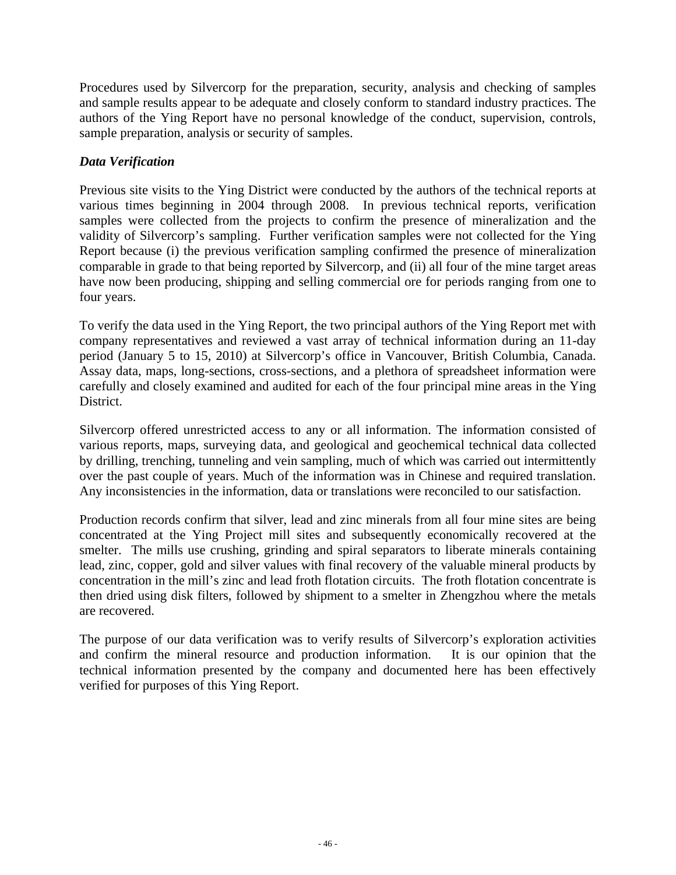Procedures used by Silvercorp for the preparation, security, analysis and checking of samples and sample results appear to be adequate and closely conform to standard industry practices. The authors of the Ying Report have no personal knowledge of the conduct, supervision, controls, sample preparation, analysis or security of samples.

# *Data Verification*

Previous site visits to the Ying District were conducted by the authors of the technical reports at various times beginning in 2004 through 2008. In previous technical reports, verification samples were collected from the projects to confirm the presence of mineralization and the validity of Silvercorp's sampling. Further verification samples were not collected for the Ying Report because (i) the previous verification sampling confirmed the presence of mineralization comparable in grade to that being reported by Silvercorp, and (ii) all four of the mine target areas have now been producing, shipping and selling commercial ore for periods ranging from one to four years.

To verify the data used in the Ying Report, the two principal authors of the Ying Report met with company representatives and reviewed a vast array of technical information during an 11-day period (January 5 to 15, 2010) at Silvercorp's office in Vancouver, British Columbia, Canada. Assay data, maps, long-sections, cross-sections, and a plethora of spreadsheet information were carefully and closely examined and audited for each of the four principal mine areas in the Ying District.

Silvercorp offered unrestricted access to any or all information. The information consisted of various reports, maps, surveying data, and geological and geochemical technical data collected by drilling, trenching, tunneling and vein sampling, much of which was carried out intermittently over the past couple of years. Much of the information was in Chinese and required translation. Any inconsistencies in the information, data or translations were reconciled to our satisfaction.

Production records confirm that silver, lead and zinc minerals from all four mine sites are being concentrated at the Ying Project mill sites and subsequently economically recovered at the smelter. The mills use crushing, grinding and spiral separators to liberate minerals containing lead, zinc, copper, gold and silver values with final recovery of the valuable mineral products by concentration in the mill's zinc and lead froth flotation circuits. The froth flotation concentrate is then dried using disk filters, followed by shipment to a smelter in Zhengzhou where the metals are recovered.

The purpose of our data verification was to verify results of Silvercorp's exploration activities and confirm the mineral resource and production information. It is our opinion that the technical information presented by the company and documented here has been effectively verified for purposes of this Ying Report.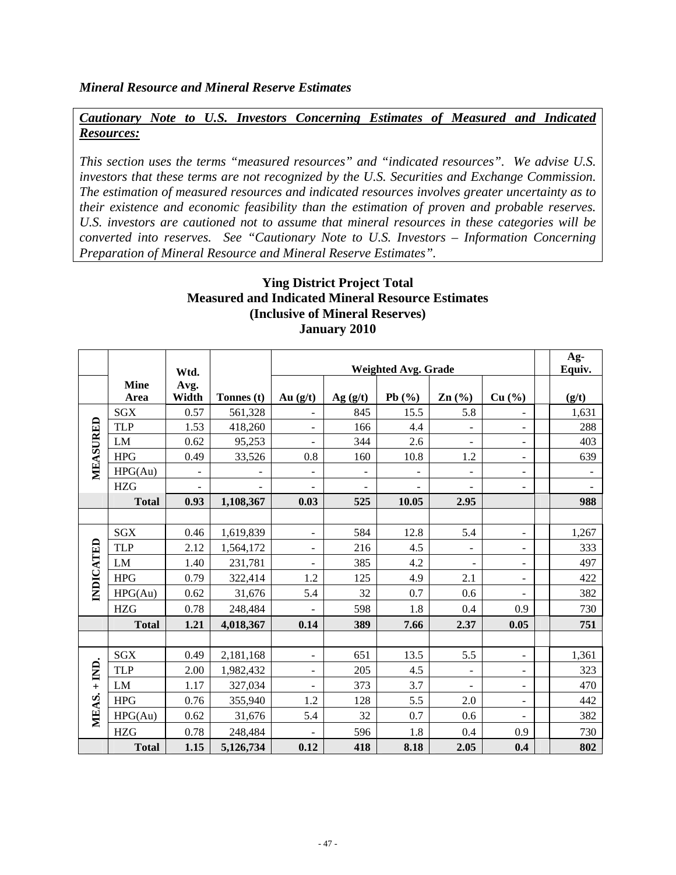### *Cautionary Note to U.S. Investors Concerning Estimates of Measured and Indicated Resources:*

*This section uses the terms "measured resources" and "indicated resources". We advise U.S. investors that these terms are not recognized by the U.S. Securities and Exchange Commission. The estimation of measured resources and indicated resources involves greater uncertainty as to their existence and economic feasibility than the estimation of proven and probable reserves. U.S. investors are cautioned not to assume that mineral resources in these categories will be converted into reserves. See "Cautionary Note to U.S. Investors – Information Concerning Preparation of Mineral Resource and Mineral Reserve Estimates".* 

# **Ying District Project Total Measured and Indicated Mineral Resource Estimates (Inclusive of Mineral Reserves) January 2010**

|              |                     |                              |            | Weighted Avg. Grade      |                          |                          |                          | Ag-                      |                          |
|--------------|---------------------|------------------------------|------------|--------------------------|--------------------------|--------------------------|--------------------------|--------------------------|--------------------------|
|              |                     | Wtd.                         |            |                          |                          |                          |                          |                          | Equiv.                   |
|              | <b>Mine</b><br>Area | Avg.<br>Width                | Tonnes (t) | Au $(g/t)$               | Ag(g/t)                  | Pb $(%$                  | Zn(%)                    | Cu (%)                   | (g/t)                    |
|              | <b>SGX</b>          | 0.57                         | 561,328    |                          | 845                      | 15.5                     | 5.8                      |                          | 1,631                    |
|              | <b>TLP</b>          | 1.53                         | 418,260    | $\overline{\phantom{a}}$ | 166                      | 4.4                      |                          | $\overline{\phantom{a}}$ | 288                      |
|              | LM                  | 0.62                         | 95,253     |                          | 344                      | 2.6                      |                          | ۰                        | 403                      |
|              | <b>HPG</b>          | 0.49                         | 33,526     | 0.8                      | 160                      | 10.8                     | 1.2                      | $\overline{\phantom{a}}$ | 639                      |
| MEASURED     | HPG(Au)             | $\qquad \qquad \blacksquare$ |            | $\overline{\phantom{a}}$ | $\overline{\phantom{a}}$ | $\overline{\phantom{a}}$ | ۰                        | $\overline{\phantom{a}}$ | $\overline{\phantom{0}}$ |
|              | <b>HZG</b>          |                              |            |                          |                          |                          |                          | ۰                        |                          |
|              | <b>Total</b>        | 0.93                         | 1,108,367  | 0.03                     | 525                      | 10.05                    | 2.95                     |                          | 988                      |
|              |                     |                              |            |                          |                          |                          |                          |                          |                          |
|              | SGX                 | 0.46                         | 1,619,839  | $\overline{\phantom{a}}$ | 584                      | 12.8                     | 5.4                      | $\blacksquare$           | 1,267                    |
|              | <b>TLP</b>          | 2.12                         | 1,564,172  | $\overline{\phantom{a}}$ | 216                      | 4.5                      | $\overline{\phantom{0}}$ | $\overline{\phantom{a}}$ | 333                      |
|              | LM                  | 1.40                         | 231,781    | $\overline{\phantom{a}}$ | 385                      | 4.2                      | $\overline{\phantom{0}}$ | $\overline{\phantom{a}}$ | 497                      |
|              | <b>HPG</b>          | 0.79                         | 322,414    | 1.2                      | 125                      | 4.9                      | 2.1                      | $\overline{\phantom{a}}$ | 422                      |
| INDICATED    | HPG(Au)             | 0.62                         | 31,676     | 5.4                      | 32                       | 0.7                      | 0.6                      |                          | 382                      |
|              | <b>HZG</b>          | 0.78                         | 248,484    |                          | 598                      | 1.8                      | 0.4                      | 0.9                      | 730                      |
|              | <b>Total</b>        | 1.21                         | 4,018,367  | 0.14                     | 389                      | 7.66                     | 2.37                     | 0.05                     | 751                      |
|              |                     |                              |            |                          |                          |                          |                          |                          |                          |
|              | <b>SGX</b>          | 0.49                         | 2,181,168  | $\overline{\phantom{a}}$ | 651                      | 13.5                     | 5.5                      | $\overline{\phantom{a}}$ | 1,361                    |
|              | <b>TLP</b>          | 2.00                         | 1,982,432  | $\overline{\phantom{a}}$ | 205                      | 4.5                      | -                        | -                        | 323                      |
|              | LM                  | 1.17                         | 327,034    | $\overline{\phantom{a}}$ | 373                      | 3.7                      | $\overline{\phantom{0}}$ | $\overline{\phantom{a}}$ | 470                      |
|              | <b>HPG</b>          | 0.76                         | 355,940    | 1.2                      | 128                      | 5.5                      | 2.0                      | ۰                        | 442                      |
| MEAS. + IND. | HPG(Au)             | 0.62                         | 31,676     | 5.4                      | 32                       | 0.7                      | 0.6                      |                          | 382                      |
|              | <b>HZG</b>          | 0.78                         | 248,484    |                          | 596                      | 1.8                      | 0.4                      | 0.9                      | 730                      |
|              | <b>Total</b>        | 1.15                         | 5,126,734  | 0.12                     | 418                      | 8.18                     | 2.05                     | 0.4                      | 802                      |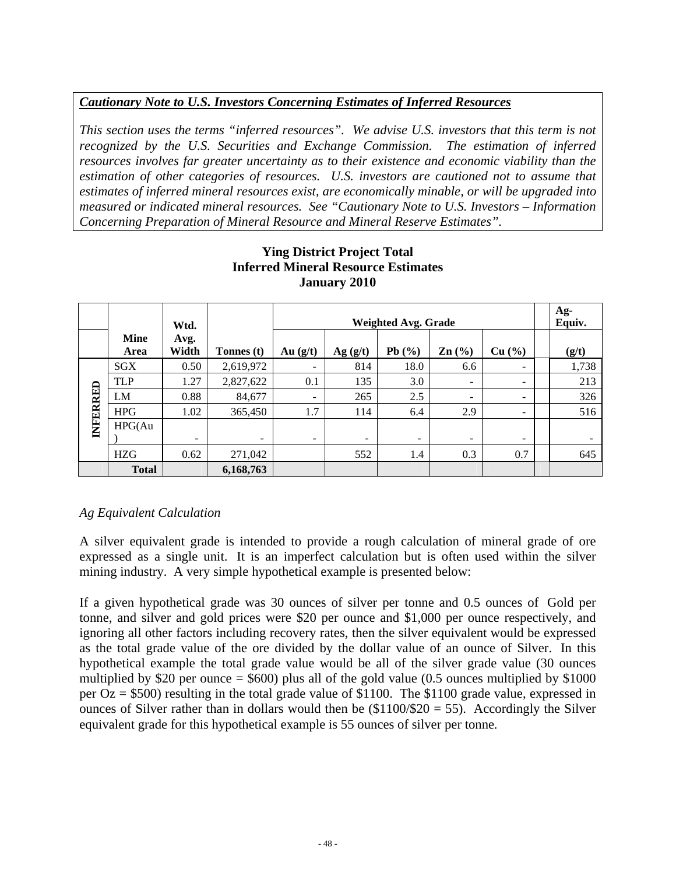# *Cautionary Note to U.S. Investors Concerning Estimates of Inferred Resources*

*This section uses the terms "inferred resources". We advise U.S. investors that this term is not recognized by the U.S. Securities and Exchange Commission. The estimation of inferred resources involves far greater uncertainty as to their existence and economic viability than the estimation of other categories of resources. U.S. investors are cautioned not to assume that estimates of inferred mineral resources exist, are economically minable, or will be upgraded into measured or indicated mineral resources. See "Cautionary Note to U.S. Investors – Information Concerning Preparation of Mineral Resource and Mineral Reserve Estimates".* 

|          |                     | Wtd.          |            |                          |                          | <b>Weighted Avg. Grade</b> |                                        |                          | Ag-<br>Equiv. |
|----------|---------------------|---------------|------------|--------------------------|--------------------------|----------------------------|----------------------------------------|--------------------------|---------------|
|          | <b>Mine</b><br>Area | Avg.<br>Width | Tonnes (t) | Au $(g/t)$               | Ag(g/t)                  | Pb $(\%)$                  | $\text{Zn}$ $\left(\frac{0}{0}\right)$ | Cu (%)                   | (g/t)         |
|          | SGX                 | 0.50          | 2,619,972  | -                        | 814                      | 18.0                       | 6.6                                    | -                        | 1,738         |
|          | <b>TLP</b>          | 1.27          | 2,827,622  | 0.1                      | 135                      | 3.0                        | $\overline{\phantom{a}}$               | -                        | 213           |
|          | LM                  | 0.88          | 84,677     | ۰                        | 265                      | 2.5                        | -                                      | $\overline{\phantom{0}}$ | 326           |
|          | <b>HPG</b>          | 1.02          | 365,450    | 1.7                      | 114                      | 6.4                        | 2.9                                    | $\overline{\phantom{0}}$ | 516           |
| INFERRED | HPG(Au)             | -             | ۰          | $\overline{\phantom{a}}$ | $\overline{\phantom{m}}$ | $\overline{\phantom{a}}$   | $\overline{\phantom{a}}$               | $\overline{\phantom{0}}$ |               |
|          | <b>HZG</b>          | 0.62          | 271,042    |                          | 552                      | 1.4                        | 0.3                                    | 0.7                      | 645           |
|          | <b>Total</b>        |               | 6,168,763  |                          |                          |                            |                                        |                          |               |

# **Ying District Project Total Inferred Mineral Resource Estimates January 2010**

# *Ag Equivalent Calculation*

A silver equivalent grade is intended to provide a rough calculation of mineral grade of ore expressed as a single unit. It is an imperfect calculation but is often used within the silver mining industry. A very simple hypothetical example is presented below:

If a given hypothetical grade was 30 ounces of silver per tonne and 0.5 ounces of Gold per tonne, and silver and gold prices were \$20 per ounce and \$1,000 per ounce respectively, and ignoring all other factors including recovery rates, then the silver equivalent would be expressed as the total grade value of the ore divided by the dollar value of an ounce of Silver. In this hypothetical example the total grade value would be all of the silver grade value (30 ounces multiplied by \$20 per ounce  $=$  \$600) plus all of the gold value (0.5 ounces multiplied by \$1000 per Oz = \$500) resulting in the total grade value of \$1100. The \$1100 grade value, expressed in ounces of Silver rather than in dollars would then be  $(\$1100/\$20 = 55)$ . Accordingly the Silver equivalent grade for this hypothetical example is 55 ounces of silver per tonne*.*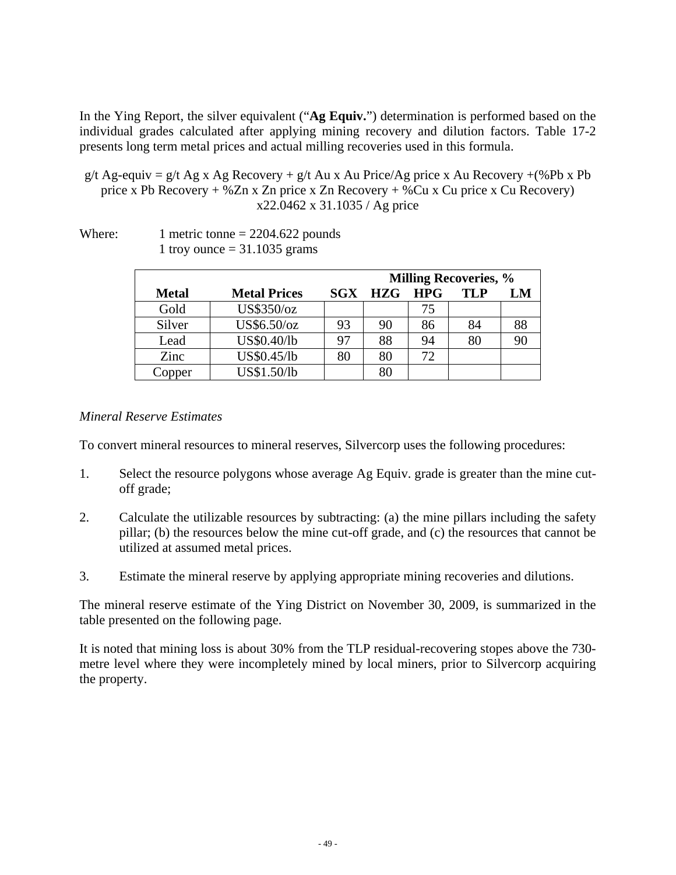In the Ying Report, the silver equivalent ("**Ag Equiv.**") determination is performed based on the individual grades calculated after applying mining recovery and dilution factors. Table 17-2 presents long term metal prices and actual milling recoveries used in this formula.

- g/t Ag-equiv = g/t Ag x Ag Recovery + g/t Au x Au Price/Ag price x Au Recovery +(%Pb x Pb) price x Pb Recovery + %Zn x Zn price x Zn Recovery + %Cu x Cu price x Cu Recovery) x22.0462 x 31.1035 / Ag price
- Where: 1 metric tonne  $= 2204.622$  pounds 1 troy ounce  $= 31.1035$  grams

|              |                     |    |                |       | <b>Milling Recoveries, %</b> |    |
|--------------|---------------------|----|----------------|-------|------------------------------|----|
| <b>Metal</b> | <b>Metal Prices</b> |    | <b>SGX HZG</b> | - HPG | <b>TLP</b>                   | LM |
| Gold         | US\$350/oz          |    |                | 75    |                              |    |
| Silver       | US\$6.50/oz         | 93 | 90             | 86    | 84                           | 88 |
| Lead         | US\$0.40/lb         | 97 | 88             | 94    | 80                           |    |
| Zinc         | US\$0.45/lb         | 80 | 80             | 72    |                              |    |
| Copper       | US\$1.50/lb         |    | 80             |       |                              |    |

### *Mineral Reserve Estimates*

To convert mineral resources to mineral reserves, Silvercorp uses the following procedures:

- 1. Select the resource polygons whose average Ag Equiv. grade is greater than the mine cutoff grade;
- 2. Calculate the utilizable resources by subtracting: (a) the mine pillars including the safety pillar; (b) the resources below the mine cut-off grade, and (c) the resources that cannot be utilized at assumed metal prices.
- 3. Estimate the mineral reserve by applying appropriate mining recoveries and dilutions.

The mineral reserve estimate of the Ying District on November 30, 2009, is summarized in the table presented on the following page.

It is noted that mining loss is about 30% from the TLP residual-recovering stopes above the 730 metre level where they were incompletely mined by local miners, prior to Silvercorp acquiring the property.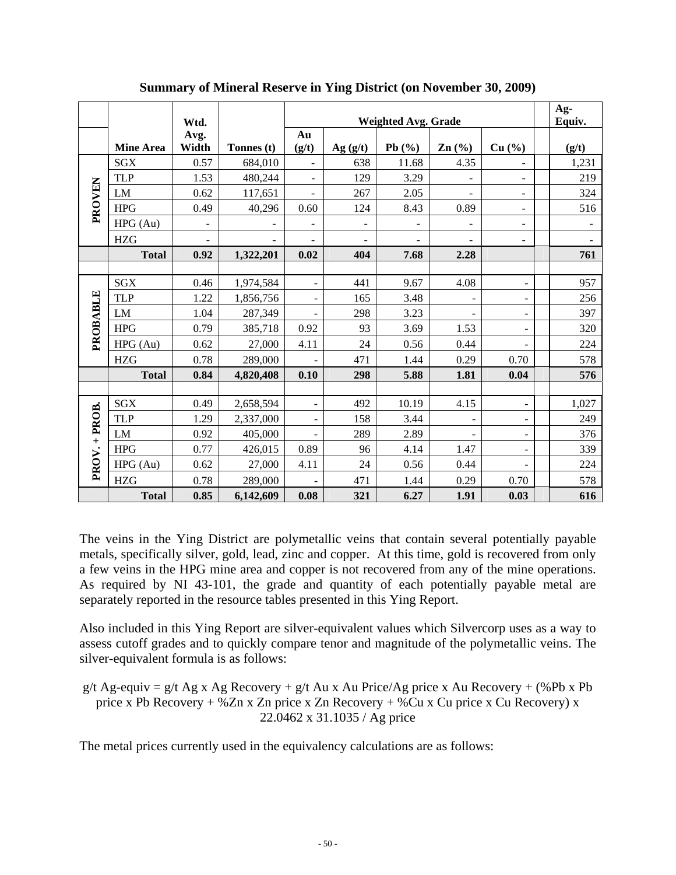|               |                  | Wtd.                         |            |                          |                              | <b>Weighted Avg. Grade</b> |                          |                              | Ag-<br>Equiv.  |
|---------------|------------------|------------------------------|------------|--------------------------|------------------------------|----------------------------|--------------------------|------------------------------|----------------|
|               | <b>Mine Area</b> | Avg.<br>Width                | Tonnes (t) | Au<br>(g/t)              | Ag(g/t)                      | Pb $(\% )$                 | Zn(%)                    | Cu (%)                       | (g/t)          |
|               | <b>SGX</b>       | 0.57                         | 684,010    |                          | 638                          | 11.68                      | 4.35                     |                              | 1,231          |
|               | <b>TLP</b>       | 1.53                         | 480,244    |                          | 129                          | 3.29                       |                          |                              | 219            |
| <b>PROVEN</b> | LM               | 0.62                         | 117,651    | $\overline{a}$           | 267                          | 2.05                       |                          |                              | 324            |
|               | <b>HPG</b>       | 0.49                         | 40,296     | 0.60                     | 124                          | 8.43                       | 0.89                     | $\overline{\phantom{a}}$     | 516            |
|               | HPG(Au)          | $\qquad \qquad \blacksquare$ |            | -                        | $\qquad \qquad \blacksquare$ | $\overline{\phantom{0}}$   | $\overline{\phantom{0}}$ | $\qquad \qquad \blacksquare$ |                |
|               | <b>HZG</b>       | $\overline{\phantom{m}}$     |            |                          |                              |                            |                          | $\overline{\phantom{a}}$     | $\blacksquare$ |
|               | <b>Total</b>     | 0.92                         | 1,322,201  | 0.02                     | 404                          | 7.68                       | 2.28                     |                              | 761            |
|               |                  |                              |            |                          |                              |                            |                          |                              |                |
|               | <b>SGX</b>       | 0.46                         | 1,974,584  |                          | 441                          | 9.67                       | 4.08                     |                              | 957            |
|               | <b>TLP</b>       | 1.22                         | 1,856,756  |                          | 165                          | 3.48                       | $\blacksquare$           |                              | 256            |
| PROBABLE      | LM               | 1.04                         | 287,349    |                          | 298                          | 3.23                       |                          |                              | 397            |
|               | <b>HPG</b>       | 0.79                         | 385,718    | 0.92                     | 93                           | 3.69                       | 1.53                     |                              | 320            |
|               | HPG(Au)          | 0.62                         | 27,000     | 4.11                     | 24                           | 0.56                       | 0.44                     |                              | 224            |
|               | <b>HZG</b>       | 0.78                         | 289,000    |                          | 471                          | 1.44                       | 0.29                     | 0.70                         | 578            |
|               | <b>Total</b>     | 0.84                         | 4,820,408  | 0.10                     | 298                          | 5.88                       | 1.81                     | 0.04                         | 576            |
|               |                  |                              |            |                          |                              |                            |                          |                              |                |
|               | <b>SGX</b>       | 0.49                         | 2,658,594  | $\overline{\phantom{a}}$ | 492                          | 10.19                      | 4.15                     | -                            | 1,027          |
|               | <b>TLP</b>       | 1.29                         | 2,337,000  |                          | 158                          | 3.44                       |                          |                              | 249            |
|               | LM               | 0.92                         | 405,000    |                          | 289                          | 2.89                       |                          |                              | 376            |
|               | <b>HPG</b>       | 0.77                         | 426,015    | 0.89                     | 96                           | 4.14                       | 1.47                     |                              | 339            |
| PROV. + PROB. | HPG(Au)          | 0.62                         | 27,000     | 4.11                     | 24                           | 0.56                       | 0.44                     |                              | 224            |
|               | <b>HZG</b>       | 0.78                         | 289,000    |                          | 471                          | 1.44                       | 0.29                     | 0.70                         | 578            |
|               | <b>Total</b>     | 0.85                         | 6,142,609  | 0.08                     | 321                          | 6.27                       | 1.91                     | 0.03                         | 616            |

**Summary of Mineral Reserve in Ying District (on November 30, 2009)** 

The veins in the Ying District are polymetallic veins that contain several potentially payable metals, specifically silver, gold, lead, zinc and copper. At this time, gold is recovered from only a few veins in the HPG mine area and copper is not recovered from any of the mine operations. As required by NI 43-101, the grade and quantity of each potentially payable metal are separately reported in the resource tables presented in this Ying Report.

Also included in this Ying Report are silver-equivalent values which Silvercorp uses as a way to assess cutoff grades and to quickly compare tenor and magnitude of the polymetallic veins. The silver-equivalent formula is as follows:

g/t Ag-equiv = g/t Ag x Ag Recovery + g/t Au x Au Price/Ag price x Au Recovery + (%Pb x Pb) price x Pb Recovery + %Zn x Zn price x Zn Recovery + %Cu x Cu price x Cu Recovery) x 22.0462 x 31.1035 / Ag price

The metal prices currently used in the equivalency calculations are as follows: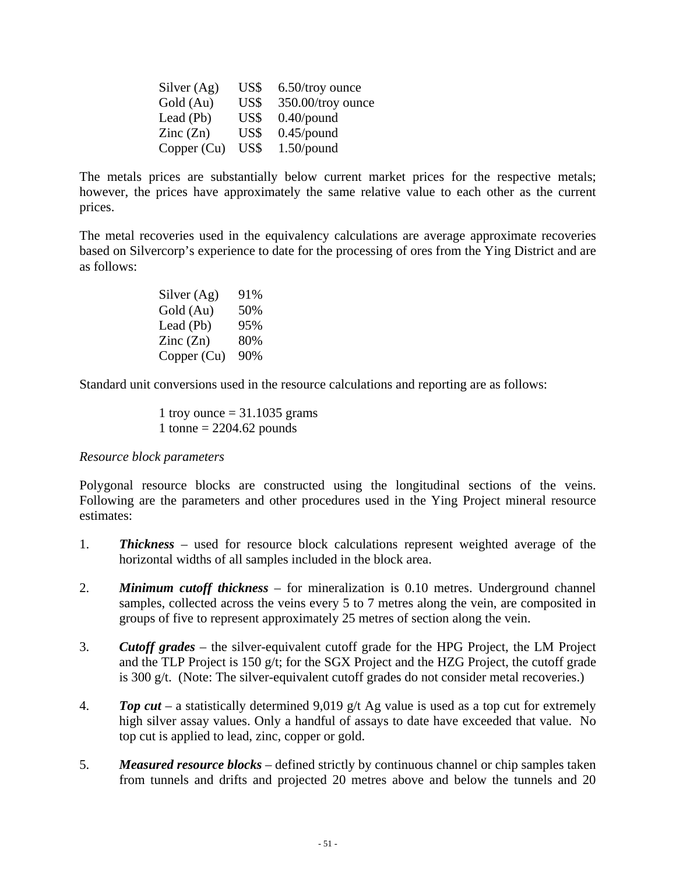| Silver $(Ag)$            | US\$ | 6.50/troy ounce   |
|--------------------------|------|-------------------|
| Gold (Au)                | US\$ | 350.00/troy ounce |
| Lead (Pb)                | US\$ | $0.40$ /pound     |
| $\text{Zinc}(\text{Zn})$ | US\$ | $0.45$ /pound     |
| Copper (Cu)              | US\$ | $1.50$ /pound     |

The metals prices are substantially below current market prices for the respective metals; however, the prices have approximately the same relative value to each other as the current prices.

The metal recoveries used in the equivalency calculations are average approximate recoveries based on Silvercorp's experience to date for the processing of ores from the Ying District and are as follows:

| Silver (Ag)              | 91% |
|--------------------------|-----|
| Gold (Au)                | 50% |
| Lead (Pb)                | 95% |
| $\text{Zinc}(\text{Zn})$ | 80% |
| Copper (Cu)              | 90% |

Standard unit conversions used in the resource calculations and reporting are as follows:

1 troy ounce  $= 31.1035$  grams 1 tonne =  $2204.62$  pounds

#### *Resource block parameters*

Polygonal resource blocks are constructed using the longitudinal sections of the veins. Following are the parameters and other procedures used in the Ying Project mineral resource estimates:

- 1. *Thickness* used for resource block calculations represent weighted average of the horizontal widths of all samples included in the block area.
- 2. *Minimum cutoff thickness* for mineralization is 0.10 metres. Underground channel samples, collected across the veins every 5 to 7 metres along the vein, are composited in groups of five to represent approximately 25 metres of section along the vein.
- 3. *Cutoff grades* the silver-equivalent cutoff grade for the HPG Project, the LM Project and the TLP Project is 150 g/t; for the SGX Project and the HZG Project, the cutoff grade is 300 g/t. (Note: The silver-equivalent cutoff grades do not consider metal recoveries.)
- 4. *Top cut* a statistically determined 9,019 g/t Ag value is used as a top cut for extremely high silver assay values. Only a handful of assays to date have exceeded that value. No top cut is applied to lead, zinc, copper or gold.
- 5. *Measured resource blocks* defined strictly by continuous channel or chip samples taken from tunnels and drifts and projected 20 metres above and below the tunnels and 20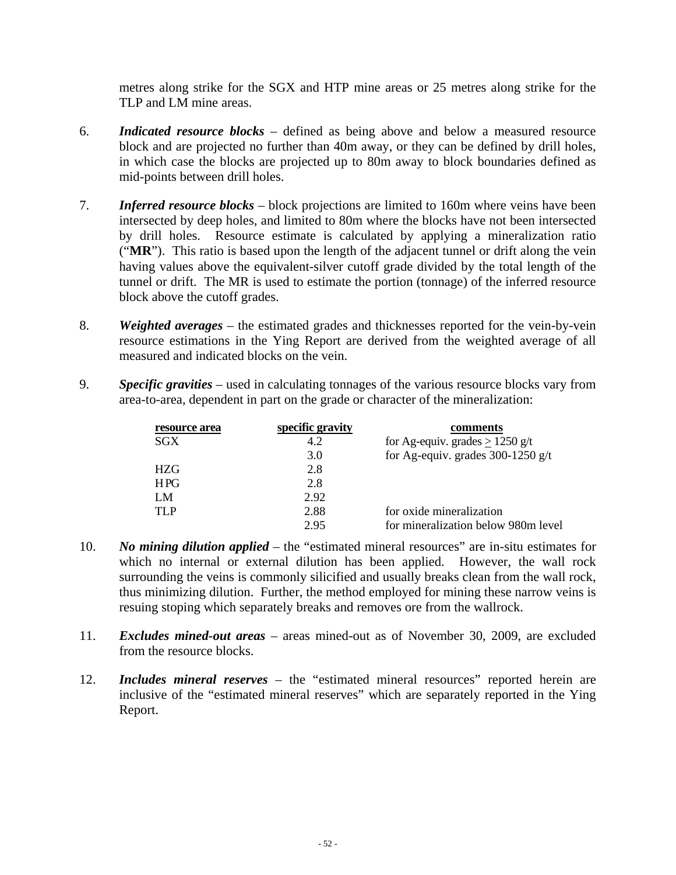metres along strike for the SGX and HTP mine areas or 25 metres along strike for the TLP and LM mine areas.

- 6. *Indicated resource blocks* defined as being above and below a measured resource block and are projected no further than 40m away, or they can be defined by drill holes, in which case the blocks are projected up to 80m away to block boundaries defined as mid-points between drill holes.
- 7. *Inferred resource blocks* block projections are limited to 160m where veins have been intersected by deep holes, and limited to 80m where the blocks have not been intersected by drill holes. Resource estimate is calculated by applying a mineralization ratio ("**MR**"). This ratio is based upon the length of the adjacent tunnel or drift along the vein having values above the equivalent-silver cutoff grade divided by the total length of the tunnel or drift. The MR is used to estimate the portion (tonnage) of the inferred resource block above the cutoff grades.
- 8. *Weighted averages* the estimated grades and thicknesses reported for the vein-by-vein resource estimations in the Ying Report are derived from the weighted average of all measured and indicated blocks on the vein.
- 9. *Specific gravities* used in calculating tonnages of the various resource blocks vary from area-to-area, dependent in part on the grade or character of the mineralization:

| resource area | specific gravity | comments                             |
|---------------|------------------|--------------------------------------|
| SGX           | 4.2              | for Ag-equiv. grades $\geq$ 1250 g/t |
|               | 3.0              | for Ag-equiv. grades $300-1250$ g/t  |
| HZG           | 2.8              |                                      |
| HPG           | 2.8              |                                      |
| LM            | 2.92             |                                      |
| TLP           | 2.88             | for oxide mineralization             |
|               | 2.95             | for mineralization below 980m level  |

- 10. *No mining dilution applied* the "estimated mineral resources" are in-situ estimates for which no internal or external dilution has been applied. However, the wall rock surrounding the veins is commonly silicified and usually breaks clean from the wall rock, thus minimizing dilution. Further, the method employed for mining these narrow veins is resuing stoping which separately breaks and removes ore from the wallrock.
- 11. *Excludes mined-out areas* areas mined-out as of November 30, 2009, are excluded from the resource blocks.
- 12. *Includes mineral reserves* the "estimated mineral resources" reported herein are inclusive of the "estimated mineral reserves" which are separately reported in the Ying Report.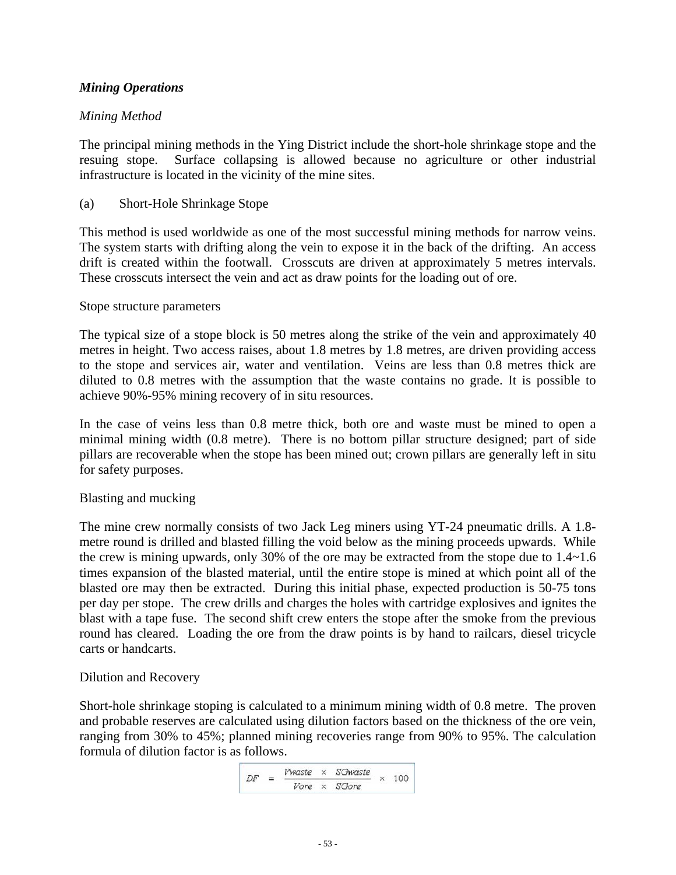# *Mining Operations*

### *Mining Method*

The principal mining methods in the Ying District include the short-hole shrinkage stope and the resuing stope. Surface collapsing is allowed because no agriculture or other industrial infrastructure is located in the vicinity of the mine sites.

### (a) Short-Hole Shrinkage Stope

This method is used worldwide as one of the most successful mining methods for narrow veins. The system starts with drifting along the vein to expose it in the back of the drifting. An access drift is created within the footwall. Crosscuts are driven at approximately 5 metres intervals. These crosscuts intersect the vein and act as draw points for the loading out of ore.

### Stope structure parameters

The typical size of a stope block is 50 metres along the strike of the vein and approximately 40 metres in height. Two access raises, about 1.8 metres by 1.8 metres, are driven providing access to the stope and services air, water and ventilation. Veins are less than 0.8 metres thick are diluted to 0.8 metres with the assumption that the waste contains no grade. It is possible to achieve 90%-95% mining recovery of in situ resources.

In the case of veins less than 0.8 metre thick, both ore and waste must be mined to open a minimal mining width (0.8 metre). There is no bottom pillar structure designed; part of side pillars are recoverable when the stope has been mined out; crown pillars are generally left in situ for safety purposes.

### Blasting and mucking

The mine crew normally consists of two Jack Leg miners using YT-24 pneumatic drills. A 1.8 metre round is drilled and blasted filling the void below as the mining proceeds upwards. While the crew is mining upwards, only 30% of the ore may be extracted from the stope due to 1.4~1.6 times expansion of the blasted material, until the entire stope is mined at which point all of the blasted ore may then be extracted. During this initial phase, expected production is 50-75 tons per day per stope. The crew drills and charges the holes with cartridge explosives and ignites the blast with a tape fuse. The second shift crew enters the stope after the smoke from the previous round has cleared. Loading the ore from the draw points is by hand to railcars, diesel tricycle carts or handcarts.

### Dilution and Recovery

Short-hole shrinkage stoping is calculated to a minimum mining width of 0.8 metre. The proven and probable reserves are calculated using dilution factors based on the thickness of the ore vein, ranging from 30% to 45%; planned mining recoveries range from 90% to 95%. The calculation formula of dilution factor is as follows.

$$
DF = \frac{Vwaste \times SGwaste}{Vore \times SGore} \times 100
$$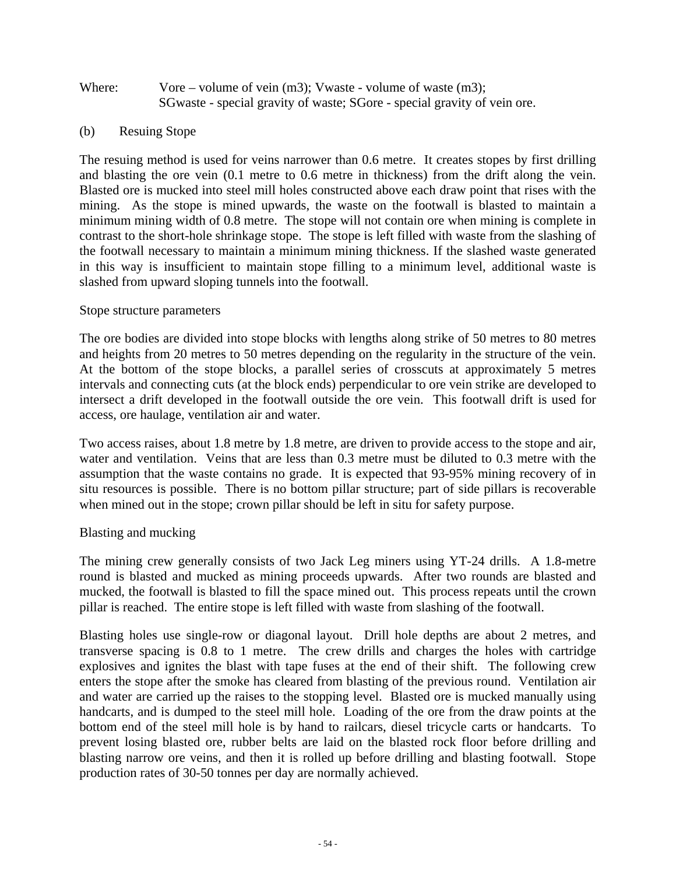### Where: Vore – volume of vein (m3); Vwaste - volume of waste (m3); SGwaste - special gravity of waste; SGore - special gravity of vein ore.

### (b) Resuing Stope

The resuing method is used for veins narrower than 0.6 metre. It creates stopes by first drilling and blasting the ore vein (0.1 metre to 0.6 metre in thickness) from the drift along the vein. Blasted ore is mucked into steel mill holes constructed above each draw point that rises with the mining. As the stope is mined upwards, the waste on the footwall is blasted to maintain a minimum mining width of 0.8 metre. The stope will not contain ore when mining is complete in contrast to the short-hole shrinkage stope. The stope is left filled with waste from the slashing of the footwall necessary to maintain a minimum mining thickness. If the slashed waste generated in this way is insufficient to maintain stope filling to a minimum level, additional waste is slashed from upward sloping tunnels into the footwall.

#### Stope structure parameters

The ore bodies are divided into stope blocks with lengths along strike of 50 metres to 80 metres and heights from 20 metres to 50 metres depending on the regularity in the structure of the vein. At the bottom of the stope blocks, a parallel series of crosscuts at approximately 5 metres intervals and connecting cuts (at the block ends) perpendicular to ore vein strike are developed to intersect a drift developed in the footwall outside the ore vein. This footwall drift is used for access, ore haulage, ventilation air and water.

Two access raises, about 1.8 metre by 1.8 metre, are driven to provide access to the stope and air, water and ventilation. Veins that are less than 0.3 metre must be diluted to 0.3 metre with the assumption that the waste contains no grade. It is expected that 93-95% mining recovery of in situ resources is possible. There is no bottom pillar structure; part of side pillars is recoverable when mined out in the stope; crown pillar should be left in situ for safety purpose.

### Blasting and mucking

The mining crew generally consists of two Jack Leg miners using YT-24 drills. A 1.8-metre round is blasted and mucked as mining proceeds upwards. After two rounds are blasted and mucked, the footwall is blasted to fill the space mined out. This process repeats until the crown pillar is reached. The entire stope is left filled with waste from slashing of the footwall.

Blasting holes use single-row or diagonal layout. Drill hole depths are about 2 metres, and transverse spacing is 0.8 to 1 metre. The crew drills and charges the holes with cartridge explosives and ignites the blast with tape fuses at the end of their shift. The following crew enters the stope after the smoke has cleared from blasting of the previous round. Ventilation air and water are carried up the raises to the stopping level. Blasted ore is mucked manually using handcarts, and is dumped to the steel mill hole. Loading of the ore from the draw points at the bottom end of the steel mill hole is by hand to railcars, diesel tricycle carts or handcarts. To prevent losing blasted ore, rubber belts are laid on the blasted rock floor before drilling and blasting narrow ore veins, and then it is rolled up before drilling and blasting footwall. Stope production rates of 30-50 tonnes per day are normally achieved.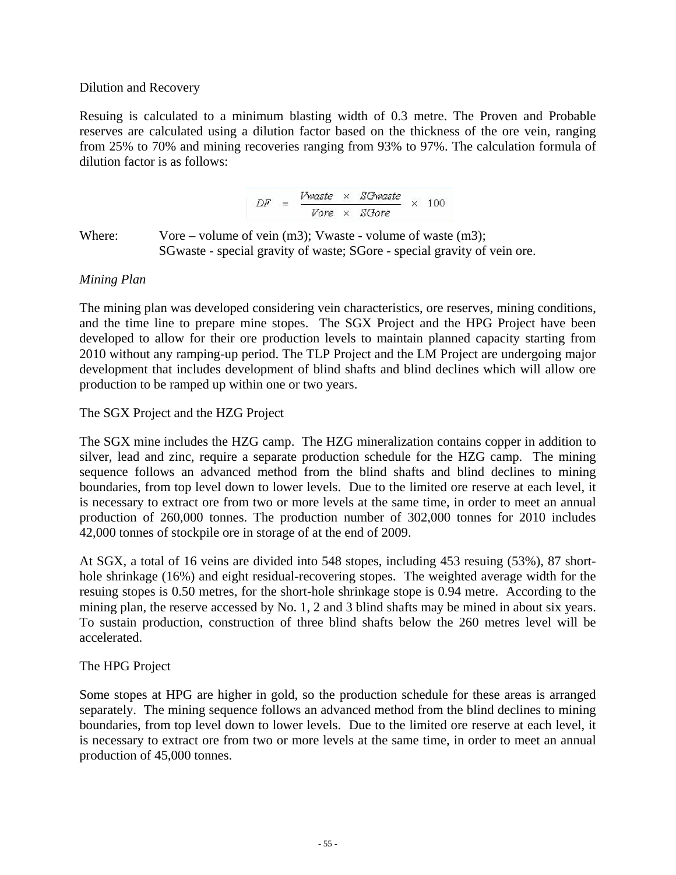### Dilution and Recovery

Resuing is calculated to a minimum blasting width of 0.3 metre. The Proven and Probable reserves are calculated using a dilution factor based on the thickness of the ore vein, ranging from 25% to 70% and mining recoveries ranging from 93% to 97%. The calculation formula of dilution factor is as follows:

$$
DF = \frac{Vwaste \times SGwaste}{Vore \times SGore} \times 100
$$

Where: Vore – volume of vein (m3); Vwaste - volume of waste (m3); SGwaste - special gravity of waste; SGore - special gravity of vein ore.

### *Mining Plan*

The mining plan was developed considering vein characteristics, ore reserves, mining conditions, and the time line to prepare mine stopes. The SGX Project and the HPG Project have been developed to allow for their ore production levels to maintain planned capacity starting from 2010 without any ramping-up period. The TLP Project and the LM Project are undergoing major development that includes development of blind shafts and blind declines which will allow ore production to be ramped up within one or two years.

### The SGX Project and the HZG Project

The SGX mine includes the HZG camp. The HZG mineralization contains copper in addition to silver, lead and zinc, require a separate production schedule for the HZG camp. The mining sequence follows an advanced method from the blind shafts and blind declines to mining boundaries, from top level down to lower levels. Due to the limited ore reserve at each level, it is necessary to extract ore from two or more levels at the same time, in order to meet an annual production of 260,000 tonnes. The production number of 302,000 tonnes for 2010 includes 42,000 tonnes of stockpile ore in storage of at the end of 2009.

At SGX, a total of 16 veins are divided into 548 stopes, including 453 resuing (53%), 87 shorthole shrinkage (16%) and eight residual-recovering stopes. The weighted average width for the resuing stopes is 0.50 metres, for the short-hole shrinkage stope is 0.94 metre. According to the mining plan, the reserve accessed by No. 1, 2 and 3 blind shafts may be mined in about six years. To sustain production, construction of three blind shafts below the 260 metres level will be accelerated.

### The HPG Project

Some stopes at HPG are higher in gold, so the production schedule for these areas is arranged separately. The mining sequence follows an advanced method from the blind declines to mining boundaries, from top level down to lower levels. Due to the limited ore reserve at each level, it is necessary to extract ore from two or more levels at the same time, in order to meet an annual production of 45,000 tonnes.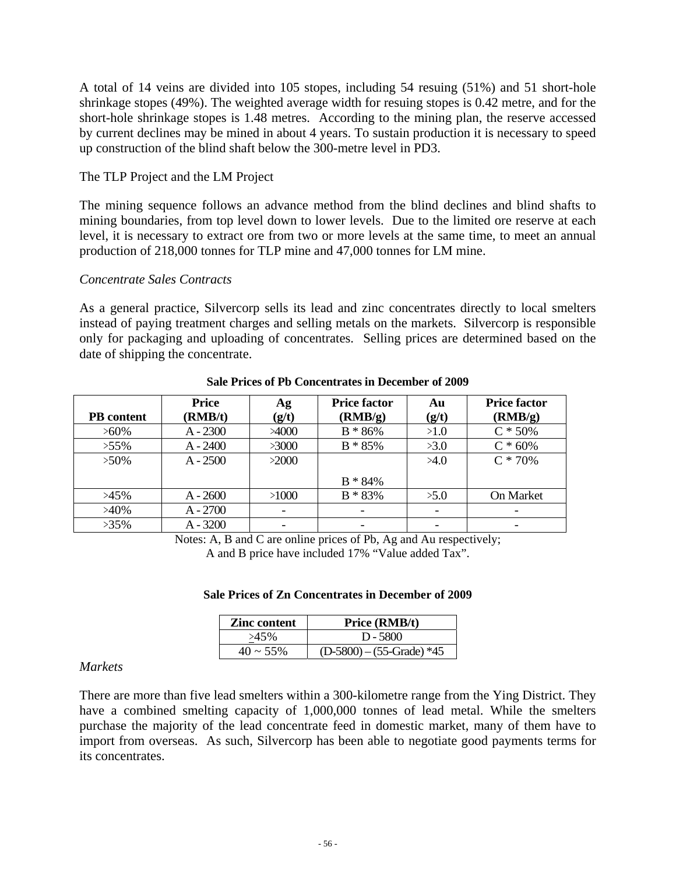A total of 14 veins are divided into 105 stopes, including 54 resuing (51%) and 51 short-hole shrinkage stopes (49%). The weighted average width for resuing stopes is 0.42 metre, and for the short-hole shrinkage stopes is 1.48 metres. According to the mining plan, the reserve accessed by current declines may be mined in about 4 years. To sustain production it is necessary to speed up construction of the blind shaft below the 300-metre level in PD3.

### The TLP Project and the LM Project

The mining sequence follows an advance method from the blind declines and blind shafts to mining boundaries, from top level down to lower levels. Due to the limited ore reserve at each level, it is necessary to extract ore from two or more levels at the same time, to meet an annual production of 218,000 tonnes for TLP mine and 47,000 tonnes for LM mine.

### *Concentrate Sales Contracts*

As a general practice, Silvercorp sells its lead and zinc concentrates directly to local smelters instead of paying treatment charges and selling metals on the markets. Silvercorp is responsible only for packaging and uploading of concentrates. Selling prices are determined based on the date of shipping the concentrate.

| <b>PB</b> content | <b>Price</b><br>(RMB/t) | Ag<br>(g/t)   | <b>Price factor</b><br>(RMB/g) | Au<br>(g/t) | <b>Price factor</b><br>(RMB/g) |
|-------------------|-------------------------|---------------|--------------------------------|-------------|--------------------------------|
| $>60\%$           | $A - 2300$              | $\times$ 4000 | $B * 86%$                      | >1.0        | $C * 50%$                      |
| $>55\%$           | $A - 2400$              | >3000         | $B * 85%$                      | >3.0        | $C * 60%$                      |
| $>50\%$           | $A - 2500$              | >2000         |                                | >4.0        | $C * 70%$                      |
|                   |                         |               | $B * 84\%$                     |             |                                |
| $>45\%$           | $A - 2600$              | >1000         | $B * 83%$                      | >5.0        | On Market                      |
| $>40\%$           | $A - 2700$              |               |                                |             |                                |
| $>35\%$           | $A - 3200$              |               |                                |             |                                |

#### **Sale Prices of Pb Concentrates in December of 2009**

Notes: A, B and C are online prices of Pb, Ag and Au respectively;

A and B price have included 17% "Value added Tax".

| <b>Zinc content</b> | <b>Price (RMB/t)</b>       |
|---------------------|----------------------------|
| $>45\%$             | $D - 5800$                 |
| $40 \sim 55\%$      | $(D-5800) - (55-Grade)*45$ |

#### **Sale Prices of Zn Concentrates in December of 2009**

#### *Markets*

There are more than five lead smelters within a 300-kilometre range from the Ying District. They have a combined smelting capacity of 1,000,000 tonnes of lead metal. While the smelters purchase the majority of the lead concentrate feed in domestic market, many of them have to import from overseas. As such, Silvercorp has been able to negotiate good payments terms for its concentrates.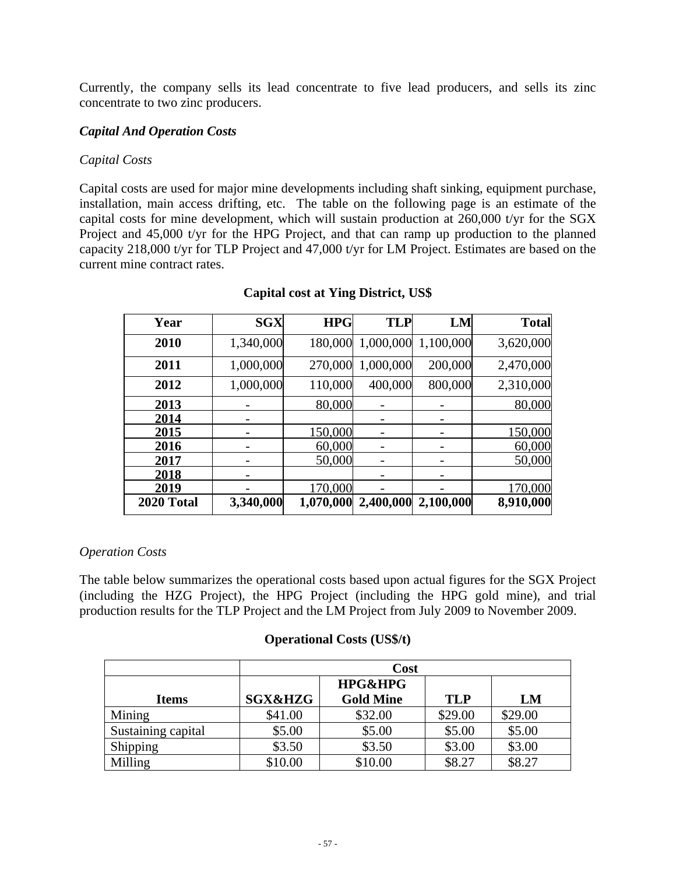Currently, the company sells its lead concentrate to five lead producers, and sells its zinc concentrate to two zinc producers.

### *Capital And Operation Costs*

### *Capital Costs*

Capital costs are used for major mine developments including shaft sinking, equipment purchase, installation, main access drifting, etc. The table on the following page is an estimate of the capital costs for mine development, which will sustain production at 260,000 t/yr for the SGX Project and 45,000 t/yr for the HPG Project, and that can ramp up production to the planned capacity 218,000 t/yr for TLP Project and 47,000 t/yr for LM Project. Estimates are based on the current mine contract rates.

| Year       | <b>SGX</b> | <b>HPG</b> | <b>TLP</b> | LM        | <b>Total</b> |
|------------|------------|------------|------------|-----------|--------------|
| 2010       | 1,340,000  | 180,000    | 1,000,000  | 1,100,000 | 3,620,000    |
| 2011       | 1,000,000  | 270,000    | 1,000,000  | 200,000   | 2,470,000    |
| 2012       | 1,000,000  | 110,000    | 400,000    | 800,000   | 2,310,000    |
| 2013       |            | 80,000     |            |           | 80,000       |
| 2014       |            |            |            |           |              |
| 2015       |            | 150,000    |            |           | 150,000      |
| 2016       |            | 60,000     |            |           | 60,000       |
| 2017       |            | 50,000     |            |           | 50,000       |
| 2018       |            |            |            |           |              |
| 2019       |            | 170,000    |            |           | 170,000      |
| 2020 Total | 3,340,000  | 1,070,000  | 2,400,000  | 2,100,000 | 8,910,000    |

### **Capital cost at Ying District, US\$**

### *Operation Costs*

The table below summarizes the operational costs based upon actual figures for the SGX Project (including the HZG Project), the HPG Project (including the HPG gold mine), and trial production results for the TLP Project and the LM Project from July 2009 to November 2009.

### **Operational Costs (US\$/t)**

|                    | Cost               |                    |            |         |
|--------------------|--------------------|--------------------|------------|---------|
|                    |                    | <b>HPG&amp;HPG</b> |            |         |
| <b>Items</b>       | <b>SGX&amp;HZG</b> | <b>Gold Mine</b>   | <b>TLP</b> | LM      |
| Mining             | \$41.00            | \$32.00            | \$29.00    | \$29.00 |
| Sustaining capital | \$5.00             | \$5.00             | \$5.00     | \$5.00  |
| Shipping           | \$3.50             | \$3.50             | \$3.00     | \$3.00  |
| Milling            | \$10.00            | \$10.00            | \$8.27     | \$8.27  |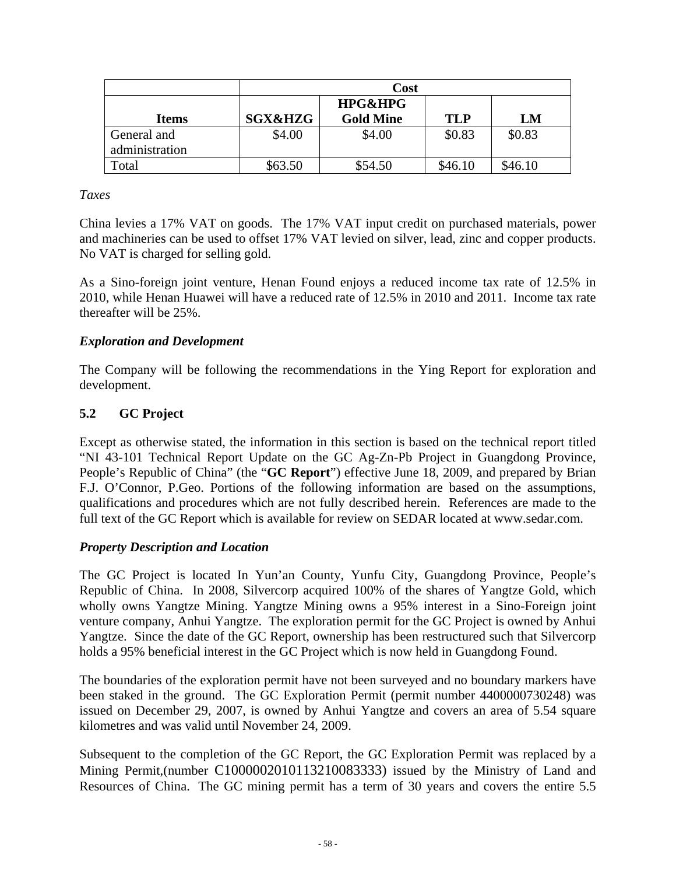|                | Cost               |                    |         |         |
|----------------|--------------------|--------------------|---------|---------|
|                |                    | <b>HPG&amp;HPG</b> |         |         |
| <b>Items</b>   | <b>SGX&amp;HZG</b> | <b>Gold Mine</b>   | TLP     | LM      |
| General and    | \$4.00             | \$4.00             | \$0.83  | \$0.83  |
| administration |                    |                    |         |         |
| Total          | \$63.50            | \$54.50            | \$46.10 | \$46.10 |

### *Taxes*

China levies a 17% VAT on goods. The 17% VAT input credit on purchased materials, power and machineries can be used to offset 17% VAT levied on silver, lead, zinc and copper products. No VAT is charged for selling gold.

As a Sino-foreign joint venture, Henan Found enjoys a reduced income tax rate of 12.5% in 2010, while Henan Huawei will have a reduced rate of 12.5% in 2010 and 2011. Income tax rate thereafter will be 25%.

# *Exploration and Development*

The Company will be following the recommendations in the Ying Report for exploration and development.

# **5.2 GC Project**

Except as otherwise stated, the information in this section is based on the technical report titled "NI 43-101 Technical Report Update on the GC Ag-Zn-Pb Project in Guangdong Province, People's Republic of China" (the "**GC Report**") effective June 18, 2009, and prepared by Brian F.J. O'Connor, P.Geo. Portions of the following information are based on the assumptions, qualifications and procedures which are not fully described herein. References are made to the full text of the GC Report which is available for review on SEDAR located at www.sedar.com.

### *Property Description and Location*

The GC Project is located In Yun'an County, Yunfu City, Guangdong Province, People's Republic of China. In 2008, Silvercorp acquired 100% of the shares of Yangtze Gold, which wholly owns Yangtze Mining. Yangtze Mining owns a 95% interest in a Sino-Foreign joint venture company, Anhui Yangtze. The exploration permit for the GC Project is owned by Anhui Yangtze. Since the date of the GC Report, ownership has been restructured such that Silvercorp holds a 95% beneficial interest in the GC Project which is now held in Guangdong Found.

The boundaries of the exploration permit have not been surveyed and no boundary markers have been staked in the ground. The GC Exploration Permit (permit number 4400000730248) was issued on December 29, 2007, is owned by Anhui Yangtze and covers an area of 5.54 square kilometres and was valid until November 24, 2009.

Subsequent to the completion of the GC Report, the GC Exploration Permit was replaced by a Mining Permit,(number C1000002010113210083333) issued by the Ministry of Land and Resources of China. The GC mining permit has a term of 30 years and covers the entire 5.5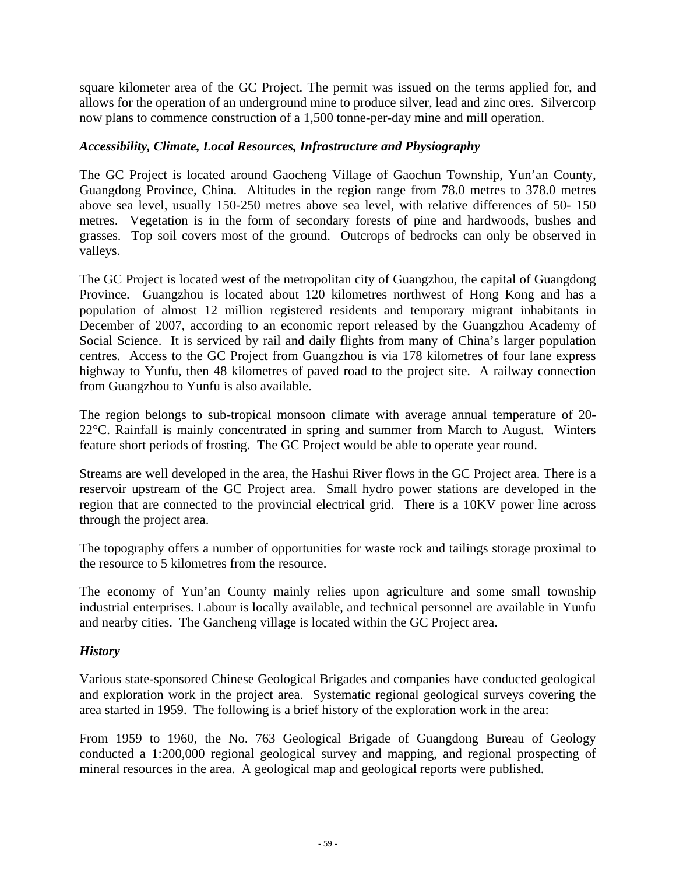square kilometer area of the GC Project. The permit was issued on the terms applied for, and allows for the operation of an underground mine to produce silver, lead and zinc ores. Silvercorp now plans to commence construction of a 1,500 tonne-per-day mine and mill operation.

### *Accessibility, Climate, Local Resources, Infrastructure and Physiography*

The GC Project is located around Gaocheng Village of Gaochun Township, Yun'an County, Guangdong Province, China. Altitudes in the region range from 78.0 metres to 378.0 metres above sea level, usually 150-250 metres above sea level, with relative differences of 50- 150 metres. Vegetation is in the form of secondary forests of pine and hardwoods, bushes and grasses. Top soil covers most of the ground. Outcrops of bedrocks can only be observed in valleys.

The GC Project is located west of the metropolitan city of Guangzhou, the capital of Guangdong Province. Guangzhou is located about 120 kilometres northwest of Hong Kong and has a population of almost 12 million registered residents and temporary migrant inhabitants in December of 2007, according to an economic report released by the Guangzhou Academy of Social Science. It is serviced by rail and daily flights from many of China's larger population centres. Access to the GC Project from Guangzhou is via 178 kilometres of four lane express highway to Yunfu, then 48 kilometres of paved road to the project site. A railway connection from Guangzhou to Yunfu is also available.

The region belongs to sub-tropical monsoon climate with average annual temperature of 20- 22°C. Rainfall is mainly concentrated in spring and summer from March to August. Winters feature short periods of frosting. The GC Project would be able to operate year round.

Streams are well developed in the area, the Hashui River flows in the GC Project area. There is a reservoir upstream of the GC Project area. Small hydro power stations are developed in the region that are connected to the provincial electrical grid. There is a 10KV power line across through the project area.

The topography offers a number of opportunities for waste rock and tailings storage proximal to the resource to 5 kilometres from the resource.

The economy of Yun'an County mainly relies upon agriculture and some small township industrial enterprises. Labour is locally available, and technical personnel are available in Yunfu and nearby cities. The Gancheng village is located within the GC Project area.

### *History*

Various state-sponsored Chinese Geological Brigades and companies have conducted geological and exploration work in the project area. Systematic regional geological surveys covering the area started in 1959. The following is a brief history of the exploration work in the area:

From 1959 to 1960, the No. 763 Geological Brigade of Guangdong Bureau of Geology conducted a 1:200,000 regional geological survey and mapping, and regional prospecting of mineral resources in the area. A geological map and geological reports were published.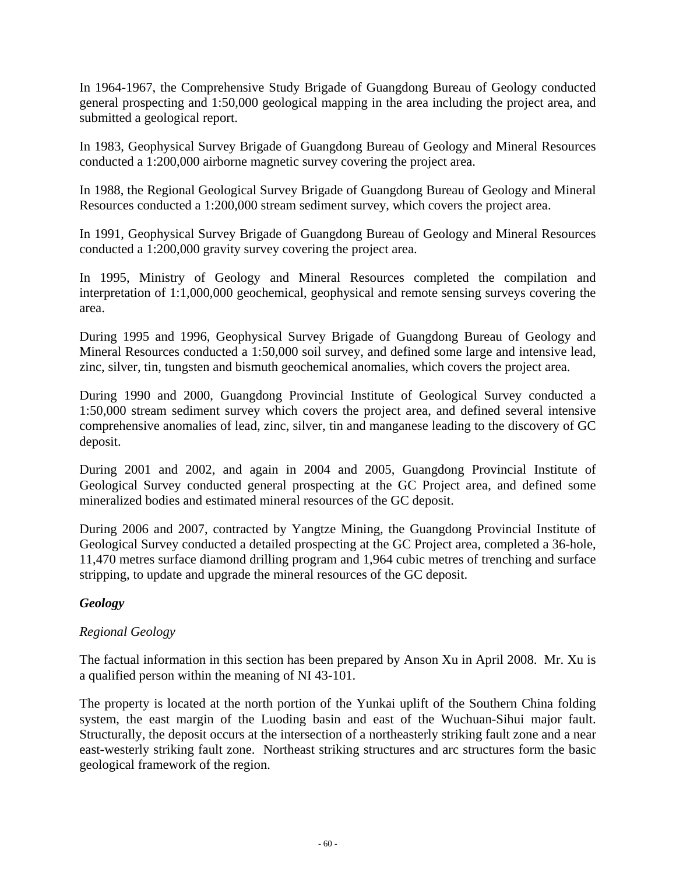In 1964-1967, the Comprehensive Study Brigade of Guangdong Bureau of Geology conducted general prospecting and 1:50,000 geological mapping in the area including the project area, and submitted a geological report.

In 1983, Geophysical Survey Brigade of Guangdong Bureau of Geology and Mineral Resources conducted a 1:200,000 airborne magnetic survey covering the project area.

In 1988, the Regional Geological Survey Brigade of Guangdong Bureau of Geology and Mineral Resources conducted a 1:200,000 stream sediment survey, which covers the project area.

In 1991, Geophysical Survey Brigade of Guangdong Bureau of Geology and Mineral Resources conducted a 1:200,000 gravity survey covering the project area.

In 1995, Ministry of Geology and Mineral Resources completed the compilation and interpretation of 1:1,000,000 geochemical, geophysical and remote sensing surveys covering the area.

During 1995 and 1996, Geophysical Survey Brigade of Guangdong Bureau of Geology and Mineral Resources conducted a 1:50,000 soil survey, and defined some large and intensive lead, zinc, silver, tin, tungsten and bismuth geochemical anomalies, which covers the project area.

During 1990 and 2000, Guangdong Provincial Institute of Geological Survey conducted a 1:50,000 stream sediment survey which covers the project area, and defined several intensive comprehensive anomalies of lead, zinc, silver, tin and manganese leading to the discovery of GC deposit.

During 2001 and 2002, and again in 2004 and 2005, Guangdong Provincial Institute of Geological Survey conducted general prospecting at the GC Project area, and defined some mineralized bodies and estimated mineral resources of the GC deposit.

During 2006 and 2007, contracted by Yangtze Mining, the Guangdong Provincial Institute of Geological Survey conducted a detailed prospecting at the GC Project area, completed a 36-hole, 11,470 metres surface diamond drilling program and 1,964 cubic metres of trenching and surface stripping, to update and upgrade the mineral resources of the GC deposit.

# *Geology*

# *Regional Geology*

The factual information in this section has been prepared by Anson Xu in April 2008. Mr. Xu is a qualified person within the meaning of NI 43-101.

The property is located at the north portion of the Yunkai uplift of the Southern China folding system, the east margin of the Luoding basin and east of the Wuchuan-Sihui major fault. Structurally, the deposit occurs at the intersection of a northeasterly striking fault zone and a near east-westerly striking fault zone. Northeast striking structures and arc structures form the basic geological framework of the region.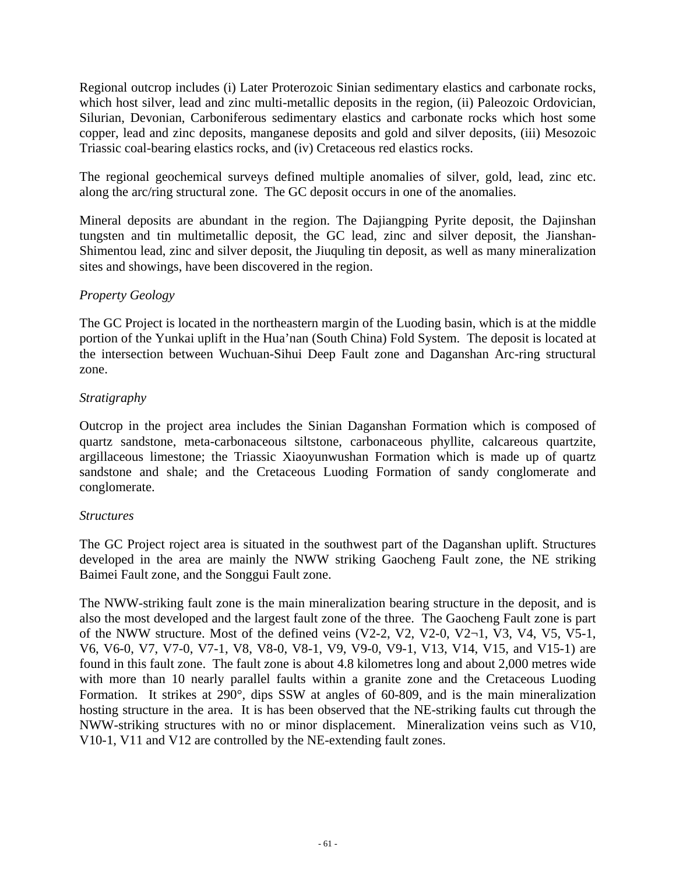Regional outcrop includes (i) Later Proterozoic Sinian sedimentary elastics and carbonate rocks, which host silver, lead and zinc multi-metallic deposits in the region, (ii) Paleozoic Ordovician, Silurian, Devonian, Carboniferous sedimentary elastics and carbonate rocks which host some copper, lead and zinc deposits, manganese deposits and gold and silver deposits, (iii) Mesozoic Triassic coal-bearing elastics rocks, and (iv) Cretaceous red elastics rocks.

The regional geochemical surveys defined multiple anomalies of silver, gold, lead, zinc etc. along the arc/ring structural zone. The GC deposit occurs in one of the anomalies.

Mineral deposits are abundant in the region. The Dajiangping Pyrite deposit, the Dajinshan tungsten and tin multimetallic deposit, the GC lead, zinc and silver deposit, the Jianshan-Shimentou lead, zinc and silver deposit, the Jiuquling tin deposit, as well as many mineralization sites and showings, have been discovered in the region.

### *Property Geology*

The GC Project is located in the northeastern margin of the Luoding basin, which is at the middle portion of the Yunkai uplift in the Hua'nan (South China) Fold System. The deposit is located at the intersection between Wuchuan-Sihui Deep Fault zone and Daganshan Arc-ring structural zone.

### *Stratigraphy*

Outcrop in the project area includes the Sinian Daganshan Formation which is composed of quartz sandstone, meta-carbonaceous siltstone, carbonaceous phyllite, calcareous quartzite, argillaceous limestone; the Triassic Xiaoyunwushan Formation which is made up of quartz sandstone and shale; and the Cretaceous Luoding Formation of sandy conglomerate and conglomerate.

### *Structures*

The GC Project roject area is situated in the southwest part of the Daganshan uplift. Structures developed in the area are mainly the NWW striking Gaocheng Fault zone, the NE striking Baimei Fault zone, and the Songgui Fault zone.

The NWW-striking fault zone is the main mineralization bearing structure in the deposit, and is also the most developed and the largest fault zone of the three. The Gaocheng Fault zone is part of the NWW structure. Most of the defined veins  $(V2-2, V2, V2-0, V2-1, V3, V4, V5, V5-1,$ V6, V6-0, V7, V7-0, V7-1, V8, V8-0, V8-1, V9, V9-0, V9-1, V13, V14, V15, and V15-1) are found in this fault zone. The fault zone is about 4.8 kilometres long and about 2,000 metres wide with more than 10 nearly parallel faults within a granite zone and the Cretaceous Luoding Formation. It strikes at 290°, dips SSW at angles of 60-809, and is the main mineralization hosting structure in the area. It is has been observed that the NE-striking faults cut through the NWW-striking structures with no or minor displacement. Mineralization veins such as V10, V10-1, V11 and V12 are controlled by the NE-extending fault zones.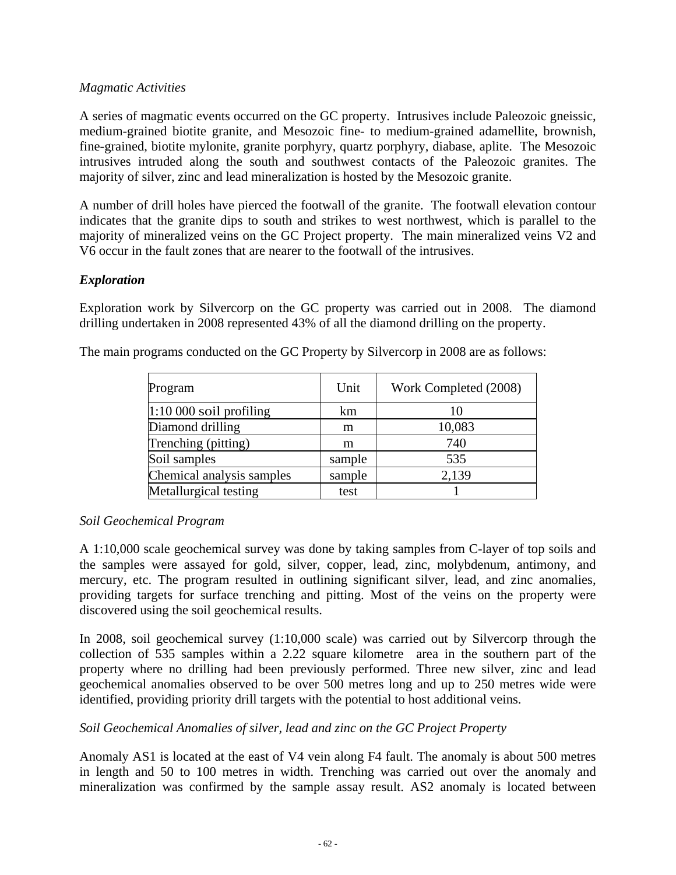### *Magmatic Activities*

A series of magmatic events occurred on the GC property. Intrusives include Paleozoic gneissic, medium-grained biotite granite, and Mesozoic fine- to medium-grained adamellite, brownish, fine-grained, biotite mylonite, granite porphyry, quartz porphyry, diabase, aplite. The Mesozoic intrusives intruded along the south and southwest contacts of the Paleozoic granites. The majority of silver, zinc and lead mineralization is hosted by the Mesozoic granite.

A number of drill holes have pierced the footwall of the granite. The footwall elevation contour indicates that the granite dips to south and strikes to west northwest, which is parallel to the majority of mineralized veins on the GC Project property. The main mineralized veins V2 and V6 occur in the fault zones that are nearer to the footwall of the intrusives.

# *Exploration*

Exploration work by Silvercorp on the GC property was carried out in 2008. The diamond drilling undertaken in 2008 represented 43% of all the diamond drilling on the property.

| Program                   | Unit   | Work Completed (2008) |
|---------------------------|--------|-----------------------|
| $1:10000$ soil profiling  | km     | 10                    |
| Diamond drilling          | m      | 10,083                |
| Trenching (pitting)       | m      | 740                   |
| Soil samples              | sample | 535                   |
| Chemical analysis samples | sample | 2,139                 |
| Metallurgical testing     | test   |                       |

The main programs conducted on the GC Property by Silvercorp in 2008 are as follows:

# *Soil Geochemical Program*

A 1:10,000 scale geochemical survey was done by taking samples from C-layer of top soils and the samples were assayed for gold, silver, copper, lead, zinc, molybdenum, antimony, and mercury, etc. The program resulted in outlining significant silver, lead, and zinc anomalies, providing targets for surface trenching and pitting. Most of the veins on the property were discovered using the soil geochemical results.

In 2008, soil geochemical survey (1:10,000 scale) was carried out by Silvercorp through the collection of 535 samples within a 2.22 square kilometre area in the southern part of the property where no drilling had been previously performed. Three new silver, zinc and lead geochemical anomalies observed to be over 500 metres long and up to 250 metres wide were identified, providing priority drill targets with the potential to host additional veins.

# *Soil Geochemical Anomalies of silver, lead and zinc on the GC Project Property*

Anomaly AS1 is located at the east of V4 vein along F4 fault. The anomaly is about 500 metres in length and 50 to 100 metres in width. Trenching was carried out over the anomaly and mineralization was confirmed by the sample assay result. AS2 anomaly is located between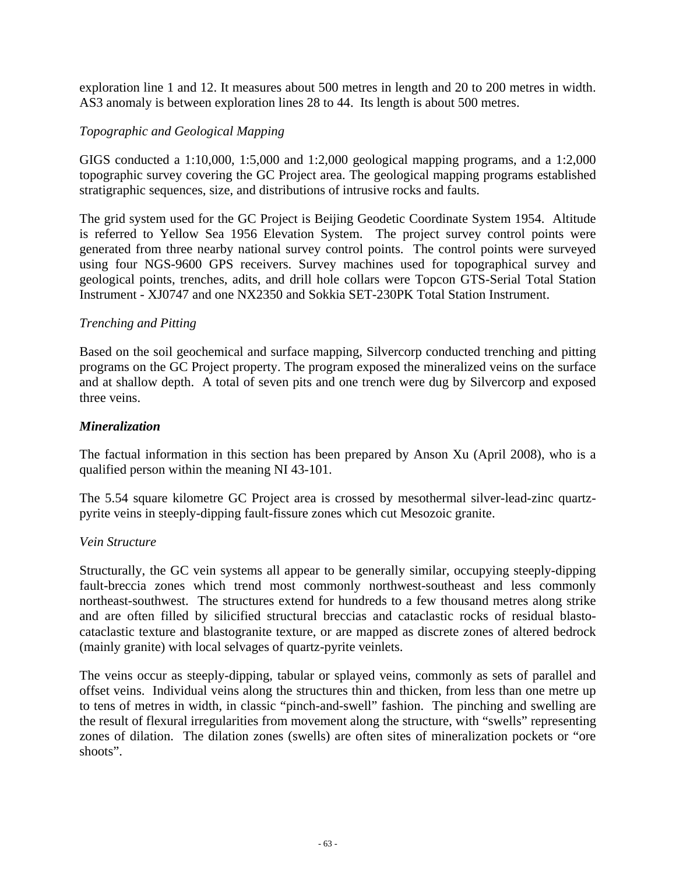exploration line 1 and 12. It measures about 500 metres in length and 20 to 200 metres in width. AS3 anomaly is between exploration lines 28 to 44. Its length is about 500 metres.

### *Topographic and Geological Mapping*

GIGS conducted a 1:10,000, 1:5,000 and 1:2,000 geological mapping programs, and a 1:2,000 topographic survey covering the GC Project area. The geological mapping programs established stratigraphic sequences, size, and distributions of intrusive rocks and faults.

The grid system used for the GC Project is Beijing Geodetic Coordinate System 1954. Altitude is referred to Yellow Sea 1956 Elevation System. The project survey control points were generated from three nearby national survey control points. The control points were surveyed using four NGS-9600 GPS receivers. Survey machines used for topographical survey and geological points, trenches, adits, and drill hole collars were Topcon GTS-Serial Total Station Instrument - XJ0747 and one NX2350 and Sokkia SET-230PK Total Station Instrument.

### *Trenching and Pitting*

Based on the soil geochemical and surface mapping, Silvercorp conducted trenching and pitting programs on the GC Project property. The program exposed the mineralized veins on the surface and at shallow depth. A total of seven pits and one trench were dug by Silvercorp and exposed three veins.

### *Mineralization*

The factual information in this section has been prepared by Anson Xu (April 2008), who is a qualified person within the meaning NI 43-101.

The 5.54 square kilometre GC Project area is crossed by mesothermal silver-lead-zinc quartzpyrite veins in steeply-dipping fault-fissure zones which cut Mesozoic granite.

### *Vein Structure*

Structurally, the GC vein systems all appear to be generally similar, occupying steeply-dipping fault-breccia zones which trend most commonly northwest-southeast and less commonly northeast-southwest. The structures extend for hundreds to a few thousand metres along strike and are often filled by silicified structural breccias and cataclastic rocks of residual blastocataclastic texture and blastogranite texture, or are mapped as discrete zones of altered bedrock (mainly granite) with local selvages of quartz-pyrite veinlets.

The veins occur as steeply-dipping, tabular or splayed veins, commonly as sets of parallel and offset veins. Individual veins along the structures thin and thicken, from less than one metre up to tens of metres in width, in classic "pinch-and-swell" fashion. The pinching and swelling are the result of flexural irregularities from movement along the structure, with "swells" representing zones of dilation. The dilation zones (swells) are often sites of mineralization pockets or "ore shoots".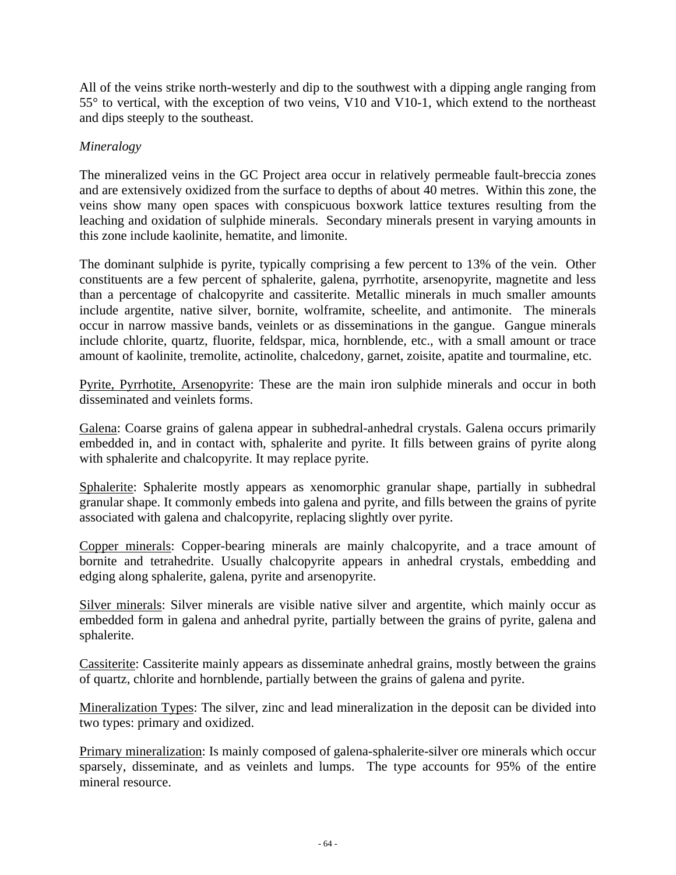All of the veins strike north-westerly and dip to the southwest with a dipping angle ranging from 55° to vertical, with the exception of two veins, V10 and V10-1, which extend to the northeast and dips steeply to the southeast.

# *Mineralogy*

The mineralized veins in the GC Project area occur in relatively permeable fault-breccia zones and are extensively oxidized from the surface to depths of about 40 metres. Within this zone, the veins show many open spaces with conspicuous boxwork lattice textures resulting from the leaching and oxidation of sulphide minerals. Secondary minerals present in varying amounts in this zone include kaolinite, hematite, and limonite.

The dominant sulphide is pyrite, typically comprising a few percent to 13% of the vein. Other constituents are a few percent of sphalerite, galena, pyrrhotite, arsenopyrite, magnetite and less than a percentage of chalcopyrite and cassiterite. Metallic minerals in much smaller amounts include argentite, native silver, bornite, wolframite, scheelite, and antimonite. The minerals occur in narrow massive bands, veinlets or as disseminations in the gangue. Gangue minerals include chlorite, quartz, fluorite, feldspar, mica, hornblende, etc., with a small amount or trace amount of kaolinite, tremolite, actinolite, chalcedony, garnet, zoisite, apatite and tourmaline, etc.

Pyrite, Pyrrhotite, Arsenopyrite: These are the main iron sulphide minerals and occur in both disseminated and veinlets forms.

Galena: Coarse grains of galena appear in subhedral-anhedral crystals. Galena occurs primarily embedded in, and in contact with, sphalerite and pyrite. It fills between grains of pyrite along with sphalerite and chalcopyrite. It may replace pyrite.

Sphalerite: Sphalerite mostly appears as xenomorphic granular shape, partially in subhedral granular shape. It commonly embeds into galena and pyrite, and fills between the grains of pyrite associated with galena and chalcopyrite, replacing slightly over pyrite.

Copper minerals: Copper-bearing minerals are mainly chalcopyrite, and a trace amount of bornite and tetrahedrite. Usually chalcopyrite appears in anhedral crystals, embedding and edging along sphalerite, galena, pyrite and arsenopyrite.

Silver minerals: Silver minerals are visible native silver and argentite, which mainly occur as embedded form in galena and anhedral pyrite, partially between the grains of pyrite, galena and sphalerite.

Cassiterite: Cassiterite mainly appears as disseminate anhedral grains, mostly between the grains of quartz, chlorite and hornblende, partially between the grains of galena and pyrite.

Mineralization Types: The silver, zinc and lead mineralization in the deposit can be divided into two types: primary and oxidized.

Primary mineralization: Is mainly composed of galena-sphalerite-silver ore minerals which occur sparsely, disseminate, and as veinlets and lumps. The type accounts for 95% of the entire mineral resource.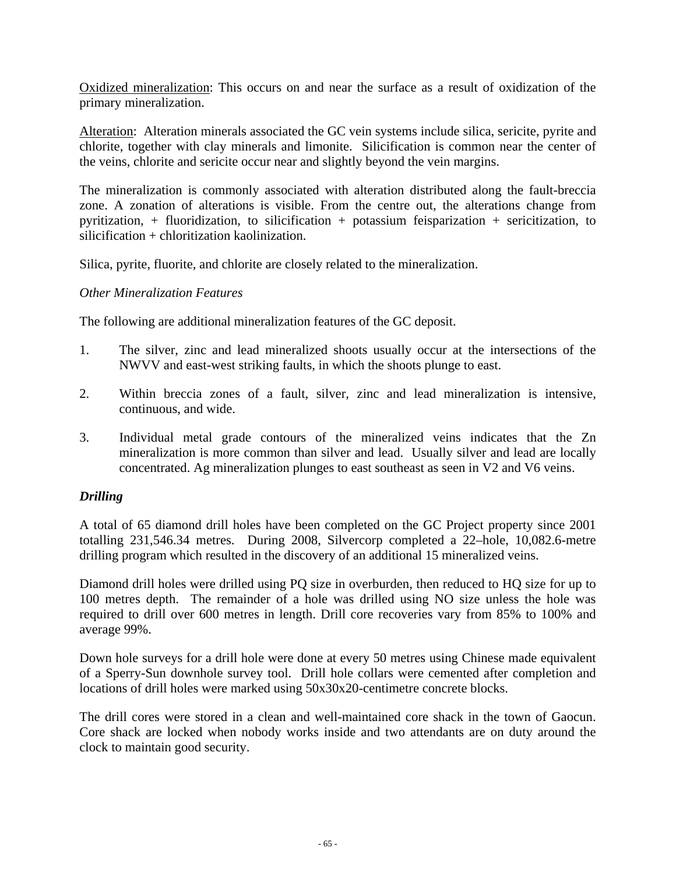Oxidized mineralization: This occurs on and near the surface as a result of oxidization of the primary mineralization.

Alteration: Alteration minerals associated the GC vein systems include silica, sericite, pyrite and chlorite, together with clay minerals and limonite. Silicification is common near the center of the veins, chlorite and sericite occur near and slightly beyond the vein margins.

The mineralization is commonly associated with alteration distributed along the fault-breccia zone. A zonation of alterations is visible. From the centre out, the alterations change from pyritization, + fluoridization, to silicification + potassium feisparization + sericitization, to silicification + chloritization kaolinization.

Silica, pyrite, fluorite, and chlorite are closely related to the mineralization.

### *Other Mineralization Features*

The following are additional mineralization features of the GC deposit.

- 1. The silver, zinc and lead mineralized shoots usually occur at the intersections of the NWVV and east-west striking faults, in which the shoots plunge to east.
- 2. Within breccia zones of a fault, silver, zinc and lead mineralization is intensive, continuous, and wide.
- 3. Individual metal grade contours of the mineralized veins indicates that the Zn mineralization is more common than silver and lead. Usually silver and lead are locally concentrated. Ag mineralization plunges to east southeast as seen in V2 and V6 veins.

### *Drilling*

A total of 65 diamond drill holes have been completed on the GC Project property since 2001 totalling 231,546.34 metres. During 2008, Silvercorp completed a 22–hole, 10,082.6-metre drilling program which resulted in the discovery of an additional 15 mineralized veins.

Diamond drill holes were drilled using PQ size in overburden, then reduced to HQ size for up to 100 metres depth. The remainder of a hole was drilled using NO size unless the hole was required to drill over 600 metres in length. Drill core recoveries vary from 85% to 100% and average 99%.

Down hole surveys for a drill hole were done at every 50 metres using Chinese made equivalent of a Sperry-Sun downhole survey tool. Drill hole collars were cemented after completion and locations of drill holes were marked using 50x30x20-centimetre concrete blocks.

The drill cores were stored in a clean and well-maintained core shack in the town of Gaocun. Core shack are locked when nobody works inside and two attendants are on duty around the clock to maintain good security.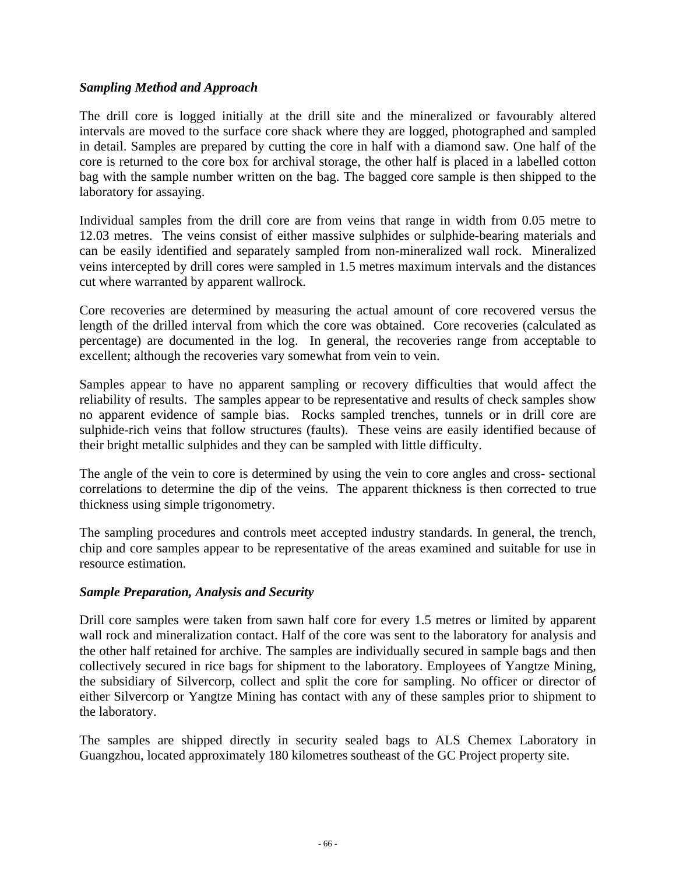### *Sampling Method and Approach*

The drill core is logged initially at the drill site and the mineralized or favourably altered intervals are moved to the surface core shack where they are logged, photographed and sampled in detail. Samples are prepared by cutting the core in half with a diamond saw. One half of the core is returned to the core box for archival storage, the other half is placed in a labelled cotton bag with the sample number written on the bag. The bagged core sample is then shipped to the laboratory for assaying.

Individual samples from the drill core are from veins that range in width from 0.05 metre to 12.03 metres. The veins consist of either massive sulphides or sulphide-bearing materials and can be easily identified and separately sampled from non-mineralized wall rock. Mineralized veins intercepted by drill cores were sampled in 1.5 metres maximum intervals and the distances cut where warranted by apparent wallrock.

Core recoveries are determined by measuring the actual amount of core recovered versus the length of the drilled interval from which the core was obtained. Core recoveries (calculated as percentage) are documented in the log. In general, the recoveries range from acceptable to excellent; although the recoveries vary somewhat from vein to vein.

Samples appear to have no apparent sampling or recovery difficulties that would affect the reliability of results. The samples appear to be representative and results of check samples show no apparent evidence of sample bias. Rocks sampled trenches, tunnels or in drill core are sulphide-rich veins that follow structures (faults). These veins are easily identified because of their bright metallic sulphides and they can be sampled with little difficulty.

The angle of the vein to core is determined by using the vein to core angles and cross- sectional correlations to determine the dip of the veins. The apparent thickness is then corrected to true thickness using simple trigonometry.

The sampling procedures and controls meet accepted industry standards. In general, the trench, chip and core samples appear to be representative of the areas examined and suitable for use in resource estimation.

### *Sample Preparation, Analysis and Security*

Drill core samples were taken from sawn half core for every 1.5 metres or limited by apparent wall rock and mineralization contact. Half of the core was sent to the laboratory for analysis and the other half retained for archive. The samples are individually secured in sample bags and then collectively secured in rice bags for shipment to the laboratory. Employees of Yangtze Mining, the subsidiary of Silvercorp, collect and split the core for sampling. No officer or director of either Silvercorp or Yangtze Mining has contact with any of these samples prior to shipment to the laboratory.

The samples are shipped directly in security sealed bags to ALS Chemex Laboratory in Guangzhou, located approximately 180 kilometres southeast of the GC Project property site.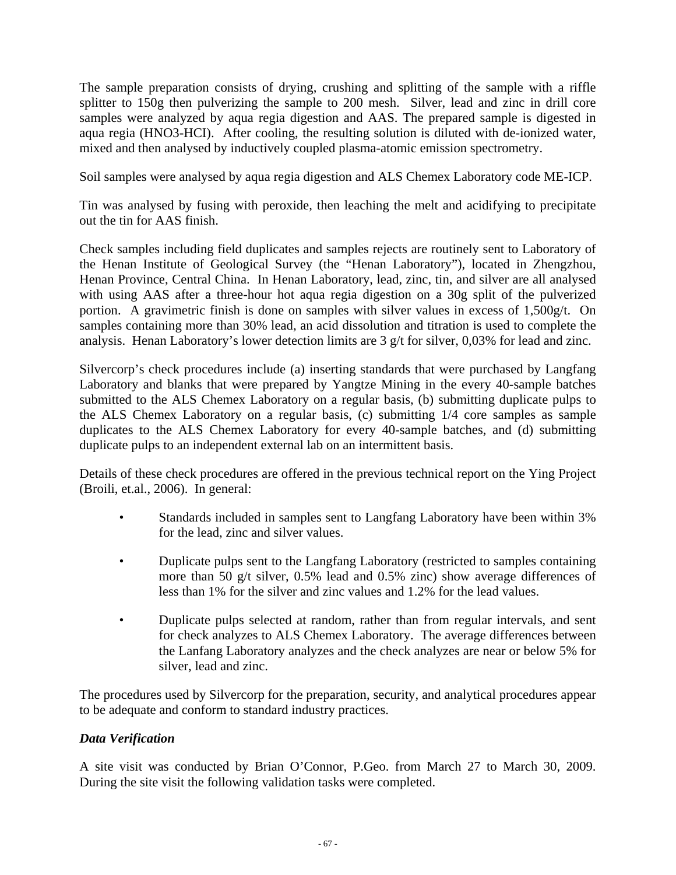The sample preparation consists of drying, crushing and splitting of the sample with a riffle splitter to 150g then pulverizing the sample to 200 mesh. Silver, lead and zinc in drill core samples were analyzed by aqua regia digestion and AAS. The prepared sample is digested in aqua regia (HNO3-HCI). After cooling, the resulting solution is diluted with de-ionized water, mixed and then analysed by inductively coupled plasma-atomic emission spectrometry.

Soil samples were analysed by aqua regia digestion and ALS Chemex Laboratory code ME-ICP.

Tin was analysed by fusing with peroxide, then leaching the melt and acidifying to precipitate out the tin for AAS finish.

Check samples including field duplicates and samples rejects are routinely sent to Laboratory of the Henan Institute of Geological Survey (the "Henan Laboratory"), located in Zhengzhou, Henan Province, Central China. In Henan Laboratory, lead, zinc, tin, and silver are all analysed with using AAS after a three-hour hot aqua regia digestion on a 30g split of the pulverized portion. A gravimetric finish is done on samples with silver values in excess of 1,500g/t. On samples containing more than 30% lead, an acid dissolution and titration is used to complete the analysis. Henan Laboratory's lower detection limits are 3 g/t for silver, 0,03% for lead and zinc.

Silvercorp's check procedures include (a) inserting standards that were purchased by Langfang Laboratory and blanks that were prepared by Yangtze Mining in the every 40-sample batches submitted to the ALS Chemex Laboratory on a regular basis, (b) submitting duplicate pulps to the ALS Chemex Laboratory on a regular basis, (c) submitting 1/4 core samples as sample duplicates to the ALS Chemex Laboratory for every 40-sample batches, and (d) submitting duplicate pulps to an independent external lab on an intermittent basis.

Details of these check procedures are offered in the previous technical report on the Ying Project (Broili, et.al., 2006). In general:

- Standards included in samples sent to Langfang Laboratory have been within 3% for the lead, zinc and silver values.
- Duplicate pulps sent to the Langfang Laboratory (restricted to samples containing more than 50 g/t silver, 0.5% lead and 0.5% zinc) show average differences of less than 1% for the silver and zinc values and 1.2% for the lead values.
- Duplicate pulps selected at random, rather than from regular intervals, and sent for check analyzes to ALS Chemex Laboratory. The average differences between the Lanfang Laboratory analyzes and the check analyzes are near or below 5% for silver, lead and zinc.

The procedures used by Silvercorp for the preparation, security, and analytical procedures appear to be adequate and conform to standard industry practices.

# *Data Verification*

A site visit was conducted by Brian O'Connor, P.Geo. from March 27 to March 30, 2009. During the site visit the following validation tasks were completed.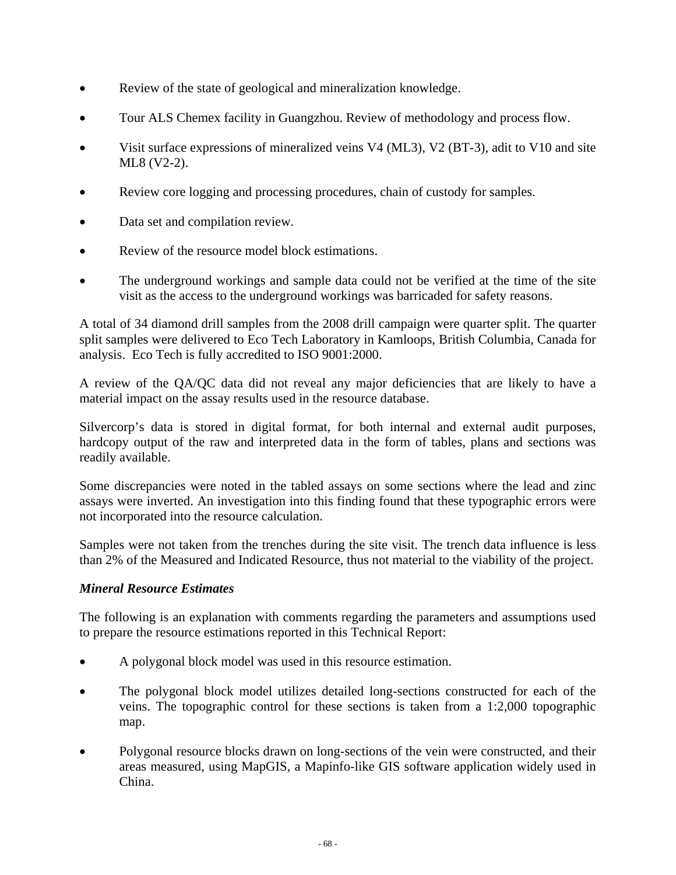- Review of the state of geological and mineralization knowledge.
- Tour ALS Chemex facility in Guangzhou. Review of methodology and process flow.
- Visit surface expressions of mineralized veins V4 (ML3), V2 (BT-3), adit to V10 and site ML8 (V2-2).
- Review core logging and processing procedures, chain of custody for samples.
- Data set and compilation review.
- Review of the resource model block estimations.
- The underground workings and sample data could not be verified at the time of the site visit as the access to the underground workings was barricaded for safety reasons.

A total of 34 diamond drill samples from the 2008 drill campaign were quarter split. The quarter split samples were delivered to Eco Tech Laboratory in Kamloops, British Columbia, Canada for analysis. Eco Tech is fully accredited to ISO 9001:2000.

A review of the QA/QC data did not reveal any major deficiencies that are likely to have a material impact on the assay results used in the resource database.

Silvercorp's data is stored in digital format, for both internal and external audit purposes, hardcopy output of the raw and interpreted data in the form of tables, plans and sections was readily available.

Some discrepancies were noted in the tabled assays on some sections where the lead and zinc assays were inverted. An investigation into this finding found that these typographic errors were not incorporated into the resource calculation.

Samples were not taken from the trenches during the site visit. The trench data influence is less than 2% of the Measured and Indicated Resource, thus not material to the viability of the project.

# *Mineral Resource Estimates*

The following is an explanation with comments regarding the parameters and assumptions used to prepare the resource estimations reported in this Technical Report:

- A polygonal block model was used in this resource estimation.
- The polygonal block model utilizes detailed long-sections constructed for each of the veins. The topographic control for these sections is taken from a 1:2,000 topographic map.
- Polygonal resource blocks drawn on long-sections of the vein were constructed, and their areas measured, using MapGIS, a Mapinfo-like GIS software application widely used in China.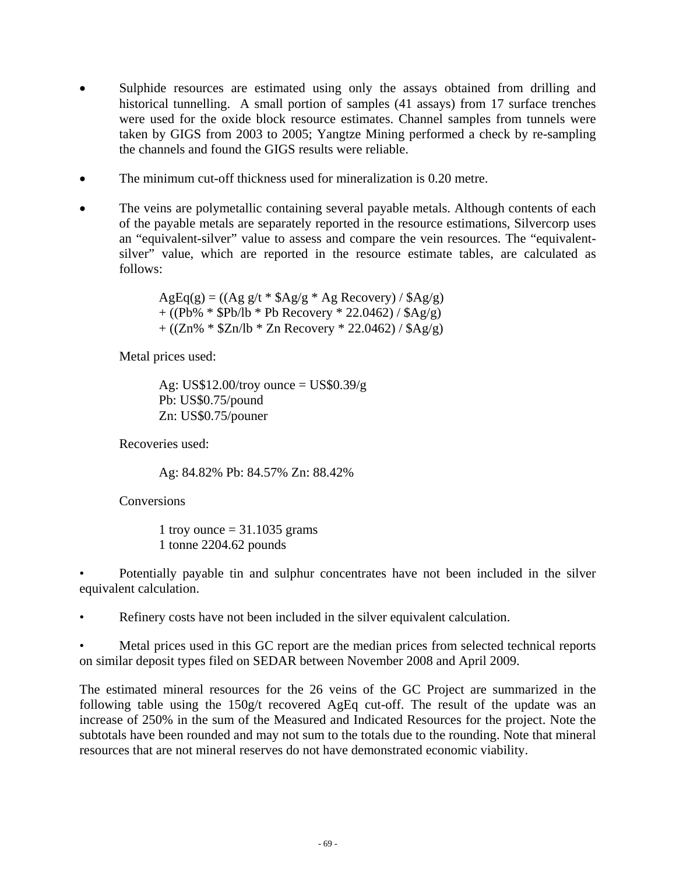- Sulphide resources are estimated using only the assays obtained from drilling and historical tunnelling. A small portion of samples (41 assays) from 17 surface trenches were used for the oxide block resource estimates. Channel samples from tunnels were taken by GIGS from 2003 to 2005; Yangtze Mining performed a check by re-sampling the channels and found the GIGS results were reliable.
- The minimum cut-off thickness used for mineralization is 0.20 metre.
- The veins are polymetallic containing several payable metals. Although contents of each of the payable metals are separately reported in the resource estimations, Silvercorp uses an "equivalent-silver" value to assess and compare the vein resources. The "equivalentsilver" value, which are reported in the resource estimate tables, are calculated as follows:

 $AgEq(g) = ((Ag g/t * $Ag/g * Ag Recovery) / $Ag/g)$ + ((Pb% \* \$Pb/lb \* Pb Recovery \* 22.0462) / \$Ag/g) +  $((\text{Zn\% * $Zn/lb * Zn Recovery * 22.0462) / $Ag/g})$ 

Metal prices used:

Ag: US\$12.00/troy ounce = US\$0.39/g Pb: US\$0.75/pound Zn: US\$0.75/pouner

Recoveries used:

Ag: 84.82% Pb: 84.57% Zn: 88.42%

**Conversions** 

1 troy ounce  $= 31.1035$  grams 1 tonne 2204.62 pounds

• Potentially payable tin and sulphur concentrates have not been included in the silver equivalent calculation.

• Refinery costs have not been included in the silver equivalent calculation.

• Metal prices used in this GC report are the median prices from selected technical reports on similar deposit types filed on SEDAR between November 2008 and April 2009.

The estimated mineral resources for the 26 veins of the GC Project are summarized in the following table using the 150g/t recovered AgEq cut-off. The result of the update was an increase of 250% in the sum of the Measured and Indicated Resources for the project. Note the subtotals have been rounded and may not sum to the totals due to the rounding. Note that mineral resources that are not mineral reserves do not have demonstrated economic viability.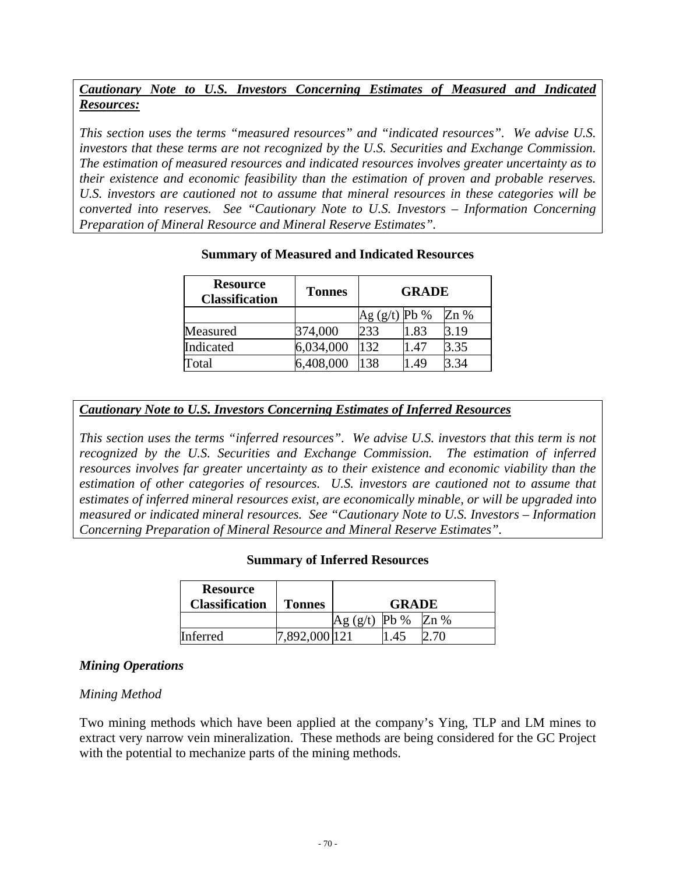# *Cautionary Note to U.S. Investors Concerning Estimates of Measured and Indicated Resources:*

*This section uses the terms "measured resources" and "indicated resources". We advise U.S. investors that these terms are not recognized by the U.S. Securities and Exchange Commission. The estimation of measured resources and indicated resources involves greater uncertainty as to their existence and economic feasibility than the estimation of proven and probable reserves. U.S. investors are cautioned not to assume that mineral resources in these categories will be converted into reserves. See "Cautionary Note to U.S. Investors – Information Concerning Preparation of Mineral Resource and Mineral Reserve Estimates".* 

| <b>Resource</b><br><b>Classification</b> | <b>Tonnes</b> | <b>GRADE</b>    |      |        |
|------------------------------------------|---------------|-----------------|------|--------|
|                                          |               | Ag $(g/t)$ Pb % |      | $Zn\%$ |
| Measured                                 | 374,000       | 233             | 1.83 | 3.19   |
| Indicated                                | 6,034,000     | 132             | .47  | 3.35   |
| Total                                    | 6,408,000     | 138             | .49  | 3.34   |

### **Summary of Measured and Indicated Resources**

### *Cautionary Note to U.S. Investors Concerning Estimates of Inferred Resources*

*This section uses the terms "inferred resources". We advise U.S. investors that this term is not recognized by the U.S. Securities and Exchange Commission. The estimation of inferred resources involves far greater uncertainty as to their existence and economic viability than the estimation of other categories of resources. U.S. investors are cautioned not to assume that estimates of inferred mineral resources exist, are economically minable, or will be upgraded into measured or indicated mineral resources. See "Cautionary Note to U.S. Investors – Information Concerning Preparation of Mineral Resource and Mineral Reserve Estimates".* 

### **Summary of Inferred Resources**

| <b>Resource</b><br><b>Classification</b> | <b>Tonnes</b> |       | <b>GRADE</b> |        |
|------------------------------------------|---------------|-------|--------------|--------|
|                                          |               | (g/t) | $Pb\%$       | $Zn\%$ |
| Inferred                                 | :4892,000 12  |       | .45          |        |

### *Mining Operations*

### *Mining Method*

Two mining methods which have been applied at the company's Ying, TLP and LM mines to extract very narrow vein mineralization. These methods are being considered for the GC Project with the potential to mechanize parts of the mining methods.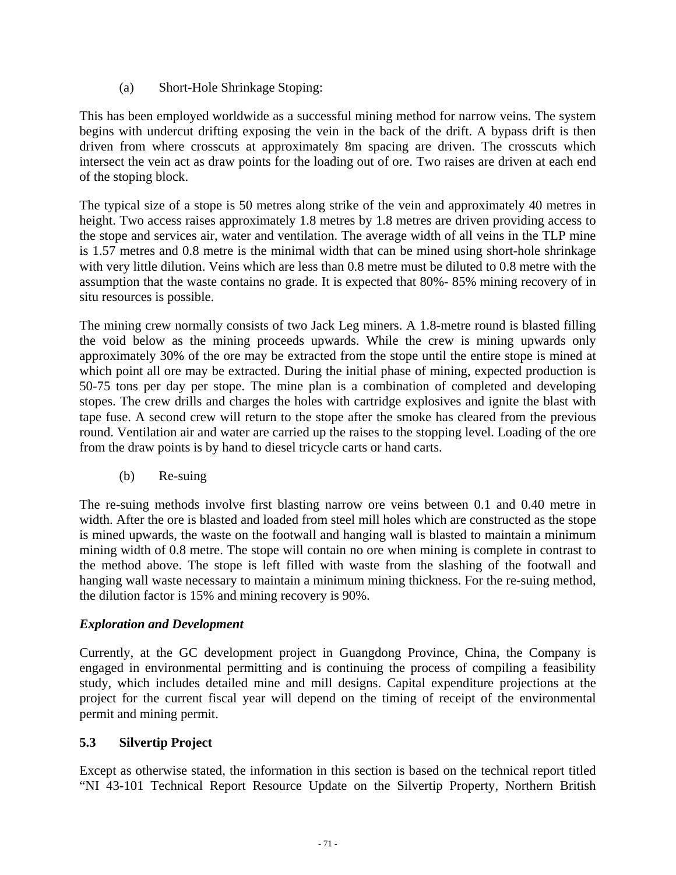(a) Short-Hole Shrinkage Stoping:

This has been employed worldwide as a successful mining method for narrow veins. The system begins with undercut drifting exposing the vein in the back of the drift. A bypass drift is then driven from where crosscuts at approximately 8m spacing are driven. The crosscuts which intersect the vein act as draw points for the loading out of ore. Two raises are driven at each end of the stoping block.

The typical size of a stope is 50 metres along strike of the vein and approximately 40 metres in height. Two access raises approximately 1.8 metres by 1.8 metres are driven providing access to the stope and services air, water and ventilation. The average width of all veins in the TLP mine is 1.57 metres and 0.8 metre is the minimal width that can be mined using short-hole shrinkage with very little dilution. Veins which are less than 0.8 metre must be diluted to 0.8 metre with the assumption that the waste contains no grade. It is expected that 80%- 85% mining recovery of in situ resources is possible.

The mining crew normally consists of two Jack Leg miners. A 1.8-metre round is blasted filling the void below as the mining proceeds upwards. While the crew is mining upwards only approximately 30% of the ore may be extracted from the stope until the entire stope is mined at which point all ore may be extracted. During the initial phase of mining, expected production is 50-75 tons per day per stope. The mine plan is a combination of completed and developing stopes. The crew drills and charges the holes with cartridge explosives and ignite the blast with tape fuse. A second crew will return to the stope after the smoke has cleared from the previous round. Ventilation air and water are carried up the raises to the stopping level. Loading of the ore from the draw points is by hand to diesel tricycle carts or hand carts.

(b) Re-suing

The re-suing methods involve first blasting narrow ore veins between 0.1 and 0.40 metre in width. After the ore is blasted and loaded from steel mill holes which are constructed as the stope is mined upwards, the waste on the footwall and hanging wall is blasted to maintain a minimum mining width of 0.8 metre. The stope will contain no ore when mining is complete in contrast to the method above. The stope is left filled with waste from the slashing of the footwall and hanging wall waste necessary to maintain a minimum mining thickness. For the re-suing method, the dilution factor is 15% and mining recovery is 90%.

# *Exploration and Development*

Currently, at the GC development project in Guangdong Province, China, the Company is engaged in environmental permitting and is continuing the process of compiling a feasibility study, which includes detailed mine and mill designs. Capital expenditure projections at the project for the current fiscal year will depend on the timing of receipt of the environmental permit and mining permit.

# **5.3 Silvertip Project**

Except as otherwise stated, the information in this section is based on the technical report titled "NI 43-101 Technical Report Resource Update on the Silvertip Property, Northern British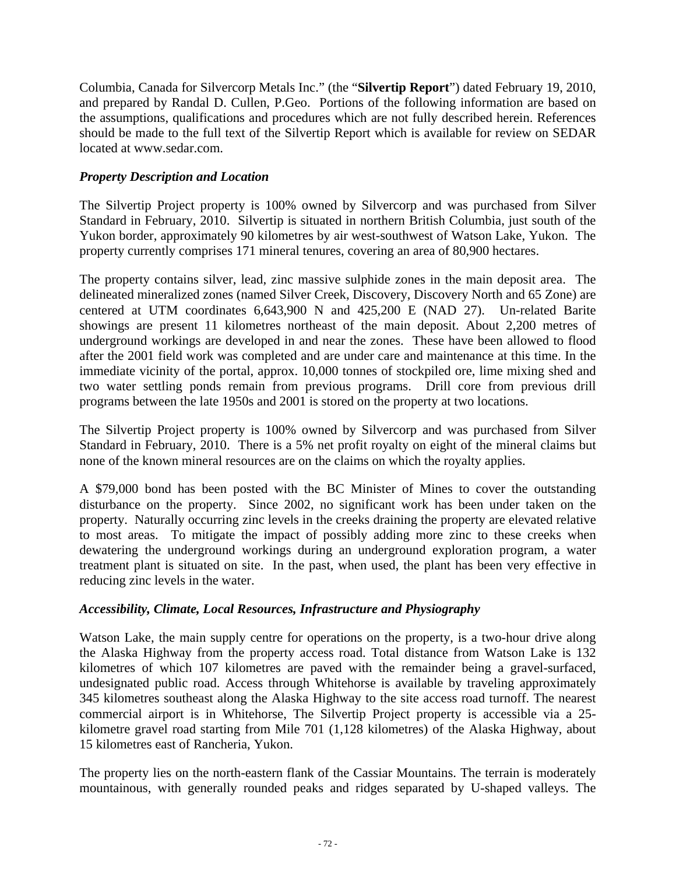Columbia, Canada for Silvercorp Metals Inc." (the "**Silvertip Report**") dated February 19, 2010, and prepared by Randal D. Cullen, P.Geo. Portions of the following information are based on the assumptions, qualifications and procedures which are not fully described herein. References should be made to the full text of the Silvertip Report which is available for review on SEDAR located at www.sedar.com.

### *Property Description and Location*

The Silvertip Project property is 100% owned by Silvercorp and was purchased from Silver Standard in February, 2010. Silvertip is situated in northern British Columbia, just south of the Yukon border, approximately 90 kilometres by air west-southwest of Watson Lake, Yukon. The property currently comprises 171 mineral tenures, covering an area of 80,900 hectares.

The property contains silver, lead, zinc massive sulphide zones in the main deposit area. The delineated mineralized zones (named Silver Creek, Discovery, Discovery North and 65 Zone) are centered at UTM coordinates 6,643,900 N and 425,200 E (NAD 27). Un-related Barite showings are present 11 kilometres northeast of the main deposit. About 2,200 metres of underground workings are developed in and near the zones. These have been allowed to flood after the 2001 field work was completed and are under care and maintenance at this time. In the immediate vicinity of the portal, approx. 10,000 tonnes of stockpiled ore, lime mixing shed and two water settling ponds remain from previous programs. Drill core from previous drill programs between the late 1950s and 2001 is stored on the property at two locations.

The Silvertip Project property is 100% owned by Silvercorp and was purchased from Silver Standard in February, 2010. There is a 5% net profit royalty on eight of the mineral claims but none of the known mineral resources are on the claims on which the royalty applies.

A \$79,000 bond has been posted with the BC Minister of Mines to cover the outstanding disturbance on the property. Since 2002, no significant work has been under taken on the property. Naturally occurring zinc levels in the creeks draining the property are elevated relative to most areas. To mitigate the impact of possibly adding more zinc to these creeks when dewatering the underground workings during an underground exploration program, a water treatment plant is situated on site. In the past, when used, the plant has been very effective in reducing zinc levels in the water.

### *Accessibility, Climate, Local Resources, Infrastructure and Physiography*

Watson Lake, the main supply centre for operations on the property, is a two-hour drive along the Alaska Highway from the property access road. Total distance from Watson Lake is 132 kilometres of which 107 kilometres are paved with the remainder being a gravel-surfaced, undesignated public road. Access through Whitehorse is available by traveling approximately 345 kilometres southeast along the Alaska Highway to the site access road turnoff. The nearest commercial airport is in Whitehorse, The Silvertip Project property is accessible via a 25 kilometre gravel road starting from Mile 701 (1,128 kilometres) of the Alaska Highway, about 15 kilometres east of Rancheria, Yukon.

The property lies on the north-eastern flank of the Cassiar Mountains. The terrain is moderately mountainous, with generally rounded peaks and ridges separated by U-shaped valleys. The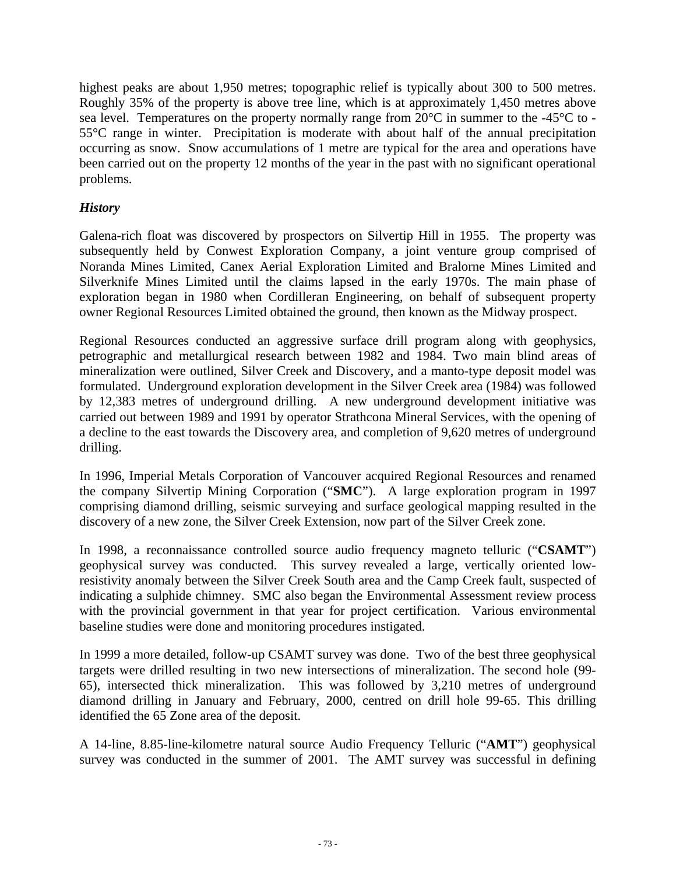highest peaks are about 1,950 metres; topographic relief is typically about 300 to 500 metres. Roughly 35% of the property is above tree line, which is at approximately 1,450 metres above sea level. Temperatures on the property normally range from 20°C in summer to the -45°C to - 55°C range in winter. Precipitation is moderate with about half of the annual precipitation occurring as snow. Snow accumulations of 1 metre are typical for the area and operations have been carried out on the property 12 months of the year in the past with no significant operational problems.

### *History*

Galena-rich float was discovered by prospectors on Silvertip Hill in 1955. The property was subsequently held by Conwest Exploration Company, a joint venture group comprised of Noranda Mines Limited, Canex Aerial Exploration Limited and Bralorne Mines Limited and Silverknife Mines Limited until the claims lapsed in the early 1970s. The main phase of exploration began in 1980 when Cordilleran Engineering, on behalf of subsequent property owner Regional Resources Limited obtained the ground, then known as the Midway prospect.

Regional Resources conducted an aggressive surface drill program along with geophysics, petrographic and metallurgical research between 1982 and 1984. Two main blind areas of mineralization were outlined, Silver Creek and Discovery, and a manto-type deposit model was formulated. Underground exploration development in the Silver Creek area (1984) was followed by 12,383 metres of underground drilling. A new underground development initiative was carried out between 1989 and 1991 by operator Strathcona Mineral Services, with the opening of a decline to the east towards the Discovery area, and completion of 9,620 metres of underground drilling.

In 1996, Imperial Metals Corporation of Vancouver acquired Regional Resources and renamed the company Silvertip Mining Corporation ("**SMC**"). A large exploration program in 1997 comprising diamond drilling, seismic surveying and surface geological mapping resulted in the discovery of a new zone, the Silver Creek Extension, now part of the Silver Creek zone.

In 1998, a reconnaissance controlled source audio frequency magneto telluric ("**CSAMT**") geophysical survey was conducted. This survey revealed a large, vertically oriented lowresistivity anomaly between the Silver Creek South area and the Camp Creek fault, suspected of indicating a sulphide chimney. SMC also began the Environmental Assessment review process with the provincial government in that year for project certification. Various environmental baseline studies were done and monitoring procedures instigated.

In 1999 a more detailed, follow-up CSAMT survey was done. Two of the best three geophysical targets were drilled resulting in two new intersections of mineralization. The second hole (99- 65), intersected thick mineralization. This was followed by 3,210 metres of underground diamond drilling in January and February, 2000, centred on drill hole 99-65. This drilling identified the 65 Zone area of the deposit.

A 14-line, 8.85-line-kilometre natural source Audio Frequency Telluric ("**AMT**") geophysical survey was conducted in the summer of 2001. The AMT survey was successful in defining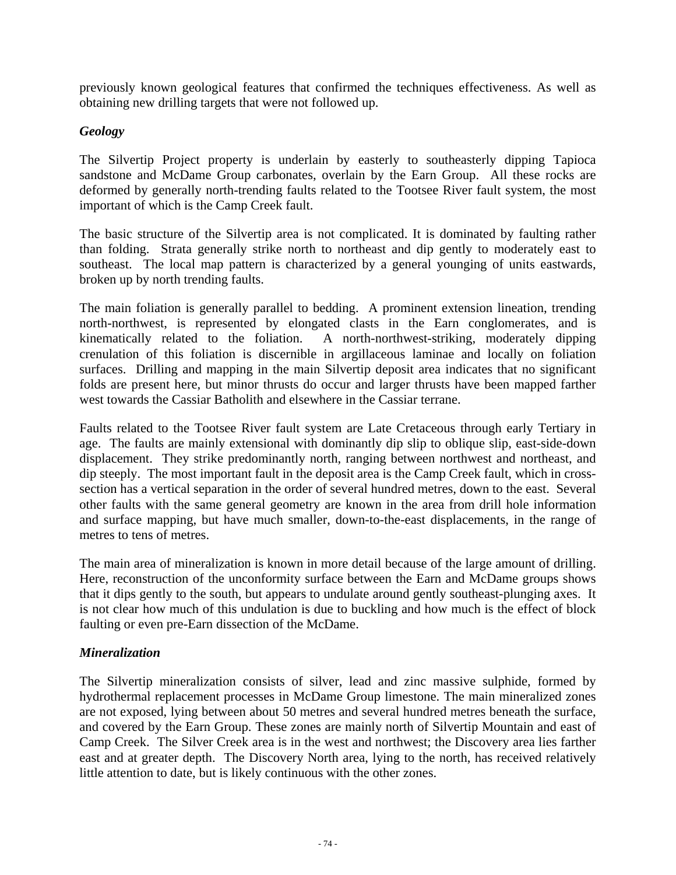previously known geological features that confirmed the techniques effectiveness. As well as obtaining new drilling targets that were not followed up.

# *Geology*

The Silvertip Project property is underlain by easterly to southeasterly dipping Tapioca sandstone and McDame Group carbonates, overlain by the Earn Group. All these rocks are deformed by generally north-trending faults related to the Tootsee River fault system, the most important of which is the Camp Creek fault.

The basic structure of the Silvertip area is not complicated. It is dominated by faulting rather than folding. Strata generally strike north to northeast and dip gently to moderately east to southeast. The local map pattern is characterized by a general younging of units eastwards, broken up by north trending faults.

The main foliation is generally parallel to bedding. A prominent extension lineation, trending north-northwest, is represented by elongated clasts in the Earn conglomerates, and is kinematically related to the foliation. A north-northwest-striking, moderately dipping crenulation of this foliation is discernible in argillaceous laminae and locally on foliation surfaces. Drilling and mapping in the main Silvertip deposit area indicates that no significant folds are present here, but minor thrusts do occur and larger thrusts have been mapped farther west towards the Cassiar Batholith and elsewhere in the Cassiar terrane.

Faults related to the Tootsee River fault system are Late Cretaceous through early Tertiary in age. The faults are mainly extensional with dominantly dip slip to oblique slip, east-side-down displacement. They strike predominantly north, ranging between northwest and northeast, and dip steeply. The most important fault in the deposit area is the Camp Creek fault, which in crosssection has a vertical separation in the order of several hundred metres, down to the east. Several other faults with the same general geometry are known in the area from drill hole information and surface mapping, but have much smaller, down-to-the-east displacements, in the range of metres to tens of metres.

The main area of mineralization is known in more detail because of the large amount of drilling. Here, reconstruction of the unconformity surface between the Earn and McDame groups shows that it dips gently to the south, but appears to undulate around gently southeast-plunging axes. It is not clear how much of this undulation is due to buckling and how much is the effect of block faulting or even pre-Earn dissection of the McDame.

# *Mineralization*

The Silvertip mineralization consists of silver, lead and zinc massive sulphide, formed by hydrothermal replacement processes in McDame Group limestone. The main mineralized zones are not exposed, lying between about 50 metres and several hundred metres beneath the surface, and covered by the Earn Group. These zones are mainly north of Silvertip Mountain and east of Camp Creek. The Silver Creek area is in the west and northwest; the Discovery area lies farther east and at greater depth. The Discovery North area, lying to the north, has received relatively little attention to date, but is likely continuous with the other zones.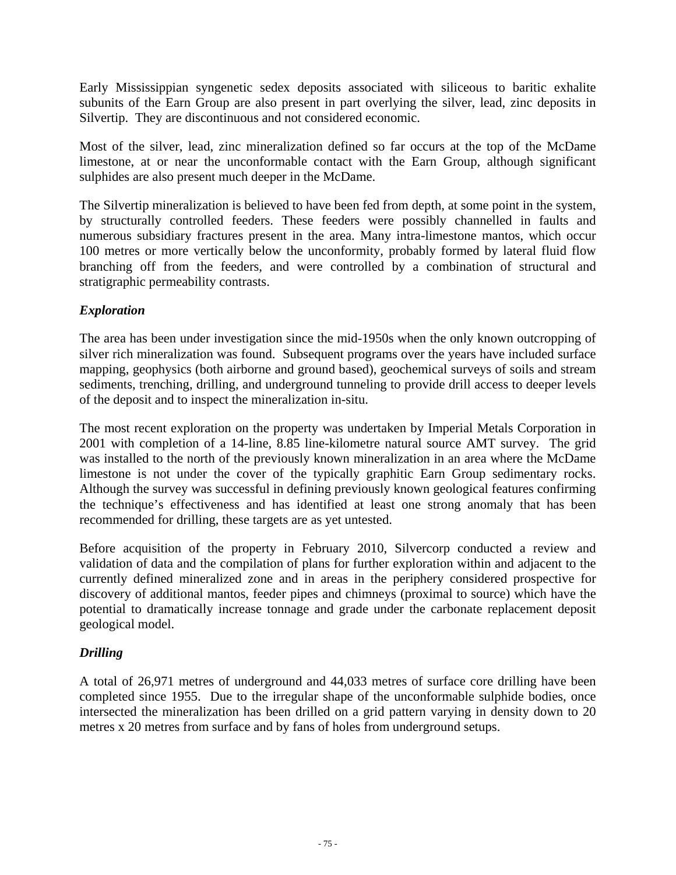Early Mississippian syngenetic sedex deposits associated with siliceous to baritic exhalite subunits of the Earn Group are also present in part overlying the silver, lead, zinc deposits in Silvertip. They are discontinuous and not considered economic.

Most of the silver, lead, zinc mineralization defined so far occurs at the top of the McDame limestone, at or near the unconformable contact with the Earn Group, although significant sulphides are also present much deeper in the McDame.

The Silvertip mineralization is believed to have been fed from depth, at some point in the system, by structurally controlled feeders. These feeders were possibly channelled in faults and numerous subsidiary fractures present in the area. Many intra-limestone mantos, which occur 100 metres or more vertically below the unconformity, probably formed by lateral fluid flow branching off from the feeders, and were controlled by a combination of structural and stratigraphic permeability contrasts.

# *Exploration*

The area has been under investigation since the mid-1950s when the only known outcropping of silver rich mineralization was found. Subsequent programs over the years have included surface mapping, geophysics (both airborne and ground based), geochemical surveys of soils and stream sediments, trenching, drilling, and underground tunneling to provide drill access to deeper levels of the deposit and to inspect the mineralization in-situ.

The most recent exploration on the property was undertaken by Imperial Metals Corporation in 2001 with completion of a 14-line, 8.85 line-kilometre natural source AMT survey. The grid was installed to the north of the previously known mineralization in an area where the McDame limestone is not under the cover of the typically graphitic Earn Group sedimentary rocks. Although the survey was successful in defining previously known geological features confirming the technique's effectiveness and has identified at least one strong anomaly that has been recommended for drilling, these targets are as yet untested.

Before acquisition of the property in February 2010, Silvercorp conducted a review and validation of data and the compilation of plans for further exploration within and adjacent to the currently defined mineralized zone and in areas in the periphery considered prospective for discovery of additional mantos, feeder pipes and chimneys (proximal to source) which have the potential to dramatically increase tonnage and grade under the carbonate replacement deposit geological model.

# *Drilling*

A total of 26,971 metres of underground and 44,033 metres of surface core drilling have been completed since 1955. Due to the irregular shape of the unconformable sulphide bodies, once intersected the mineralization has been drilled on a grid pattern varying in density down to 20 metres x 20 metres from surface and by fans of holes from underground setups.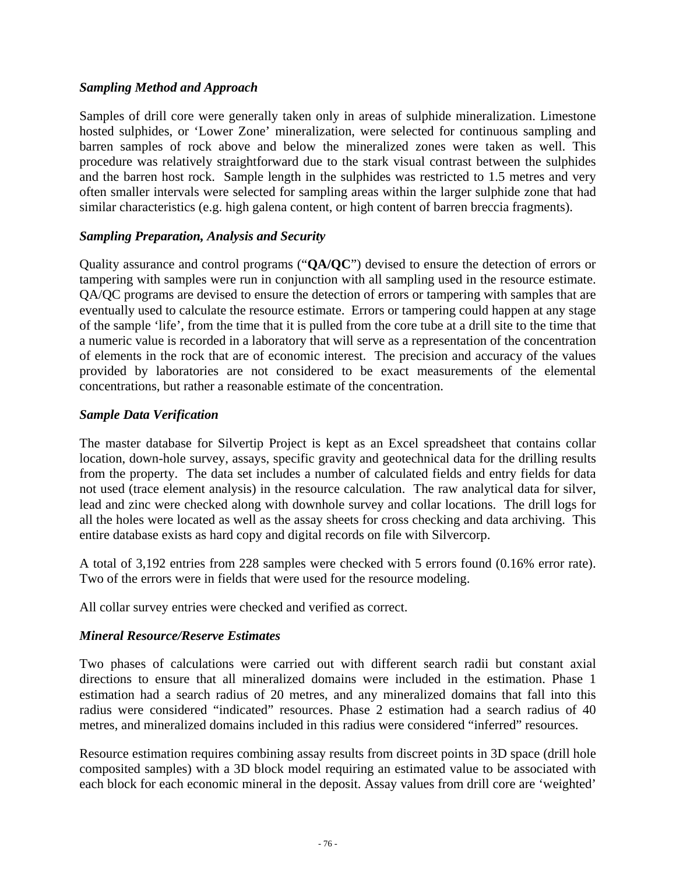### *Sampling Method and Approach*

Samples of drill core were generally taken only in areas of sulphide mineralization. Limestone hosted sulphides, or 'Lower Zone' mineralization, were selected for continuous sampling and barren samples of rock above and below the mineralized zones were taken as well. This procedure was relatively straightforward due to the stark visual contrast between the sulphides and the barren host rock. Sample length in the sulphides was restricted to 1.5 metres and very often smaller intervals were selected for sampling areas within the larger sulphide zone that had similar characteristics (e.g. high galena content, or high content of barren breccia fragments).

### *Sampling Preparation, Analysis and Security*

Quality assurance and control programs ("**QA/QC**") devised to ensure the detection of errors or tampering with samples were run in conjunction with all sampling used in the resource estimate. QA/QC programs are devised to ensure the detection of errors or tampering with samples that are eventually used to calculate the resource estimate. Errors or tampering could happen at any stage of the sample 'life', from the time that it is pulled from the core tube at a drill site to the time that a numeric value is recorded in a laboratory that will serve as a representation of the concentration of elements in the rock that are of economic interest. The precision and accuracy of the values provided by laboratories are not considered to be exact measurements of the elemental concentrations, but rather a reasonable estimate of the concentration.

### *Sample Data Verification*

The master database for Silvertip Project is kept as an Excel spreadsheet that contains collar location, down-hole survey, assays, specific gravity and geotechnical data for the drilling results from the property. The data set includes a number of calculated fields and entry fields for data not used (trace element analysis) in the resource calculation. The raw analytical data for silver, lead and zinc were checked along with downhole survey and collar locations. The drill logs for all the holes were located as well as the assay sheets for cross checking and data archiving. This entire database exists as hard copy and digital records on file with Silvercorp.

A total of 3,192 entries from 228 samples were checked with 5 errors found (0.16% error rate). Two of the errors were in fields that were used for the resource modeling.

All collar survey entries were checked and verified as correct.

# *Mineral Resource/Reserve Estimates*

Two phases of calculations were carried out with different search radii but constant axial directions to ensure that all mineralized domains were included in the estimation. Phase 1 estimation had a search radius of 20 metres, and any mineralized domains that fall into this radius were considered "indicated" resources. Phase 2 estimation had a search radius of 40 metres, and mineralized domains included in this radius were considered "inferred" resources.

Resource estimation requires combining assay results from discreet points in 3D space (drill hole composited samples) with a 3D block model requiring an estimated value to be associated with each block for each economic mineral in the deposit. Assay values from drill core are 'weighted'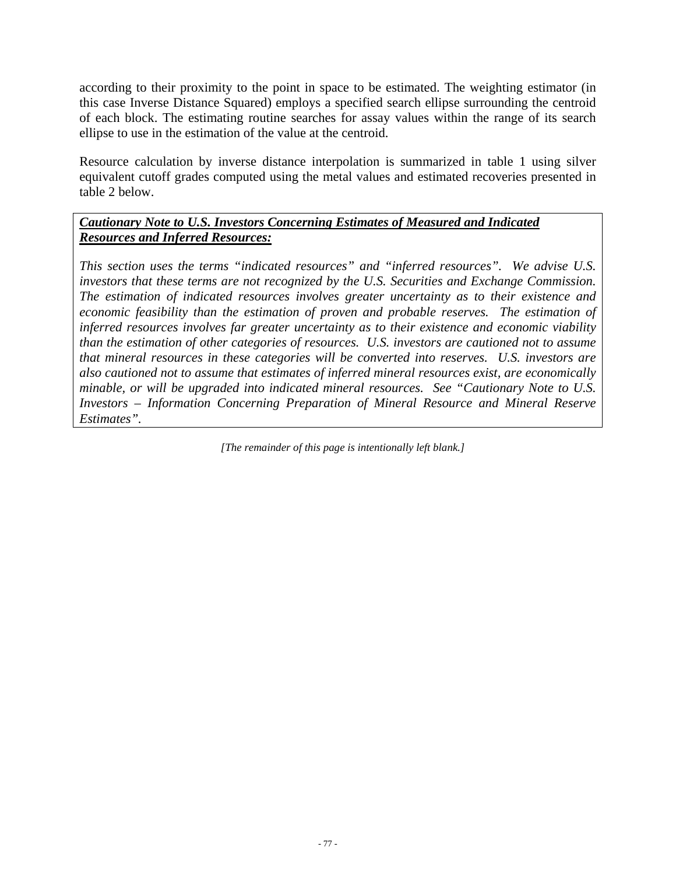according to their proximity to the point in space to be estimated. The weighting estimator (in this case Inverse Distance Squared) employs a specified search ellipse surrounding the centroid of each block. The estimating routine searches for assay values within the range of its search ellipse to use in the estimation of the value at the centroid.

Resource calculation by inverse distance interpolation is summarized in table 1 using silver equivalent cutoff grades computed using the metal values and estimated recoveries presented in table 2 below.

# *Cautionary Note to U.S. Investors Concerning Estimates of Measured and Indicated Resources and Inferred Resources:*

*This section uses the terms "indicated resources" and "inferred resources". We advise U.S. investors that these terms are not recognized by the U.S. Securities and Exchange Commission. The estimation of indicated resources involves greater uncertainty as to their existence and economic feasibility than the estimation of proven and probable reserves. The estimation of inferred resources involves far greater uncertainty as to their existence and economic viability than the estimation of other categories of resources. U.S. investors are cautioned not to assume that mineral resources in these categories will be converted into reserves. U.S. investors are also cautioned not to assume that estimates of inferred mineral resources exist, are economically minable, or will be upgraded into indicated mineral resources. See "Cautionary Note to U.S. Investors – Information Concerning Preparation of Mineral Resource and Mineral Reserve Estimates".* 

*[The remainder of this page is intentionally left blank.]*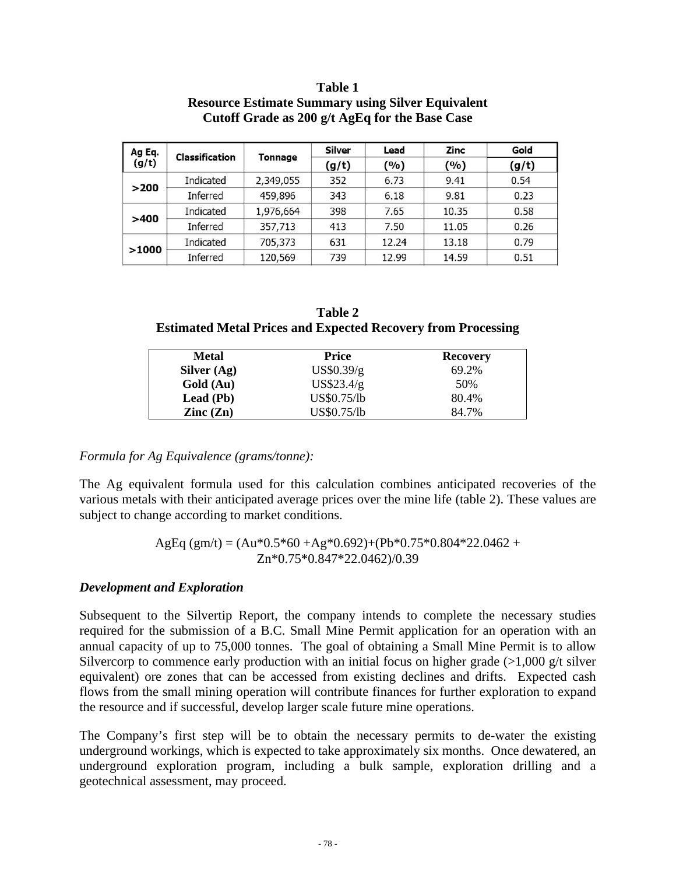| Ag Eq.<br><b>Classification</b> |           | <b>Silver</b> | Lead  | Zinc  | Gold  |       |
|---------------------------------|-----------|---------------|-------|-------|-------|-------|
| (g/t)                           |           | Tonnage       | (g/t) | (%)   | (9/0) | (g/t) |
| >200                            | Indicated | 2,349,055     | 352   | 6.73  | 9.41  | 0.54  |
|                                 | Inferred  | 459,896       | 343   | 6.18  | 9.81  | 0.23  |
|                                 | Indicated | 1,976,664     | 398   | 7.65  | 10.35 | 0.58  |
| >400                            | Inferred  | 357,713       | 413   | 7.50  | 11.05 | 0.26  |
|                                 | Indicated | 705,373       | 631   | 12.24 | 13.18 | 0.79  |
| >1000                           | Inferred  | 120,569       | 739   | 12.99 | 14.59 | 0.51  |

### **Table 1 Resource Estimate Summary using Silver Equivalent Cutoff Grade as 200 g/t AgEq for the Base Case**

| Table 2                                                             |
|---------------------------------------------------------------------|
| <b>Estimated Metal Prices and Expected Recovery from Processing</b> |

| Metal                    | Price       | <b>Recovery</b> |
|--------------------------|-------------|-----------------|
| Silver $(Ag)$            | US\$0.39/g  | 69.2%           |
| Gold (Au)                | US\$23.4/g  | 50%             |
| Lead (Pb)                | US\$0.75/lb | 80.4%           |
| $\text{Zinc}(\text{Zn})$ | US\$0.75/lb | 84.7%           |

# *Formula for Ag Equivalence (grams/tonne):*

The Ag equivalent formula used for this calculation combines anticipated recoveries of the various metals with their anticipated average prices over the mine life (table 2). These values are subject to change according to market conditions.

$$
AgEq (gm/t) = (Au*0.5*60 + Ag*0.692) + (Pb*0.75*0.804*22.0462 + Zn*0.75*0.847*22.0462)/0.39
$$

### *Development and Exploration*

Subsequent to the Silvertip Report, the company intends to complete the necessary studies required for the submission of a B.C. Small Mine Permit application for an operation with an annual capacity of up to 75,000 tonnes. The goal of obtaining a Small Mine Permit is to allow Silvercorp to commence early production with an initial focus on higher grade  $(>1,000 \text{ g/t}$  silver equivalent) ore zones that can be accessed from existing declines and drifts. Expected cash flows from the small mining operation will contribute finances for further exploration to expand the resource and if successful, develop larger scale future mine operations.

The Company's first step will be to obtain the necessary permits to de-water the existing underground workings, which is expected to take approximately six months. Once dewatered, an underground exploration program, including a bulk sample, exploration drilling and a geotechnical assessment, may proceed.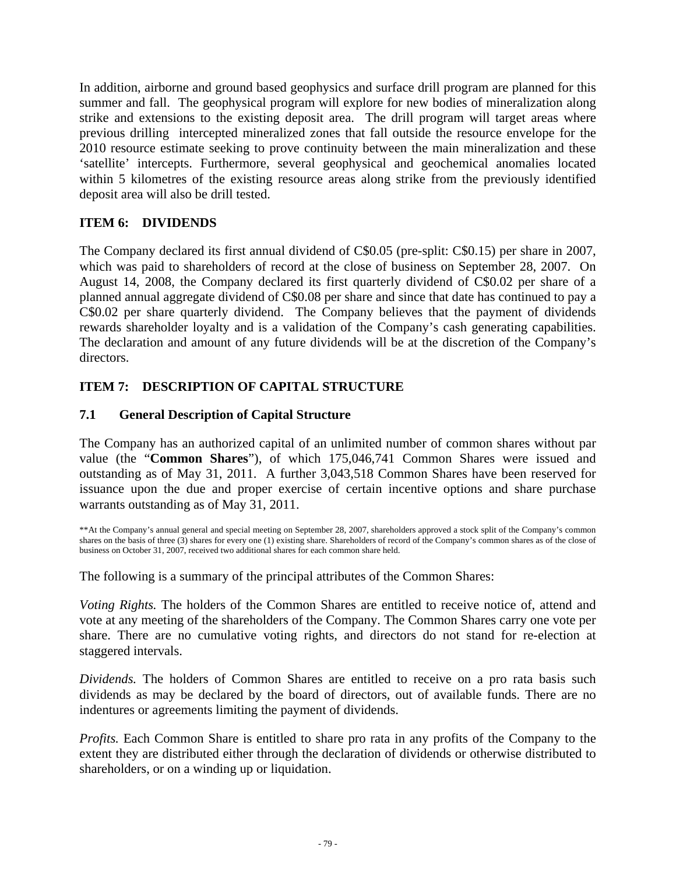In addition, airborne and ground based geophysics and surface drill program are planned for this summer and fall. The geophysical program will explore for new bodies of mineralization along strike and extensions to the existing deposit area. The drill program will target areas where previous drilling intercepted mineralized zones that fall outside the resource envelope for the 2010 resource estimate seeking to prove continuity between the main mineralization and these 'satellite' intercepts. Furthermore, several geophysical and geochemical anomalies located within 5 kilometres of the existing resource areas along strike from the previously identified deposit area will also be drill tested.

# **ITEM 6: DIVIDENDS**

The Company declared its first annual dividend of C\$0.05 (pre-split: C\$0.15) per share in 2007, which was paid to shareholders of record at the close of business on September 28, 2007. On August 14, 2008, the Company declared its first quarterly dividend of C\$0.02 per share of a planned annual aggregate dividend of C\$0.08 per share and since that date has continued to pay a C\$0.02 per share quarterly dividend. The Company believes that the payment of dividends rewards shareholder loyalty and is a validation of the Company's cash generating capabilities. The declaration and amount of any future dividends will be at the discretion of the Company's directors.

# **ITEM 7: DESCRIPTION OF CAPITAL STRUCTURE**

# **7.1 General Description of Capital Structure**

The Company has an authorized capital of an unlimited number of common shares without par value (the "**Common Shares**"), of which 175,046,741 Common Shares were issued and outstanding as of May 31, 2011. A further 3,043,518 Common Shares have been reserved for issuance upon the due and proper exercise of certain incentive options and share purchase warrants outstanding as of May 31, 2011.

\*\*At the Company's annual general and special meeting on September 28, 2007, shareholders approved a stock split of the Company's common shares on the basis of three (3) shares for every one (1) existing share. Shareholders of record of the Company's common shares as of the close of business on October 31, 2007, received two additional shares for each common share held.

The following is a summary of the principal attributes of the Common Shares:

*Voting Rights.* The holders of the Common Shares are entitled to receive notice of, attend and vote at any meeting of the shareholders of the Company. The Common Shares carry one vote per share. There are no cumulative voting rights, and directors do not stand for re-election at staggered intervals.

*Dividends.* The holders of Common Shares are entitled to receive on a pro rata basis such dividends as may be declared by the board of directors, out of available funds. There are no indentures or agreements limiting the payment of dividends.

*Profits.* Each Common Share is entitled to share pro rata in any profits of the Company to the extent they are distributed either through the declaration of dividends or otherwise distributed to shareholders, or on a winding up or liquidation.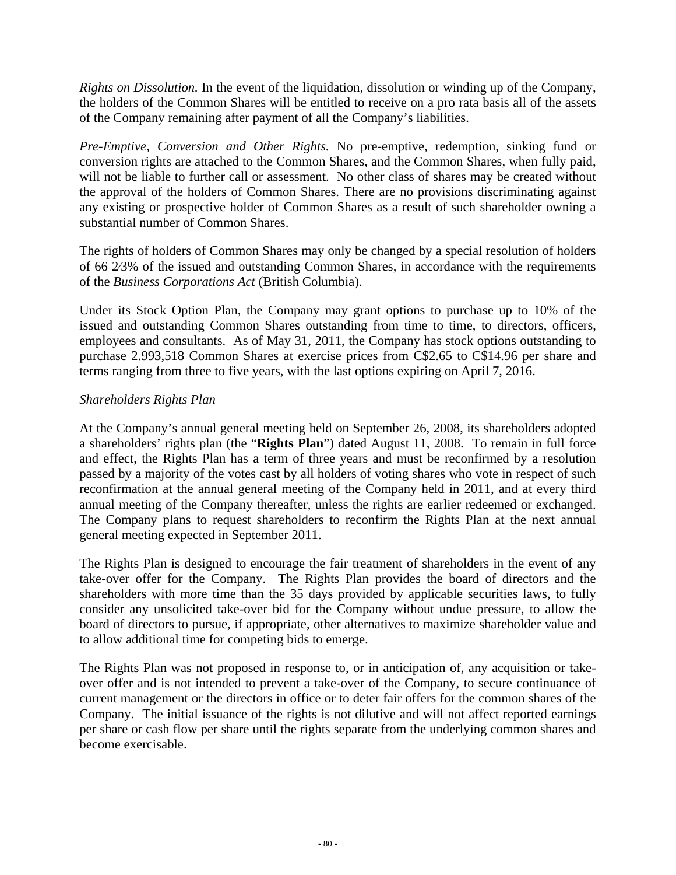*Rights on Dissolution.* In the event of the liquidation, dissolution or winding up of the Company, the holders of the Common Shares will be entitled to receive on a pro rata basis all of the assets of the Company remaining after payment of all the Company's liabilities.

*Pre-Emptive, Conversion and Other Rights.* No pre-emptive, redemption, sinking fund or conversion rights are attached to the Common Shares, and the Common Shares, when fully paid, will not be liable to further call or assessment. No other class of shares may be created without the approval of the holders of Common Shares. There are no provisions discriminating against any existing or prospective holder of Common Shares as a result of such shareholder owning a substantial number of Common Shares.

The rights of holders of Common Shares may only be changed by a special resolution of holders of 66 2⁄3% of the issued and outstanding Common Shares, in accordance with the requirements of the *Business Corporations Act* (British Columbia).

Under its Stock Option Plan, the Company may grant options to purchase up to 10% of the issued and outstanding Common Shares outstanding from time to time, to directors, officers, employees and consultants. As of May 31, 2011, the Company has stock options outstanding to purchase 2.993,518 Common Shares at exercise prices from C\$2.65 to C\$14.96 per share and terms ranging from three to five years, with the last options expiring on April 7, 2016.

### *Shareholders Rights Plan*

At the Company's annual general meeting held on September 26, 2008, its shareholders adopted a shareholders' rights plan (the "**Rights Plan**") dated August 11, 2008. To remain in full force and effect, the Rights Plan has a term of three years and must be reconfirmed by a resolution passed by a majority of the votes cast by all holders of voting shares who vote in respect of such reconfirmation at the annual general meeting of the Company held in 2011, and at every third annual meeting of the Company thereafter, unless the rights are earlier redeemed or exchanged. The Company plans to request shareholders to reconfirm the Rights Plan at the next annual general meeting expected in September 2011.

The Rights Plan is designed to encourage the fair treatment of shareholders in the event of any take-over offer for the Company. The Rights Plan provides the board of directors and the shareholders with more time than the 35 days provided by applicable securities laws, to fully consider any unsolicited take-over bid for the Company without undue pressure, to allow the board of directors to pursue, if appropriate, other alternatives to maximize shareholder value and to allow additional time for competing bids to emerge.

The Rights Plan was not proposed in response to, or in anticipation of, any acquisition or takeover offer and is not intended to prevent a take-over of the Company, to secure continuance of current management or the directors in office or to deter fair offers for the common shares of the Company. The initial issuance of the rights is not dilutive and will not affect reported earnings per share or cash flow per share until the rights separate from the underlying common shares and become exercisable.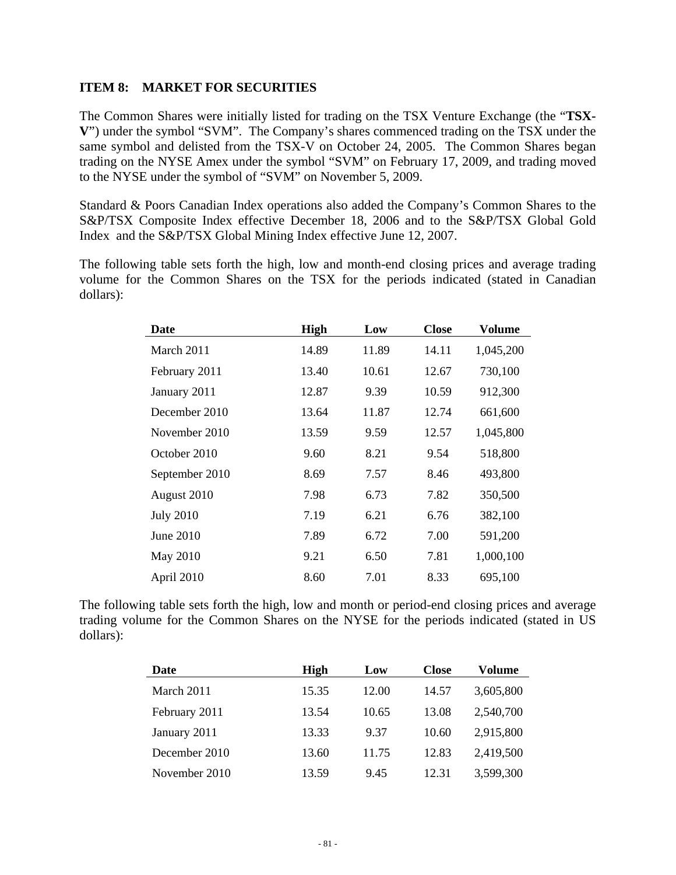### **ITEM 8: MARKET FOR SECURITIES**

The Common Shares were initially listed for trading on the TSX Venture Exchange (the "**TSX-V**") under the symbol "SVM". The Company's shares commenced trading on the TSX under the same symbol and delisted from the TSX-V on October 24, 2005. The Common Shares began trading on the NYSE Amex under the symbol "SVM" on February 17, 2009, and trading moved to the NYSE under the symbol of "SVM" on November 5, 2009.

Standard & Poors Canadian Index operations also added the Company's Common Shares to the S&P/TSX Composite Index effective December 18, 2006 and to the S&P/TSX Global Gold Index and the S&P/TSX Global Mining Index effective June 12, 2007.

The following table sets forth the high, low and month-end closing prices and average trading volume for the Common Shares on the TSX for the periods indicated (stated in Canadian dollars):

| Date             | <b>High</b> | Low   | <b>Close</b> | <b>Volume</b> |
|------------------|-------------|-------|--------------|---------------|
| March 2011       | 14.89       | 11.89 | 14.11        | 1,045,200     |
| February 2011    | 13.40       | 10.61 | 12.67        | 730,100       |
| January 2011     | 12.87       | 9.39  | 10.59        | 912,300       |
| December 2010    | 13.64       | 11.87 | 12.74        | 661,600       |
| November 2010    | 13.59       | 9.59  | 12.57        | 1,045,800     |
| October 2010     | 9.60        | 8.21  | 9.54         | 518,800       |
| September 2010   | 8.69        | 7.57  | 8.46         | 493,800       |
| August 2010      | 7.98        | 6.73  | 7.82         | 350,500       |
| <b>July 2010</b> | 7.19        | 6.21  | 6.76         | 382,100       |
| June 2010        | 7.89        | 6.72  | 7.00         | 591,200       |
| May 2010         | 9.21        | 6.50  | 7.81         | 1,000,100     |
| April 2010       | 8.60        | 7.01  | 8.33         | 695,100       |

The following table sets forth the high, low and month or period-end closing prices and average trading volume for the Common Shares on the NYSE for the periods indicated (stated in US dollars):

| Date          | <b>High</b> | Low   | <b>Close</b> | Volume    |
|---------------|-------------|-------|--------------|-----------|
| March 2011    | 15.35       | 12.00 | 14.57        | 3,605,800 |
| February 2011 | 13.54       | 10.65 | 13.08        | 2,540,700 |
| January 2011  | 13.33       | 9.37  | 10.60        | 2,915,800 |
| December 2010 | 13.60       | 11.75 | 12.83        | 2,419,500 |
| November 2010 | 13.59       | 9.45  | 12.31        | 3,599,300 |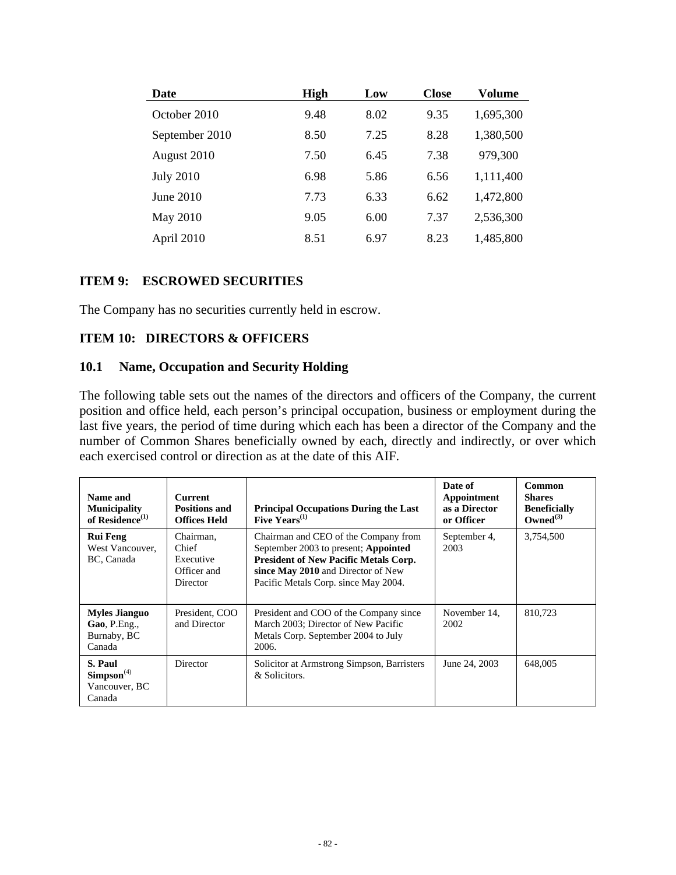| Date             | <b>High</b> | Low  | <b>Close</b> | <b>Volume</b> |
|------------------|-------------|------|--------------|---------------|
| October 2010     | 9.48        | 8.02 | 9.35         | 1,695,300     |
| September 2010   | 8.50        | 7.25 | 8.28         | 1,380,500     |
| August 2010      | 7.50        | 6.45 | 7.38         | 979,300       |
| <b>July 2010</b> | 6.98        | 5.86 | 6.56         | 1,111,400     |
| June 2010        | 7.73        | 6.33 | 6.62         | 1,472,800     |
| May 2010         | 9.05        | 6.00 | 7.37         | 2,536,300     |
| April 2010       | 8.51        | 6.97 | 8.23         | 1,485,800     |

#### **ITEM 9: ESCROWED SECURITIES**

The Company has no securities currently held in escrow.

### **ITEM 10: DIRECTORS & OFFICERS**

#### **10.1 Name, Occupation and Security Holding**

The following table sets out the names of the directors and officers of the Company, the current position and office held, each person's principal occupation, business or employment during the last five years, the period of time during which each has been a director of the Company and the number of Common Shares beneficially owned by each, directly and indirectly, or over which each exercised control or direction as at the date of this AIF.

| Name and<br><b>Municipality</b><br>of Residence <sup>(1)</sup> | <b>Current</b><br><b>Positions and</b><br><b>Offices Held</b> | <b>Principal Occupations During the Last</b><br>Five $Years^{(1)}$                                                                                                                                         | Date of<br>Appointment<br>as a Director<br>or Officer | <b>Common</b><br><b>Shares</b><br><b>Beneficially</b><br>Owned $^{(3)}$ |
|----------------------------------------------------------------|---------------------------------------------------------------|------------------------------------------------------------------------------------------------------------------------------------------------------------------------------------------------------------|-------------------------------------------------------|-------------------------------------------------------------------------|
| <b>Rui Feng</b><br>West Vancouver.<br>BC, Canada               | Chairman.<br>Chief<br>Executive<br>Officer and<br>Director    | Chairman and CEO of the Company from<br>September 2003 to present; Appointed<br><b>President of New Pacific Metals Corp.</b><br>since May 2010 and Director of New<br>Pacific Metals Corp. since May 2004. | September 4,<br>2003                                  | 3,754,500                                                               |
| <b>Myles Jianguo</b><br>Gao, P.Eng.,<br>Burnaby, BC<br>Canada  | President, COO<br>and Director                                | President and COO of the Company since<br>March 2003; Director of New Pacific<br>Metals Corp. September 2004 to July<br>2006.                                                                              | November 14.<br>2002                                  | 810.723                                                                 |
| S. Paul<br>Simpson <sup>(4)</sup><br>Vancouver, BC<br>Canada   | Director                                                      | Solicitor at Armstrong Simpson, Barristers<br>& Solicitors.                                                                                                                                                | June 24, 2003                                         | 648,005                                                                 |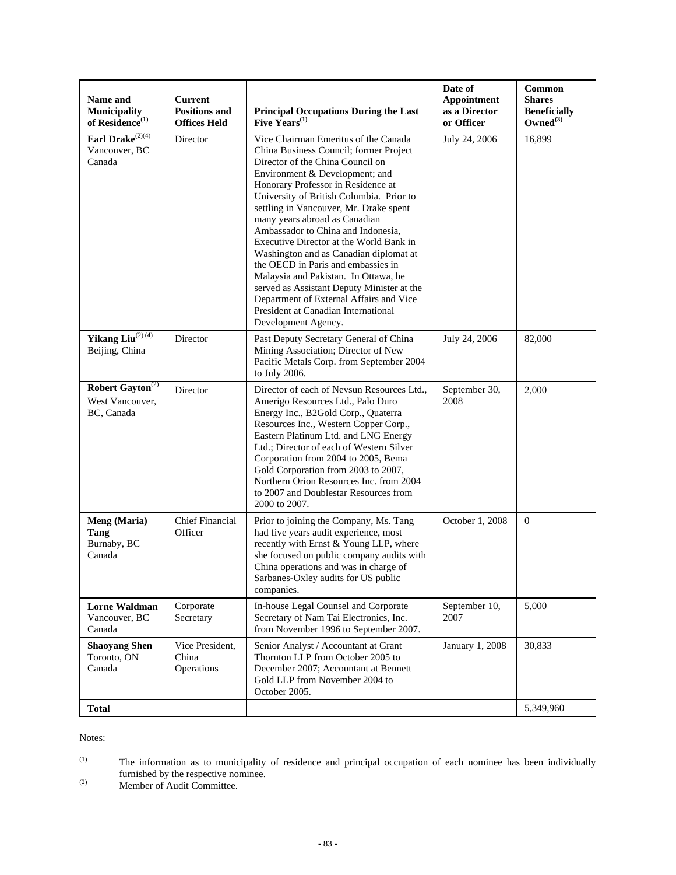| Name and<br><b>Municipality</b><br>of Residence <sup>(1)</sup> | Current<br><b>Positions and</b><br><b>Offices Held</b> | <b>Principal Occupations During the Last</b><br>Five $Years^{(1)}$                                                                                                                                                                                                                                                                                                                                                                                                                                                                                                                                                                                                                | Date of<br>Appointment<br>as a Director<br>or Officer | Common<br><b>Shares</b><br><b>Beneficially</b><br>Owned $^{(3)}$ |
|----------------------------------------------------------------|--------------------------------------------------------|-----------------------------------------------------------------------------------------------------------------------------------------------------------------------------------------------------------------------------------------------------------------------------------------------------------------------------------------------------------------------------------------------------------------------------------------------------------------------------------------------------------------------------------------------------------------------------------------------------------------------------------------------------------------------------------|-------------------------------------------------------|------------------------------------------------------------------|
| Earl Drake $^{(2)(4)}$<br>Vancouver, BC<br>Canada              | Director                                               | Vice Chairman Emeritus of the Canada<br>China Business Council; former Project<br>Director of the China Council on<br>Environment & Development; and<br>Honorary Professor in Residence at<br>University of British Columbia. Prior to<br>settling in Vancouver, Mr. Drake spent<br>many years abroad as Canadian<br>Ambassador to China and Indonesia.<br>Executive Director at the World Bank in<br>Washington and as Canadian diplomat at<br>the OECD in Paris and embassies in<br>Malaysia and Pakistan. In Ottawa, he<br>served as Assistant Deputy Minister at the<br>Department of External Affairs and Vice<br>President at Canadian International<br>Development Agency. | July 24, 2006                                         | 16,899                                                           |
| Yikang Liu(2)(4)<br>Beijing, China                             | Director                                               | Past Deputy Secretary General of China<br>Mining Association; Director of New<br>Pacific Metals Corp. from September 2004<br>to July 2006.                                                                                                                                                                                                                                                                                                                                                                                                                                                                                                                                        | July 24, 2006                                         | 82,000                                                           |
| Robert Gayton <sup>(2)</sup><br>West Vancouver,<br>BC, Canada  | Director                                               | Director of each of Nevsun Resources Ltd.,<br>Amerigo Resources Ltd., Palo Duro<br>Energy Inc., B2Gold Corp., Quaterra<br>Resources Inc., Western Copper Corp.,<br>Eastern Platinum Ltd. and LNG Energy<br>Ltd.; Director of each of Western Silver<br>Corporation from 2004 to 2005, Bema<br>Gold Corporation from 2003 to 2007,<br>Northern Orion Resources Inc. from 2004<br>to 2007 and Doublestar Resources from<br>2000 to 2007.                                                                                                                                                                                                                                            | September 30,<br>2008                                 | 2,000                                                            |
| Meng (Maria)<br>Tang<br>Burnaby, BC<br>Canada                  | <b>Chief Financial</b><br>Officer                      | Prior to joining the Company, Ms. Tang<br>had five years audit experience, most<br>recently with Ernst & Young LLP, where<br>she focused on public company audits with<br>China operations and was in charge of<br>Sarbanes-Oxley audits for US public<br>companies.                                                                                                                                                                                                                                                                                                                                                                                                              | October 1, 2008                                       | $\overline{0}$                                                   |
| <b>Lorne Waldman</b><br>Vancouver, BC<br>Canada                | Corporate<br>Secretary                                 | In-house Legal Counsel and Corporate<br>Secretary of Nam Tai Electronics, Inc.<br>from November 1996 to September 2007.                                                                                                                                                                                                                                                                                                                                                                                                                                                                                                                                                           | September 10,<br>2007                                 | 5,000                                                            |
| <b>Shaoyang Shen</b><br>Toronto, ON<br>Canada                  | Vice President,<br>China<br>Operations                 | Senior Analyst / Accountant at Grant<br>Thornton LLP from October 2005 to<br>December 2007; Accountant at Bennett<br>Gold LLP from November 2004 to<br>October 2005.                                                                                                                                                                                                                                                                                                                                                                                                                                                                                                              | January 1, 2008                                       | 30,833                                                           |
| <b>Total</b>                                                   |                                                        |                                                                                                                                                                                                                                                                                                                                                                                                                                                                                                                                                                                                                                                                                   |                                                       | 5,349,960                                                        |

Notes:

(2) Member of Audit Committee.

 $(1)$  The information as to municipality of residence and principal occupation of each nominee has been individually furnished by the respective nominee.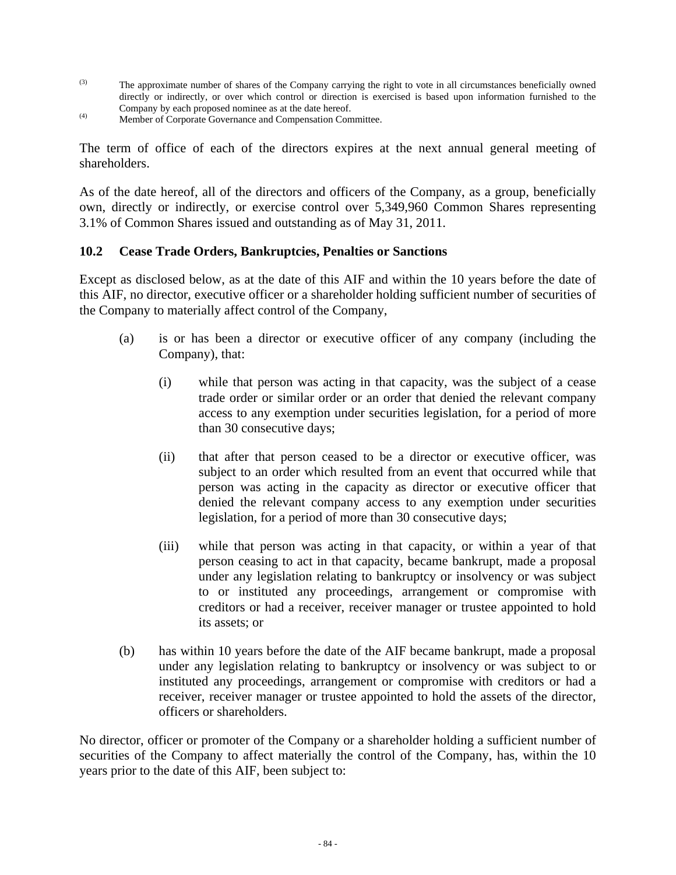- (3) The approximate number of shares of the Company carrying the right to vote in all circumstances beneficially owned directly or indirectly, or over which control or direction is exercised is based upon information furnished to the Company by each proposed nominee as at the date hereof.
- (4) Member of Corporate Governance and Compensation Committee.

The term of office of each of the directors expires at the next annual general meeting of shareholders.

As of the date hereof, all of the directors and officers of the Company, as a group, beneficially own, directly or indirectly, or exercise control over 5,349,960 Common Shares representing 3.1% of Common Shares issued and outstanding as of May 31, 2011.

### **10.2 Cease Trade Orders, Bankruptcies, Penalties or Sanctions**

Except as disclosed below, as at the date of this AIF and within the 10 years before the date of this AIF, no director, executive officer or a shareholder holding sufficient number of securities of the Company to materially affect control of the Company,

- (a) is or has been a director or executive officer of any company (including the Company), that:
	- (i) while that person was acting in that capacity, was the subject of a cease trade order or similar order or an order that denied the relevant company access to any exemption under securities legislation, for a period of more than 30 consecutive days;
	- (ii) that after that person ceased to be a director or executive officer, was subject to an order which resulted from an event that occurred while that person was acting in the capacity as director or executive officer that denied the relevant company access to any exemption under securities legislation, for a period of more than 30 consecutive days;
	- (iii) while that person was acting in that capacity, or within a year of that person ceasing to act in that capacity, became bankrupt, made a proposal under any legislation relating to bankruptcy or insolvency or was subject to or instituted any proceedings, arrangement or compromise with creditors or had a receiver, receiver manager or trustee appointed to hold its assets; or
- (b) has within 10 years before the date of the AIF became bankrupt, made a proposal under any legislation relating to bankruptcy or insolvency or was subject to or instituted any proceedings, arrangement or compromise with creditors or had a receiver, receiver manager or trustee appointed to hold the assets of the director, officers or shareholders.

No director, officer or promoter of the Company or a shareholder holding a sufficient number of securities of the Company to affect materially the control of the Company, has, within the 10 years prior to the date of this AIF, been subject to: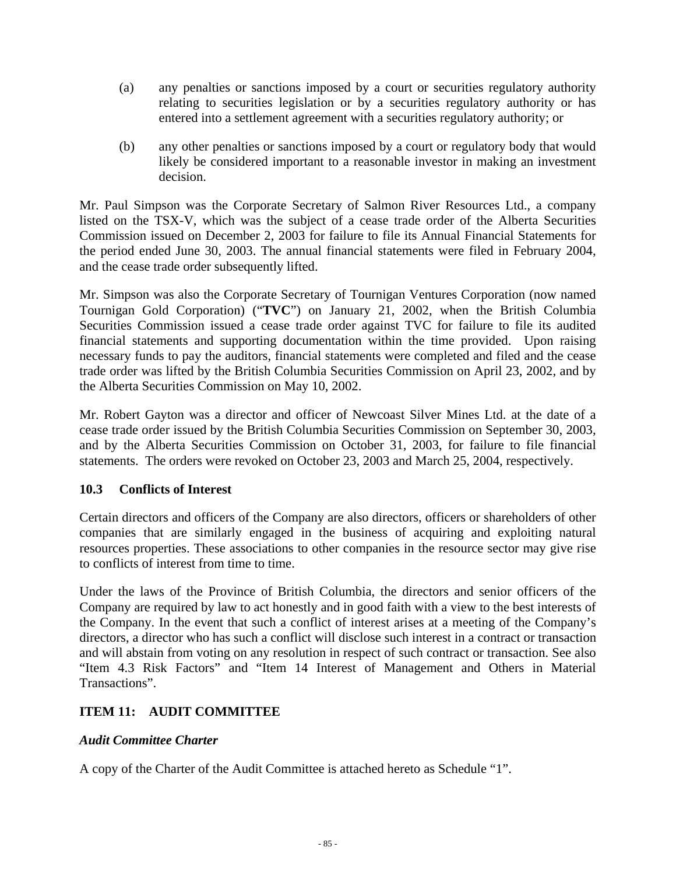- (a) any penalties or sanctions imposed by a court or securities regulatory authority relating to securities legislation or by a securities regulatory authority or has entered into a settlement agreement with a securities regulatory authority; or
- (b) any other penalties or sanctions imposed by a court or regulatory body that would likely be considered important to a reasonable investor in making an investment decision.

Mr. Paul Simpson was the Corporate Secretary of Salmon River Resources Ltd., a company listed on the TSX-V, which was the subject of a cease trade order of the Alberta Securities Commission issued on December 2, 2003 for failure to file its Annual Financial Statements for the period ended June 30, 2003. The annual financial statements were filed in February 2004, and the cease trade order subsequently lifted.

Mr. Simpson was also the Corporate Secretary of Tournigan Ventures Corporation (now named Tournigan Gold Corporation) ("**TVC**") on January 21, 2002, when the British Columbia Securities Commission issued a cease trade order against TVC for failure to file its audited financial statements and supporting documentation within the time provided. Upon raising necessary funds to pay the auditors, financial statements were completed and filed and the cease trade order was lifted by the British Columbia Securities Commission on April 23, 2002, and by the Alberta Securities Commission on May 10, 2002.

Mr. Robert Gayton was a director and officer of Newcoast Silver Mines Ltd. at the date of a cease trade order issued by the British Columbia Securities Commission on September 30, 2003, and by the Alberta Securities Commission on October 31, 2003, for failure to file financial statements. The orders were revoked on October 23, 2003 and March 25, 2004, respectively.

# **10.3 Conflicts of Interest**

Certain directors and officers of the Company are also directors, officers or shareholders of other companies that are similarly engaged in the business of acquiring and exploiting natural resources properties. These associations to other companies in the resource sector may give rise to conflicts of interest from time to time.

Under the laws of the Province of British Columbia, the directors and senior officers of the Company are required by law to act honestly and in good faith with a view to the best interests of the Company. In the event that such a conflict of interest arises at a meeting of the Company's directors, a director who has such a conflict will disclose such interest in a contract or transaction and will abstain from voting on any resolution in respect of such contract or transaction. See also "Item 4.3 Risk Factors" and "Item 14 Interest of Management and Others in Material Transactions".

# **ITEM 11: AUDIT COMMITTEE**

# *Audit Committee Charter*

A copy of the Charter of the Audit Committee is attached hereto as Schedule "1".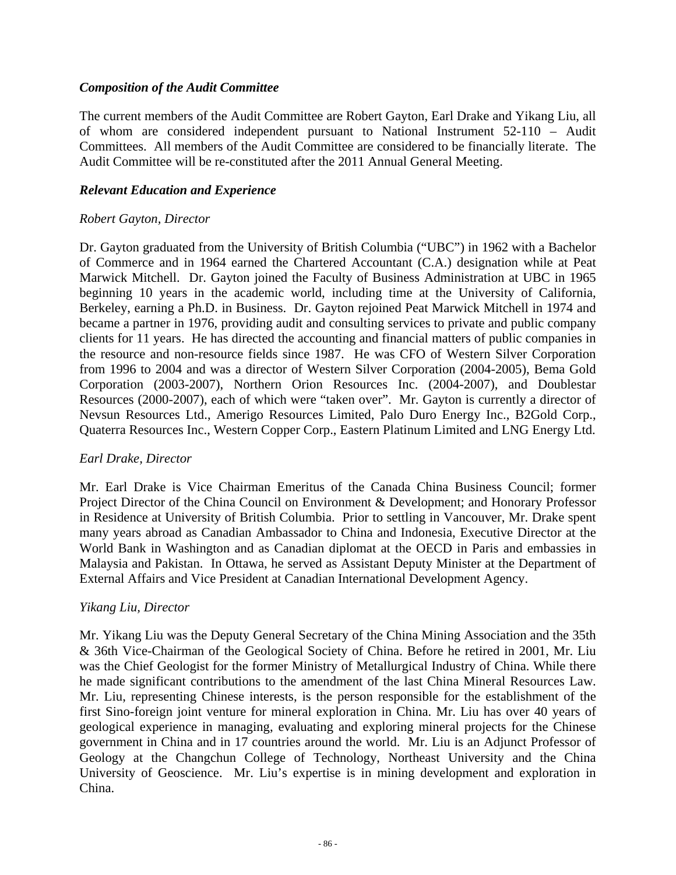### *Composition of the Audit Committee*

The current members of the Audit Committee are Robert Gayton, Earl Drake and Yikang Liu, all of whom are considered independent pursuant to National Instrument 52-110 – Audit Committees. All members of the Audit Committee are considered to be financially literate. The Audit Committee will be re-constituted after the 2011 Annual General Meeting.

#### *Relevant Education and Experience*

#### *Robert Gayton, Director*

Dr. Gayton graduated from the University of British Columbia ("UBC") in 1962 with a Bachelor of Commerce and in 1964 earned the Chartered Accountant (C.A.) designation while at Peat Marwick Mitchell. Dr. Gayton joined the Faculty of Business Administration at UBC in 1965 beginning 10 years in the academic world, including time at the University of California, Berkeley, earning a Ph.D. in Business. Dr. Gayton rejoined Peat Marwick Mitchell in 1974 and became a partner in 1976, providing audit and consulting services to private and public company clients for 11 years. He has directed the accounting and financial matters of public companies in the resource and non-resource fields since 1987. He was CFO of Western Silver Corporation from 1996 to 2004 and was a director of Western Silver Corporation (2004-2005), Bema Gold Corporation (2003-2007), Northern Orion Resources Inc. (2004-2007), and Doublestar Resources (2000-2007), each of which were "taken over". Mr. Gayton is currently a director of Nevsun Resources Ltd., Amerigo Resources Limited, Palo Duro Energy Inc., B2Gold Corp., Quaterra Resources Inc., Western Copper Corp., Eastern Platinum Limited and LNG Energy Ltd.

### *Earl Drake, Director*

Mr. Earl Drake is Vice Chairman Emeritus of the Canada China Business Council; former Project Director of the China Council on Environment & Development; and Honorary Professor in Residence at University of British Columbia. Prior to settling in Vancouver, Mr. Drake spent many years abroad as Canadian Ambassador to China and Indonesia, Executive Director at the World Bank in Washington and as Canadian diplomat at the OECD in Paris and embassies in Malaysia and Pakistan. In Ottawa, he served as Assistant Deputy Minister at the Department of External Affairs and Vice President at Canadian International Development Agency.

### *Yikang Liu, Director*

Mr. Yikang Liu was the Deputy General Secretary of the China Mining Association and the 35th & 36th Vice-Chairman of the Geological Society of China. Before he retired in 2001, Mr. Liu was the Chief Geologist for the former Ministry of Metallurgical Industry of China. While there he made significant contributions to the amendment of the last China Mineral Resources Law. Mr. Liu, representing Chinese interests, is the person responsible for the establishment of the first Sino-foreign joint venture for mineral exploration in China. Mr. Liu has over 40 years of geological experience in managing, evaluating and exploring mineral projects for the Chinese government in China and in 17 countries around the world. Mr. Liu is an Adjunct Professor of Geology at the Changchun College of Technology, Northeast University and the China University of Geoscience. Mr. Liu's expertise is in mining development and exploration in China.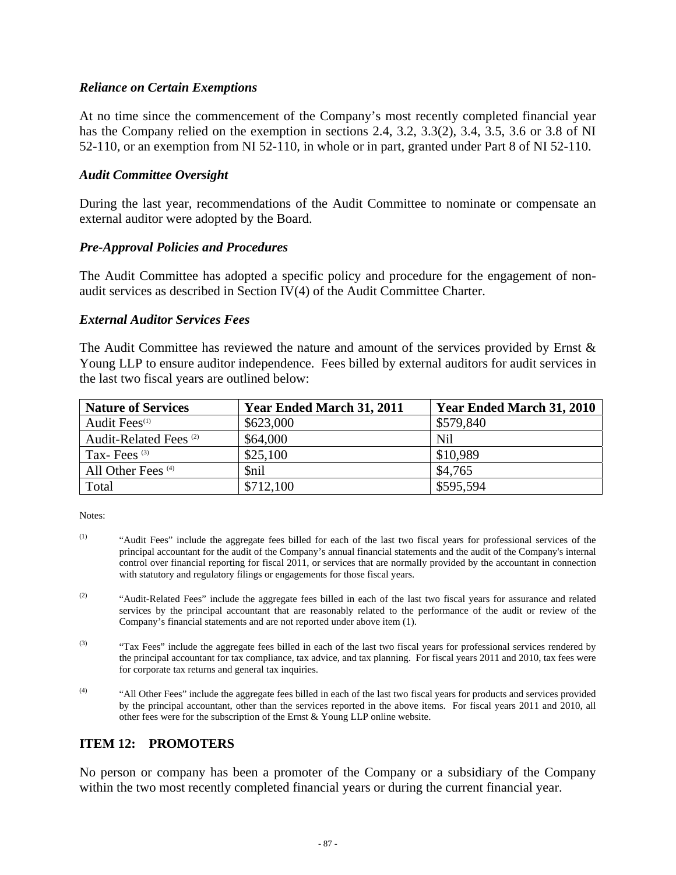### *Reliance on Certain Exemptions*

At no time since the commencement of the Company's most recently completed financial year has the Company relied on the exemption in sections 2.4, 3.2, 3.3(2), 3.4, 3.5, 3.6 or 3.8 of NI 52-110, or an exemption from NI 52-110, in whole or in part, granted under Part 8 of NI 52-110.

### *Audit Committee Oversight*

During the last year, recommendations of the Audit Committee to nominate or compensate an external auditor were adopted by the Board.

#### *Pre-Approval Policies and Procedures*

The Audit Committee has adopted a specific policy and procedure for the engagement of nonaudit services as described in Section IV(4) of the Audit Committee Charter.

#### *External Auditor Services Fees*

The Audit Committee has reviewed the nature and amount of the services provided by Ernst & Young LLP to ensure auditor independence. Fees billed by external auditors for audit services in the last two fiscal years are outlined below:

| <b>Nature of Services</b>         | Year Ended March 31, 2011 | Year Ended March 31, 2010 |
|-----------------------------------|---------------------------|---------------------------|
| Audit Fees <sup>(1)</sup>         | \$623,000                 | \$579,840                 |
| Audit-Related Fees <sup>(2)</sup> | \$64,000                  | Nil                       |
| Tax-Fees $(3)$                    | \$25,100                  | \$10,989                  |
| All Other Fees <sup>(4)</sup>     | <i><b>Snil</b></i>        | \$4,765                   |
| Total                             | \$712,100                 | \$595,594                 |

Notes:

- (1) "Audit Fees" include the aggregate fees billed for each of the last two fiscal years for professional services of the principal accountant for the audit of the Company's annual financial statements and the audit of the Company's internal control over financial reporting for fiscal 2011, or services that are normally provided by the accountant in connection with statutory and regulatory filings or engagements for those fiscal years.
- <sup>(2)</sup> "Audit-Related Fees" include the aggregate fees billed in each of the last two fiscal years for assurance and related services by the principal accountant that are reasonably related to the performance of the audit or review of the Company's financial statements and are not reported under above item (1).
- <sup>(3)</sup> "Tax Fees" include the aggregate fees billed in each of the last two fiscal years for professional services rendered by the principal accountant for tax compliance, tax advice, and tax planning. For fiscal years 2011 and 2010, tax fees were for corporate tax returns and general tax inquiries.
- (4) "All Other Fees" include the aggregate fees billed in each of the last two fiscal years for products and services provided by the principal accountant, other than the services reported in the above items. For fiscal years 2011 and 2010, all other fees were for the subscription of the Ernst & Young LLP online website.

### **ITEM 12: PROMOTERS**

No person or company has been a promoter of the Company or a subsidiary of the Company within the two most recently completed financial years or during the current financial year.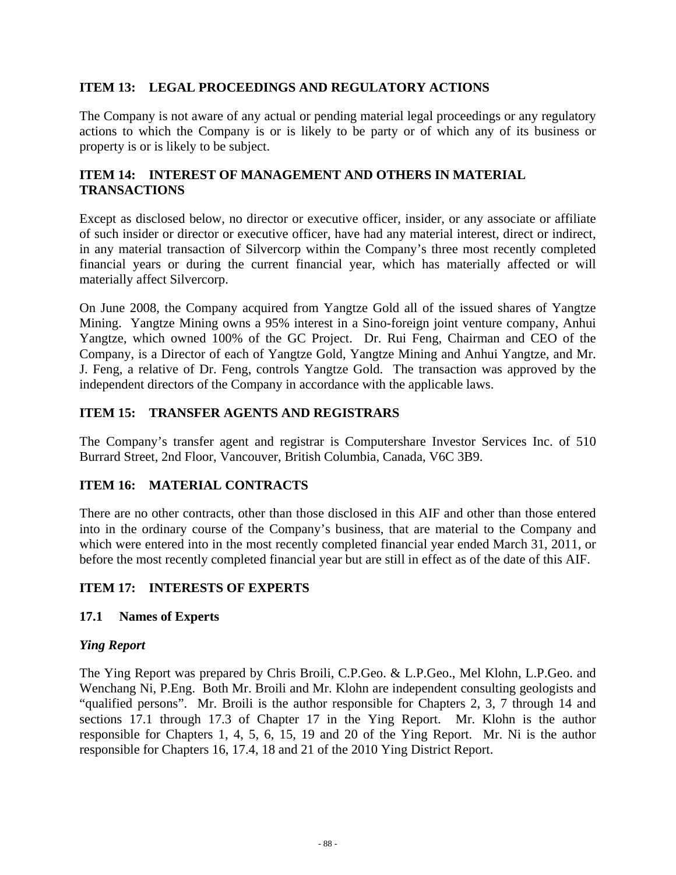### **ITEM 13: LEGAL PROCEEDINGS AND REGULATORY ACTIONS**

The Company is not aware of any actual or pending material legal proceedings or any regulatory actions to which the Company is or is likely to be party or of which any of its business or property is or is likely to be subject.

# **ITEM 14: INTEREST OF MANAGEMENT AND OTHERS IN MATERIAL TRANSACTIONS**

Except as disclosed below, no director or executive officer, insider, or any associate or affiliate of such insider or director or executive officer, have had any material interest, direct or indirect, in any material transaction of Silvercorp within the Company's three most recently completed financial years or during the current financial year, which has materially affected or will materially affect Silvercorp.

On June 2008, the Company acquired from Yangtze Gold all of the issued shares of Yangtze Mining. Yangtze Mining owns a 95% interest in a Sino-foreign joint venture company, Anhui Yangtze, which owned 100% of the GC Project. Dr. Rui Feng, Chairman and CEO of the Company, is a Director of each of Yangtze Gold, Yangtze Mining and Anhui Yangtze, and Mr. J. Feng, a relative of Dr. Feng, controls Yangtze Gold. The transaction was approved by the independent directors of the Company in accordance with the applicable laws.

### **ITEM 15: TRANSFER AGENTS AND REGISTRARS**

The Company's transfer agent and registrar is Computershare Investor Services Inc. of 510 Burrard Street, 2nd Floor, Vancouver, British Columbia, Canada, V6C 3B9.

### **ITEM 16: MATERIAL CONTRACTS**

There are no other contracts, other than those disclosed in this AIF and other than those entered into in the ordinary course of the Company's business, that are material to the Company and which were entered into in the most recently completed financial year ended March 31, 2011, or before the most recently completed financial year but are still in effect as of the date of this AIF.

### **ITEM 17: INTERESTS OF EXPERTS**

### **17.1 Names of Experts**

### *Ying Report*

The Ying Report was prepared by Chris Broili, C.P.Geo. & L.P.Geo., Mel Klohn, L.P.Geo. and Wenchang Ni, P.Eng. Both Mr. Broili and Mr. Klohn are independent consulting geologists and "qualified persons". Mr. Broili is the author responsible for Chapters 2, 3, 7 through 14 and sections 17.1 through 17.3 of Chapter 17 in the Ying Report. Mr. Klohn is the author responsible for Chapters 1, 4, 5, 6, 15, 19 and 20 of the Ying Report. Mr. Ni is the author responsible for Chapters 16, 17.4, 18 and 21 of the 2010 Ying District Report.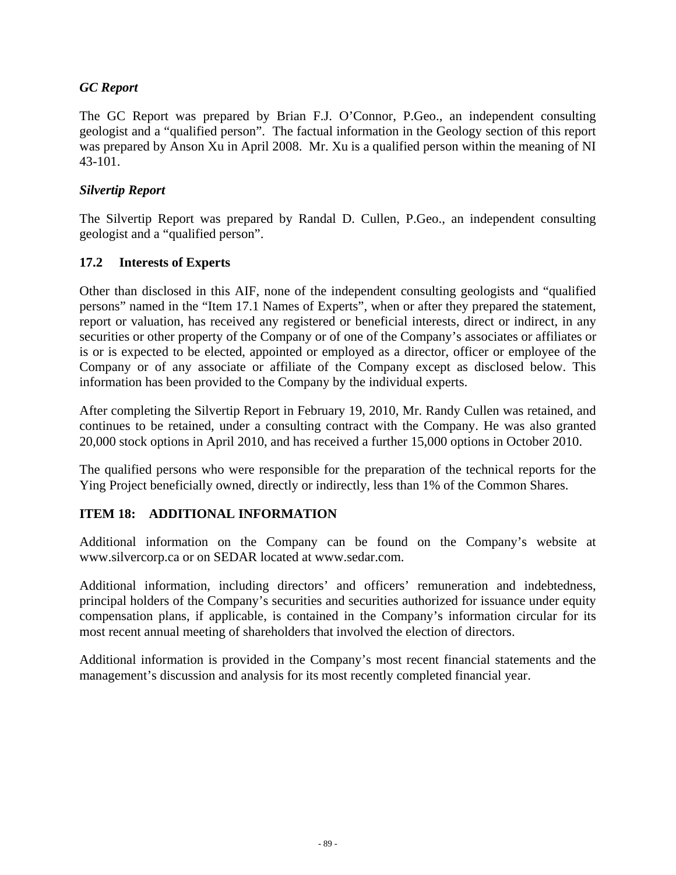# *GC Report*

The GC Report was prepared by Brian F.J. O'Connor, P.Geo., an independent consulting geologist and a "qualified person". The factual information in the Geology section of this report was prepared by Anson Xu in April 2008. Mr. Xu is a qualified person within the meaning of NI 43-101.

# *Silvertip Report*

The Silvertip Report was prepared by Randal D. Cullen, P.Geo., an independent consulting geologist and a "qualified person".

# **17.2 Interests of Experts**

Other than disclosed in this AIF, none of the independent consulting geologists and "qualified persons" named in the "Item 17.1 Names of Experts", when or after they prepared the statement, report or valuation, has received any registered or beneficial interests, direct or indirect, in any securities or other property of the Company or of one of the Company's associates or affiliates or is or is expected to be elected, appointed or employed as a director, officer or employee of the Company or of any associate or affiliate of the Company except as disclosed below. This information has been provided to the Company by the individual experts.

After completing the Silvertip Report in February 19, 2010, Mr. Randy Cullen was retained, and continues to be retained, under a consulting contract with the Company. He was also granted 20,000 stock options in April 2010, and has received a further 15,000 options in October 2010.

The qualified persons who were responsible for the preparation of the technical reports for the Ying Project beneficially owned, directly or indirectly, less than 1% of the Common Shares.

# **ITEM 18: ADDITIONAL INFORMATION**

Additional information on the Company can be found on the Company's website at www.silvercorp.ca or on SEDAR located at www.sedar.com.

Additional information, including directors' and officers' remuneration and indebtedness, principal holders of the Company's securities and securities authorized for issuance under equity compensation plans, if applicable, is contained in the Company's information circular for its most recent annual meeting of shareholders that involved the election of directors.

Additional information is provided in the Company's most recent financial statements and the management's discussion and analysis for its most recently completed financial year.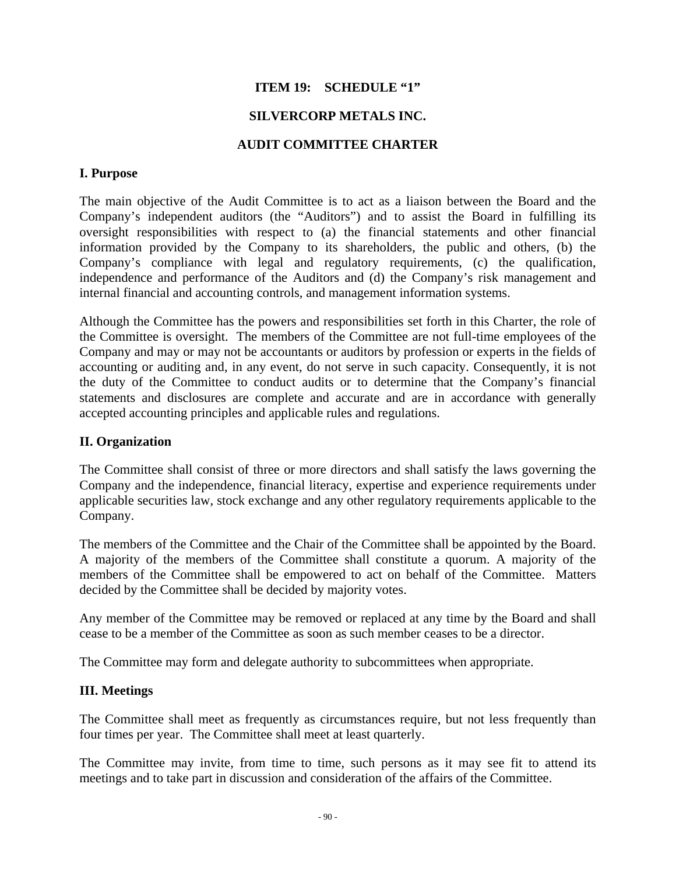# **ITEM 19: SCHEDULE "1"**

### **SILVERCORP METALS INC.**

### **AUDIT COMMITTEE CHARTER**

### **I. Purpose**

The main objective of the Audit Committee is to act as a liaison between the Board and the Company's independent auditors (the "Auditors") and to assist the Board in fulfilling its oversight responsibilities with respect to (a) the financial statements and other financial information provided by the Company to its shareholders, the public and others, (b) the Company's compliance with legal and regulatory requirements, (c) the qualification, independence and performance of the Auditors and (d) the Company's risk management and internal financial and accounting controls, and management information systems.

Although the Committee has the powers and responsibilities set forth in this Charter, the role of the Committee is oversight. The members of the Committee are not full-time employees of the Company and may or may not be accountants or auditors by profession or experts in the fields of accounting or auditing and, in any event, do not serve in such capacity. Consequently, it is not the duty of the Committee to conduct audits or to determine that the Company's financial statements and disclosures are complete and accurate and are in accordance with generally accepted accounting principles and applicable rules and regulations.

### **II. Organization**

The Committee shall consist of three or more directors and shall satisfy the laws governing the Company and the independence, financial literacy, expertise and experience requirements under applicable securities law, stock exchange and any other regulatory requirements applicable to the Company.

The members of the Committee and the Chair of the Committee shall be appointed by the Board. A majority of the members of the Committee shall constitute a quorum. A majority of the members of the Committee shall be empowered to act on behalf of the Committee. Matters decided by the Committee shall be decided by majority votes.

Any member of the Committee may be removed or replaced at any time by the Board and shall cease to be a member of the Committee as soon as such member ceases to be a director.

The Committee may form and delegate authority to subcommittees when appropriate.

# **III. Meetings**

The Committee shall meet as frequently as circumstances require, but not less frequently than four times per year. The Committee shall meet at least quarterly.

The Committee may invite, from time to time, such persons as it may see fit to attend its meetings and to take part in discussion and consideration of the affairs of the Committee.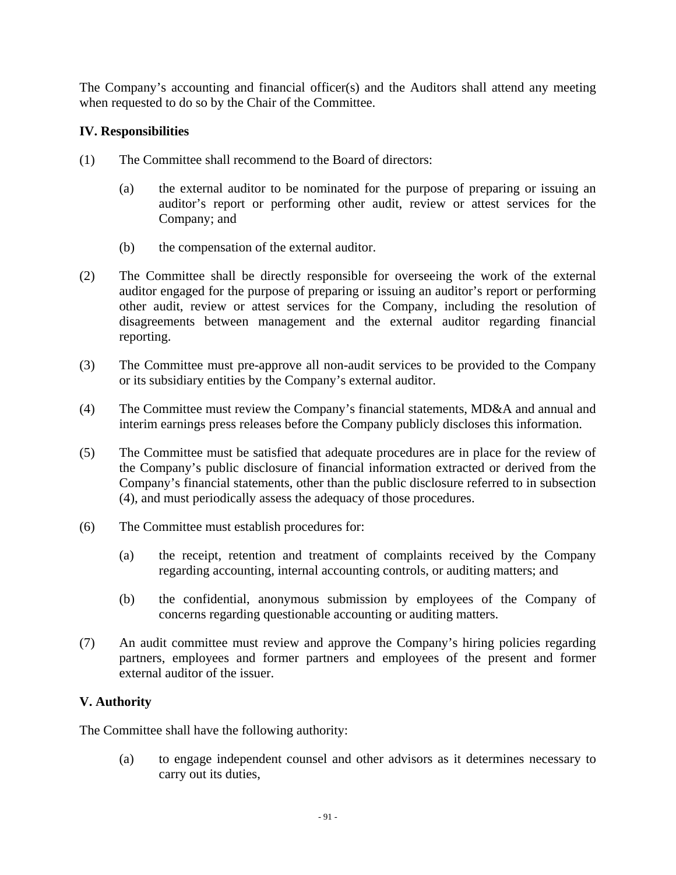The Company's accounting and financial officer(s) and the Auditors shall attend any meeting when requested to do so by the Chair of the Committee.

# **IV. Responsibilities**

- (1) The Committee shall recommend to the Board of directors:
	- (a) the external auditor to be nominated for the purpose of preparing or issuing an auditor's report or performing other audit, review or attest services for the Company; and
	- (b) the compensation of the external auditor.
- (2) The Committee shall be directly responsible for overseeing the work of the external auditor engaged for the purpose of preparing or issuing an auditor's report or performing other audit, review or attest services for the Company, including the resolution of disagreements between management and the external auditor regarding financial reporting.
- (3) The Committee must pre-approve all non-audit services to be provided to the Company or its subsidiary entities by the Company's external auditor.
- (4) The Committee must review the Company's financial statements, MD&A and annual and interim earnings press releases before the Company publicly discloses this information.
- (5) The Committee must be satisfied that adequate procedures are in place for the review of the Company's public disclosure of financial information extracted or derived from the Company's financial statements, other than the public disclosure referred to in subsection (4), and must periodically assess the adequacy of those procedures.
- (6) The Committee must establish procedures for:
	- (a) the receipt, retention and treatment of complaints received by the Company regarding accounting, internal accounting controls, or auditing matters; and
	- (b) the confidential, anonymous submission by employees of the Company of concerns regarding questionable accounting or auditing matters.
- (7) An audit committee must review and approve the Company's hiring policies regarding partners, employees and former partners and employees of the present and former external auditor of the issuer.

# **V. Authority**

The Committee shall have the following authority:

(a) to engage independent counsel and other advisors as it determines necessary to carry out its duties,